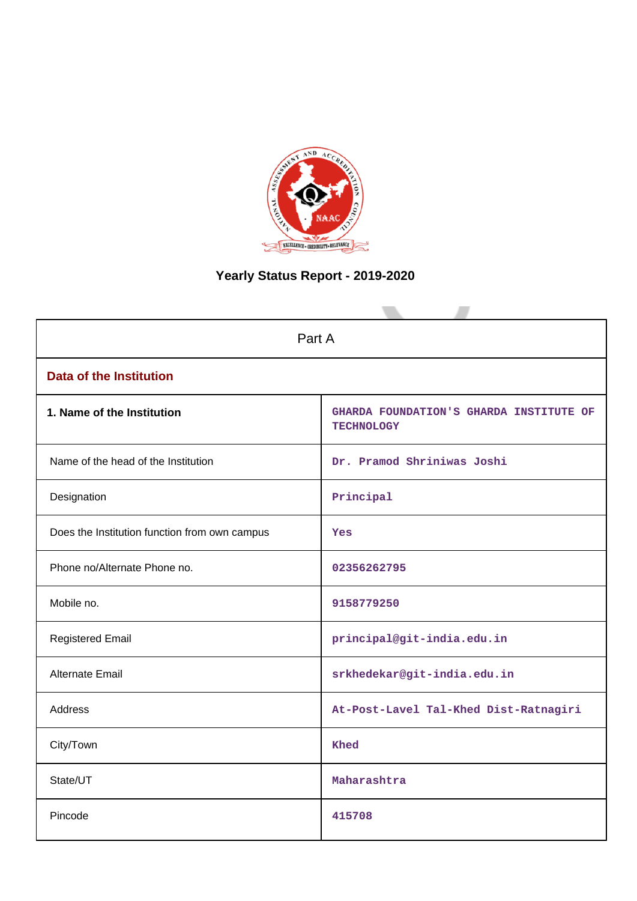

# **Yearly Status Report - 2019-2020**

| Part A                                        |                                                              |  |  |
|-----------------------------------------------|--------------------------------------------------------------|--|--|
| <b>Data of the Institution</b>                |                                                              |  |  |
| 1. Name of the Institution                    | GHARDA FOUNDATION'S GHARDA INSTITUTE OF<br><b>TECHNOLOGY</b> |  |  |
| Name of the head of the Institution           | Dr. Pramod Shriniwas Joshi                                   |  |  |
| Designation                                   | Principal                                                    |  |  |
| Does the Institution function from own campus | <b>Yes</b>                                                   |  |  |
| Phone no/Alternate Phone no.                  | 02356262795                                                  |  |  |
| Mobile no.                                    | 9158779250                                                   |  |  |
| <b>Registered Email</b>                       | principal@git-india.edu.in                                   |  |  |
| Alternate Email                               | srkhedekar@git-india.edu.in                                  |  |  |
| <b>Address</b>                                | At-Post-Lavel Tal-Khed Dist-Ratnagiri                        |  |  |
| City/Town                                     | Khed                                                         |  |  |
| State/UT                                      | Maharashtra                                                  |  |  |
| Pincode                                       | 415708                                                       |  |  |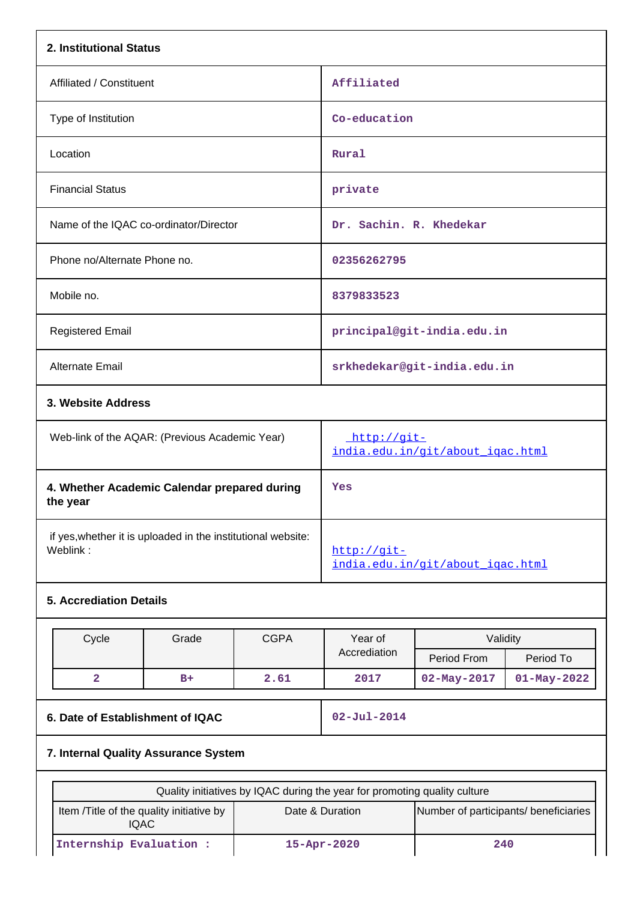| 2. Institutional Status                                                   |                                                         |                                                   |                         |                                                          |                   |  |
|---------------------------------------------------------------------------|---------------------------------------------------------|---------------------------------------------------|-------------------------|----------------------------------------------------------|-------------------|--|
| Affiliated / Constituent                                                  |                                                         |                                                   | Affiliated              |                                                          |                   |  |
| Type of Institution                                                       |                                                         |                                                   | Co-education            |                                                          |                   |  |
| Location                                                                  |                                                         |                                                   | Rural                   |                                                          |                   |  |
| <b>Financial Status</b>                                                   |                                                         |                                                   | private                 |                                                          |                   |  |
| Name of the IQAC co-ordinator/Director                                    |                                                         |                                                   | Dr. Sachin. R. Khedekar |                                                          |                   |  |
| Phone no/Alternate Phone no.                                              |                                                         |                                                   | 02356262795             |                                                          |                   |  |
| Mobile no.                                                                |                                                         |                                                   | 8379833523              |                                                          |                   |  |
| <b>Registered Email</b>                                                   |                                                         |                                                   |                         | principal@git-india.edu.in                               |                   |  |
| Alternate Email                                                           |                                                         |                                                   |                         | srkhedekar@git-india.edu.in                              |                   |  |
| 3. Website Address                                                        |                                                         |                                                   |                         |                                                          |                   |  |
| Web-link of the AQAR: (Previous Academic Year)                            |                                                         | http://git-<br>india.edu.in/git/about_iqac.html   |                         |                                                          |                   |  |
| the year                                                                  | 4. Whether Academic Calendar prepared during            |                                                   |                         | Yes                                                      |                   |  |
| if yes, whether it is uploaded in the institutional website:<br>Weblink:  |                                                         | $http://git-$<br>india.edu.in/git/about igac.html |                         |                                                          |                   |  |
| <b>5. Accrediation Details</b>                                            |                                                         |                                                   |                         |                                                          |                   |  |
| Cycle                                                                     | Grade                                                   | <b>CGPA</b>                                       | Year of<br>Accrediation | Validity<br>Period From                                  | Period To         |  |
| $\overline{\mathbf{2}}$                                                   | $B+$                                                    | 2.61                                              | 2017                    | $02 - May - 2017$                                        | $01 - May - 2022$ |  |
| 6. Date of Establishment of IQAC                                          |                                                         | $02 - Jul - 2014$                                 |                         |                                                          |                   |  |
| 7. Internal Quality Assurance System                                      |                                                         |                                                   |                         |                                                          |                   |  |
| Quality initiatives by IQAC during the year for promoting quality culture |                                                         |                                                   |                         |                                                          |                   |  |
|                                                                           | Item /Title of the quality initiative by<br><b>IQAC</b> |                                                   |                         | Date & Duration<br>Number of participants/ beneficiaries |                   |  |
| Internship Evaluation :<br>15-Apr-2020                                    |                                                         |                                                   |                         | 240                                                      |                   |  |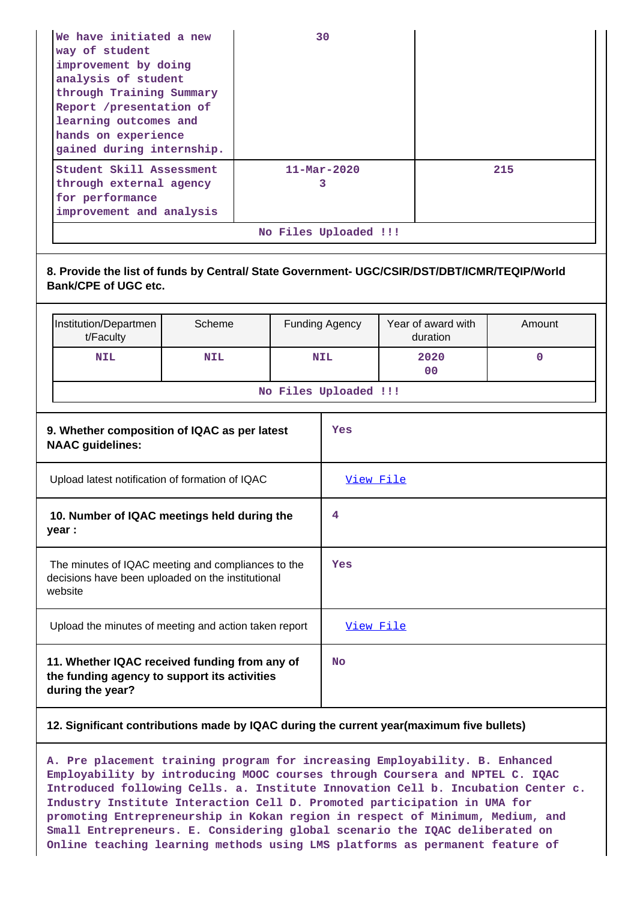| We have initiated a new<br>way of student<br>improvement by doing<br>analysis of student<br>through Training Summary<br>Report /presentation of<br>learning outcomes and<br>hands on experience<br>gained during internship. | 30                            |     |  |
|------------------------------------------------------------------------------------------------------------------------------------------------------------------------------------------------------------------------------|-------------------------------|-----|--|
| Student Skill Assessment<br>through external agency<br>for performance<br>improvement and analysis                                                                                                                           | $11 - \text{Mar} - 2020$<br>3 | 215 |  |
| No Files Uploaded !!!                                                                                                                                                                                                        |                               |     |  |

## **8. Provide the list of funds by Central/ State Government- UGC/CSIR/DST/DBT/ICMR/TEQIP/World Bank/CPE of UGC etc.**

|                                                                         | Institution/Departmen<br>t/Faculty | Scheme     |            | <b>Funding Agency</b> | Year of award with<br>duration | Amount      |  |
|-------------------------------------------------------------------------|------------------------------------|------------|------------|-----------------------|--------------------------------|-------------|--|
|                                                                         | <b>NIL</b>                         | <b>NIL</b> | <b>NIL</b> |                       | 2020<br>0 <sup>0</sup>         | $\mathbf 0$ |  |
| No Files Uploaded !!!                                                   |                                    |            |            |                       |                                |             |  |
| 9. Whether composition of IQAC as per latest<br><b>NAAC</b> guidelines: |                                    |            | Yes        |                       |                                |             |  |
| Upload latest notification of formation of IQAC                         |                                    |            | View File  |                       |                                |             |  |
| 10. Number of IQAC meetings held during the<br>year :                   |                                    | 4          |            |                       |                                |             |  |
|                                                                         |                                    |            |            |                       |                                |             |  |

| The minutes of IQAC meeting and compliances to the<br>decisions have been uploaded on the institutional<br>website | Yes       |
|--------------------------------------------------------------------------------------------------------------------|-----------|
| Upload the minutes of meeting and action taken report                                                              | View File |
| 11. Whether IQAC received funding from any of<br>the funding agency to support its activities<br>during the year?  | No        |

## **12. Significant contributions made by IQAC during the current year(maximum five bullets)**

**A. Pre placement training program for increasing Employability. B. Enhanced Employability by introducing MOOC courses through Coursera and NPTEL C. IQAC Introduced following Cells. a. Institute Innovation Cell b. Incubation Center c. Industry Institute Interaction Cell D. Promoted participation in UMA for promoting Entrepreneurship in Kokan region in respect of Minimum, Medium, and Small Entrepreneurs. E. Considering global scenario the IQAC deliberated on Online teaching learning methods using LMS platforms as permanent feature of**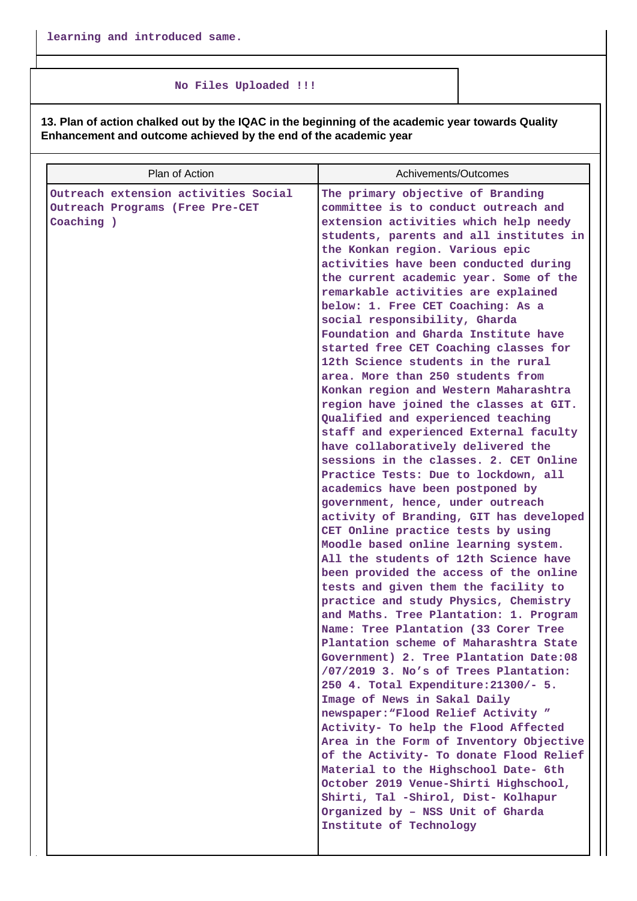#### **No Files Uploaded !!!**

**13. Plan of action chalked out by the IQAC in the beginning of the academic year towards Quality Enhancement and outcome achieved by the end of the academic year**

| Plan of Action                                                                        | Achivements/Outcomes                                                                                                                                                                                                                                                                                                                                                                                                                                                                                                                                                                                                                                                                                                                                                                                                                                                                                                                                                                                                                                                                                                                                                                                                                                                                                                                                                                                                                                                                                                                                                                                                                                                                     |
|---------------------------------------------------------------------------------------|------------------------------------------------------------------------------------------------------------------------------------------------------------------------------------------------------------------------------------------------------------------------------------------------------------------------------------------------------------------------------------------------------------------------------------------------------------------------------------------------------------------------------------------------------------------------------------------------------------------------------------------------------------------------------------------------------------------------------------------------------------------------------------------------------------------------------------------------------------------------------------------------------------------------------------------------------------------------------------------------------------------------------------------------------------------------------------------------------------------------------------------------------------------------------------------------------------------------------------------------------------------------------------------------------------------------------------------------------------------------------------------------------------------------------------------------------------------------------------------------------------------------------------------------------------------------------------------------------------------------------------------------------------------------------------------|
| Outreach extension activities Social<br>Outreach Programs (Free Pre-CET<br>Coaching ) | The primary objective of Branding<br>committee is to conduct outreach and<br>extension activities which help needy<br>students, parents and all institutes in<br>the Konkan region. Various epic<br>activities have been conducted during<br>the current academic year. Some of the<br>remarkable activities are explained<br>below: 1. Free CET Coaching: As a<br>social responsibility, Gharda<br>Foundation and Gharda Institute have<br>started free CET Coaching classes for<br>12th Science students in the rural<br>area. More than 250 students from<br>Konkan region and Western Maharashtra<br>region have joined the classes at GIT.<br>Qualified and experienced teaching<br>staff and experienced External faculty<br>have collaboratively delivered the<br>sessions in the classes. 2. CET Online<br>Practice Tests: Due to lockdown, all<br>academics have been postponed by<br>government, hence, under outreach<br>activity of Branding, GIT has developed<br>CET Online practice tests by using<br>Moodle based online learning system.<br>All the students of 12th Science have<br>been provided the access of the online<br>tests and given them the facility to<br>practice and study Physics, Chemistry<br>and Maths. Tree Plantation: 1. Program<br>Name: Tree Plantation (33 Corer Tree<br>Plantation scheme of Maharashtra State<br>Government) 2. Tree Plantation Date:08<br>/07/2019 3. No's of Trees Plantation:<br>250 4. Total Expenditure: 21300/- 5.<br>Image of News in Sakal Daily<br>newspaper: "Flood Relief Activity"<br>Activity- To help the Flood Affected<br>Area in the Form of Inventory Objective<br>of the Activity- To donate Flood Relief |
|                                                                                       | Material to the Highschool Date- 6th<br>October 2019 Venue-Shirti Highschool,<br>Shirti, Tal -Shirol, Dist- Kolhapur<br>Organized by - NSS Unit of Gharda<br>Institute of Technology                                                                                                                                                                                                                                                                                                                                                                                                                                                                                                                                                                                                                                                                                                                                                                                                                                                                                                                                                                                                                                                                                                                                                                                                                                                                                                                                                                                                                                                                                                     |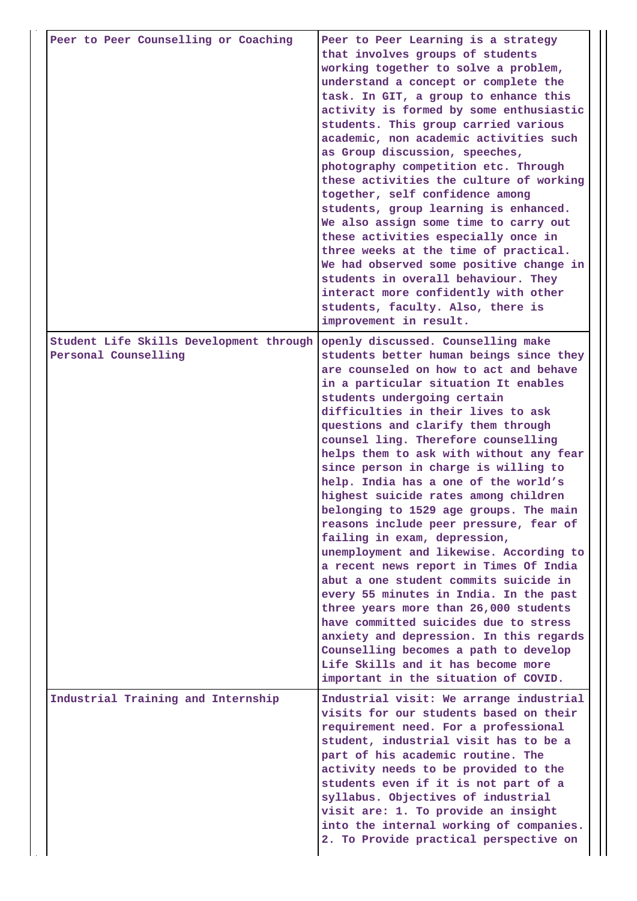| Peer to Peer Counselling or Coaching                            | Peer to Peer Learning is a strategy<br>that involves groups of students<br>working together to solve a problem,<br>understand a concept or complete the<br>task. In GIT, a group to enhance this<br>activity is formed by some enthusiastic<br>students. This group carried various<br>academic, non academic activities such<br>as Group discussion, speeches,<br>photography competition etc. Through<br>these activities the culture of working<br>together, self confidence among<br>students, group learning is enhanced.<br>We also assign some time to carry out<br>these activities especially once in<br>three weeks at the time of practical.<br>We had observed some positive change in<br>students in overall behaviour. They<br>interact more confidently with other<br>students, faculty. Also, there is<br>improvement in result.                                                                                                                                                                                     |
|-----------------------------------------------------------------|--------------------------------------------------------------------------------------------------------------------------------------------------------------------------------------------------------------------------------------------------------------------------------------------------------------------------------------------------------------------------------------------------------------------------------------------------------------------------------------------------------------------------------------------------------------------------------------------------------------------------------------------------------------------------------------------------------------------------------------------------------------------------------------------------------------------------------------------------------------------------------------------------------------------------------------------------------------------------------------------------------------------------------------|
| Student Life Skills Development through<br>Personal Counselling | openly discussed. Counselling make<br>students better human beings since they<br>are counseled on how to act and behave<br>in a particular situation It enables<br>students undergoing certain<br>difficulties in their lives to ask<br>questions and clarify them through<br>counsel ling. Therefore counselling<br>helps them to ask with without any fear<br>since person in charge is willing to<br>help. India has a one of the world's<br>highest suicide rates among children<br>belonging to 1529 age groups. The main<br>reasons include peer pressure, fear of<br>failing in exam, depression,<br>unemployment and likewise. According to<br>a recent news report in Times Of India<br>abut a one student commits suicide in<br>every 55 minutes in India. In the past<br>three years more than 26,000 students<br>have committed suicides due to stress<br>anxiety and depression. In this regards<br>Counselling becomes a path to develop<br>Life Skills and it has become more<br>important in the situation of COVID. |
| Industrial Training and Internship                              | Industrial visit: We arrange industrial<br>visits for our students based on their<br>requirement need. For a professional<br>student, industrial visit has to be a<br>part of his academic routine. The<br>activity needs to be provided to the<br>students even if it is not part of a<br>syllabus. Objectives of industrial<br>visit are: 1. To provide an insight<br>into the internal working of companies.<br>2. To Provide practical perspective on                                                                                                                                                                                                                                                                                                                                                                                                                                                                                                                                                                            |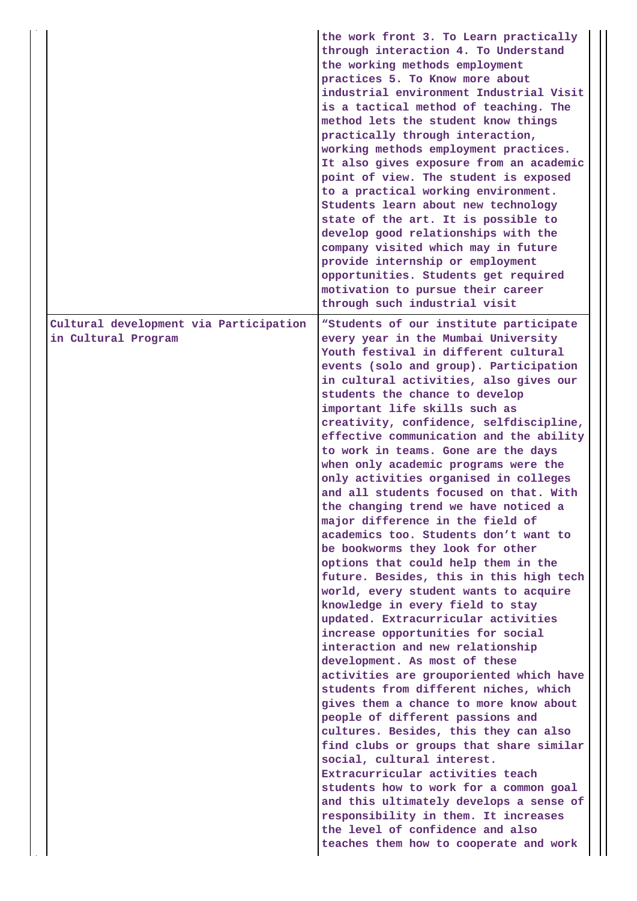|                                                               | the work front 3. To Learn practically<br>through interaction 4. To Understand<br>the working methods employment<br>practices 5. To Know more about<br>industrial environment Industrial Visit<br>is a tactical method of teaching. The<br>method lets the student know things<br>practically through interaction,<br>working methods employment practices.<br>It also gives exposure from an academic<br>point of view. The student is exposed<br>to a practical working environment.<br>Students learn about new technology<br>state of the art. It is possible to<br>develop good relationships with the<br>company visited which may in future<br>provide internship or employment<br>opportunities. Students get required<br>motivation to pursue their career<br>through such industrial visit                                                                                                                                                                                                                                                                                                                                                                                                                                                                                                                                                                                                                                                                                                                                             |
|---------------------------------------------------------------|--------------------------------------------------------------------------------------------------------------------------------------------------------------------------------------------------------------------------------------------------------------------------------------------------------------------------------------------------------------------------------------------------------------------------------------------------------------------------------------------------------------------------------------------------------------------------------------------------------------------------------------------------------------------------------------------------------------------------------------------------------------------------------------------------------------------------------------------------------------------------------------------------------------------------------------------------------------------------------------------------------------------------------------------------------------------------------------------------------------------------------------------------------------------------------------------------------------------------------------------------------------------------------------------------------------------------------------------------------------------------------------------------------------------------------------------------------------------------------------------------------------------------------------------------|
| Cultural development via Participation<br>in Cultural Program | "Students of our institute participate<br>every year in the Mumbai University<br>Youth festival in different cultural<br>events (solo and group). Participation<br>in cultural activities, also gives our<br>students the chance to develop<br>important life skills such as<br>creativity, confidence, selfdiscipline,<br>effective communication and the ability<br>to work in teams. Gone are the days<br>when only academic programs were the<br>only activities organised in colleges<br>and all students focused on that. With<br>the changing trend we have noticed a<br>major difference in the field of<br>academics too. Students don't want to<br>be bookworms they look for other<br>options that could help them in the<br>future. Besides, this in this high tech<br>world, every student wants to acquire<br>knowledge in every field to stay<br>updated. Extracurricular activities<br>increase opportunities for social<br>interaction and new relationship<br>development. As most of these<br>activities are grouporiented which have<br>students from different niches, which<br>gives them a chance to more know about<br>people of different passions and<br>cultures. Besides, this they can also<br>find clubs or groups that share similar<br>social, cultural interest.<br>Extracurricular activities teach<br>students how to work for a common goal<br>and this ultimately develops a sense of<br>responsibility in them. It increases<br>the level of confidence and also<br>teaches them how to cooperate and work |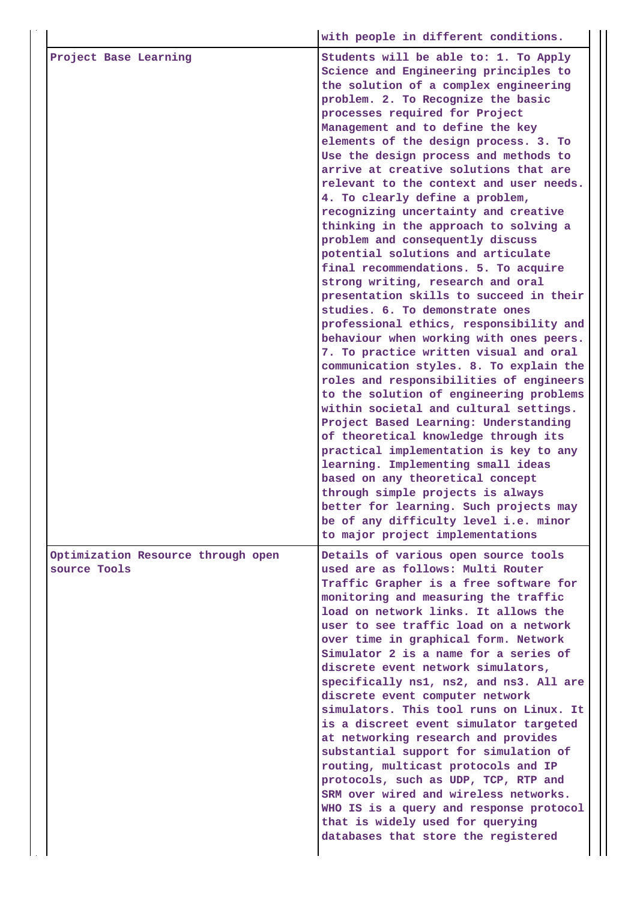|                                                    | with people in different conditions.                                                                                                                                                                                                                                                                                                                                                                                                                                                                                                                                                                                                                                                                                                                                                                                                                                                                                                                                                                                                                                                                                                                                                                                                                                                                                                                                                                                                           |
|----------------------------------------------------|------------------------------------------------------------------------------------------------------------------------------------------------------------------------------------------------------------------------------------------------------------------------------------------------------------------------------------------------------------------------------------------------------------------------------------------------------------------------------------------------------------------------------------------------------------------------------------------------------------------------------------------------------------------------------------------------------------------------------------------------------------------------------------------------------------------------------------------------------------------------------------------------------------------------------------------------------------------------------------------------------------------------------------------------------------------------------------------------------------------------------------------------------------------------------------------------------------------------------------------------------------------------------------------------------------------------------------------------------------------------------------------------------------------------------------------------|
| Project Base Learning                              | Students will be able to: 1. To Apply<br>Science and Engineering principles to<br>the solution of a complex engineering<br>problem. 2. To Recognize the basic<br>processes required for Project<br>Management and to define the key<br>elements of the design process. 3. To<br>Use the design process and methods to<br>arrive at creative solutions that are<br>relevant to the context and user needs.<br>4. To clearly define a problem,<br>recognizing uncertainty and creative<br>thinking in the approach to solving a<br>problem and consequently discuss<br>potential solutions and articulate<br>final recommendations. 5. To acquire<br>strong writing, research and oral<br>presentation skills to succeed in their<br>studies. 6. To demonstrate ones<br>professional ethics, responsibility and<br>behaviour when working with ones peers.<br>7. To practice written visual and oral<br>communication styles. 8. To explain the<br>roles and responsibilities of engineers<br>to the solution of engineering problems<br>within societal and cultural settings.<br>Project Based Learning: Understanding<br>of theoretical knowledge through its<br>practical implementation is key to any<br>learning. Implementing small ideas<br>based on any theoretical concept<br>through simple projects is always<br>better for learning. Such projects may<br>be of any difficulty level i.e. minor<br>to major project implementations |
| Optimization Resource through open<br>source Tools | Details of various open source tools<br>used are as follows: Multi Router<br>Traffic Grapher is a free software for<br>monitoring and measuring the traffic<br>load on network links. It allows the<br>user to see traffic load on a network<br>over time in graphical form. Network<br>Simulator 2 is a name for a series of<br>discrete event network simulators,<br>specifically ns1, ns2, and ns3. All are<br>discrete event computer network<br>simulators. This tool runs on Linux. It<br>is a discreet event simulator targeted<br>at networking research and provides<br>substantial support for simulation of<br>routing, multicast protocols and IP<br>protocols, such as UDP, TCP, RTP and<br>SRM over wired and wireless networks.<br>WHO IS is a query and response protocol<br>that is widely used for querying<br>databases that store the registered                                                                                                                                                                                                                                                                                                                                                                                                                                                                                                                                                                           |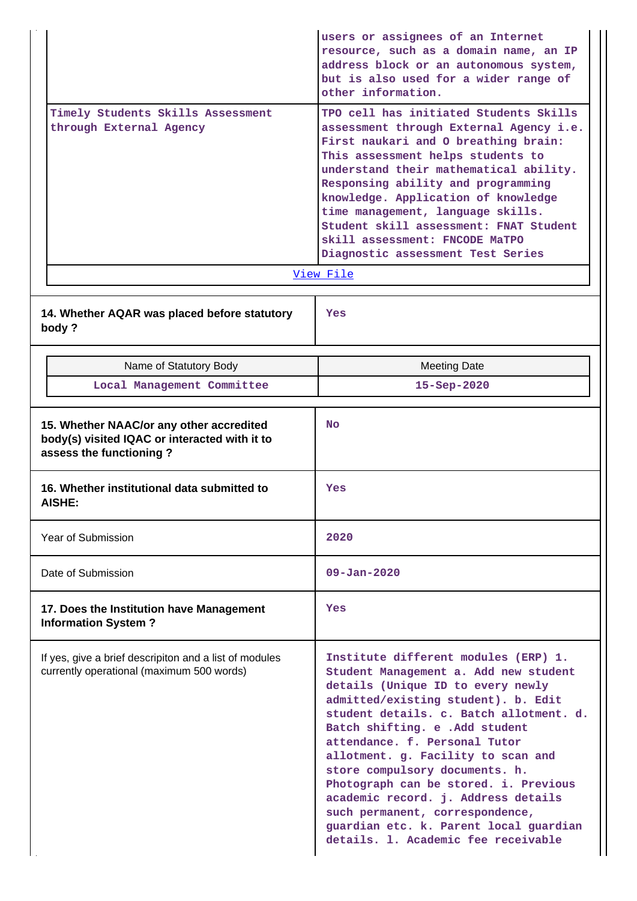| Timely Students Skills Assessment<br>through External Agency                                                         | users or assignees of an Internet<br>resource, such as a domain name, an IP<br>address block or an autonomous system,<br>but is also used for a wider range of<br>other information.<br>TPO cell has initiated Students Skills<br>assessment through External Agency i.e.<br>First naukari and O breathing brain:<br>This assessment helps students to<br>understand their mathematical ability.<br>Responsing ability and programming<br>knowledge. Application of knowledge<br>time management, language skills.<br>Student skill assessment: FNAT Student<br>skill assessment: FNCODE MaTPO<br>Diagnostic assessment Test Series |  |  |
|----------------------------------------------------------------------------------------------------------------------|-------------------------------------------------------------------------------------------------------------------------------------------------------------------------------------------------------------------------------------------------------------------------------------------------------------------------------------------------------------------------------------------------------------------------------------------------------------------------------------------------------------------------------------------------------------------------------------------------------------------------------------|--|--|
|                                                                                                                      | View File                                                                                                                                                                                                                                                                                                                                                                                                                                                                                                                                                                                                                           |  |  |
| 14. Whether AQAR was placed before statutory<br>body?                                                                | Yes                                                                                                                                                                                                                                                                                                                                                                                                                                                                                                                                                                                                                                 |  |  |
| Name of Statutory Body                                                                                               | <b>Meeting Date</b>                                                                                                                                                                                                                                                                                                                                                                                                                                                                                                                                                                                                                 |  |  |
| Local Management Committee                                                                                           | 15-Sep-2020                                                                                                                                                                                                                                                                                                                                                                                                                                                                                                                                                                                                                         |  |  |
| 15. Whether NAAC/or any other accredited<br>body(s) visited IQAC or interacted with it to<br>assess the functioning? | No.                                                                                                                                                                                                                                                                                                                                                                                                                                                                                                                                                                                                                                 |  |  |
| 16. Whether institutional data submitted to<br><b>AISHE:</b>                                                         | Yes                                                                                                                                                                                                                                                                                                                                                                                                                                                                                                                                                                                                                                 |  |  |
| Year of Submission                                                                                                   | 2020                                                                                                                                                                                                                                                                                                                                                                                                                                                                                                                                                                                                                                |  |  |
| Date of Submission                                                                                                   | $09 - Jan - 2020$                                                                                                                                                                                                                                                                                                                                                                                                                                                                                                                                                                                                                   |  |  |
| 17. Does the Institution have Management<br><b>Information System?</b>                                               | Yes                                                                                                                                                                                                                                                                                                                                                                                                                                                                                                                                                                                                                                 |  |  |
| If yes, give a brief descripiton and a list of modules<br>currently operational (maximum 500 words)                  | Institute different modules (ERP) 1.<br>Student Management a. Add new student<br>details (Unique ID to every newly<br>admitted/existing student). b. Edit<br>student details. c. Batch allotment. d.<br>Batch shifting. e . Add student<br>attendance. f. Personal Tutor<br>allotment. g. Facility to scan and<br>store compulsory documents. h.<br>Photograph can be stored. i. Previous<br>academic record. j. Address details<br>such permanent, correspondence,<br>guardian etc. k. Parent local guardian<br>details. 1. Academic fee receivable                                                                                |  |  |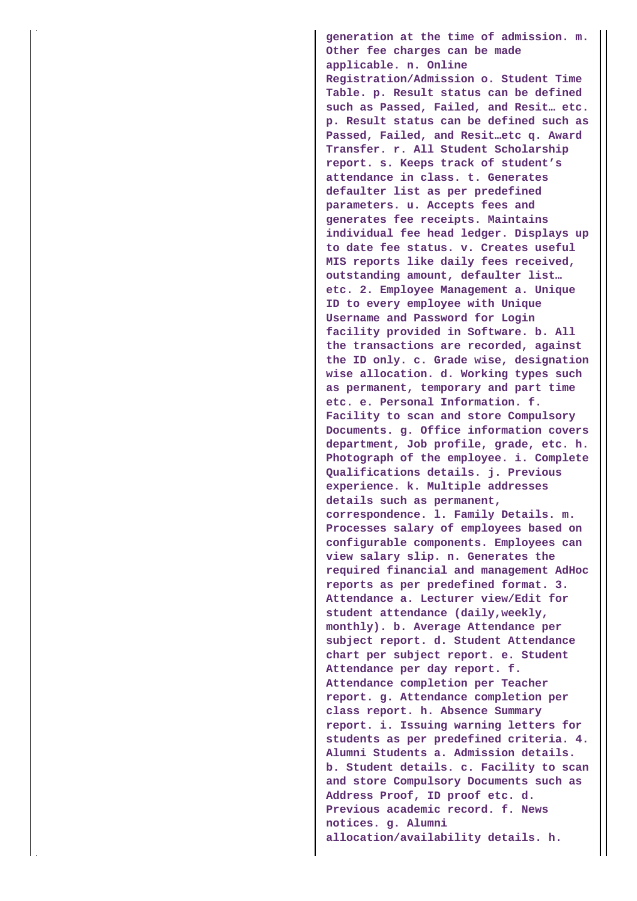**generation at the time of admission. m. Other fee charges can be made applicable. n. Online Registration/Admission o. Student Time Table. p. Result status can be defined such as Passed, Failed, and Resit… etc. p. Result status can be defined such as Passed, Failed, and Resit…etc q. Award Transfer. r. All Student Scholarship report. s. Keeps track of student's attendance in class. t. Generates defaulter list as per predefined parameters. u. Accepts fees and generates fee receipts. Maintains individual fee head ledger. Displays up to date fee status. v. Creates useful MIS reports like daily fees received, outstanding amount, defaulter list… etc. 2. Employee Management a. Unique ID to every employee with Unique Username and Password for Login facility provided in Software. b. All the transactions are recorded, against the ID only. c. Grade wise, designation wise allocation. d. Working types such as permanent, temporary and part time etc. e. Personal Information. f. Facility to scan and store Compulsory Documents. g. Office information covers department, Job profile, grade, etc. h. Photograph of the employee. i. Complete Qualifications details. j. Previous experience. k. Multiple addresses details such as permanent, correspondence. l. Family Details. m. Processes salary of employees based on configurable components. Employees can view salary slip. n. Generates the required financial and management AdHoc reports as per predefined format. 3. Attendance a. Lecturer view/Edit for student attendance (daily,weekly, monthly). b. Average Attendance per subject report. d. Student Attendance chart per subject report. e. Student Attendance per day report. f. Attendance completion per Teacher report. g. Attendance completion per class report. h. Absence Summary report. i. Issuing warning letters for students as per predefined criteria. 4. Alumni Students a. Admission details. b. Student details. c. Facility to scan and store Compulsory Documents such as Address Proof, ID proof etc. d. Previous academic record. f. News notices. g. Alumni allocation/availability details. h.**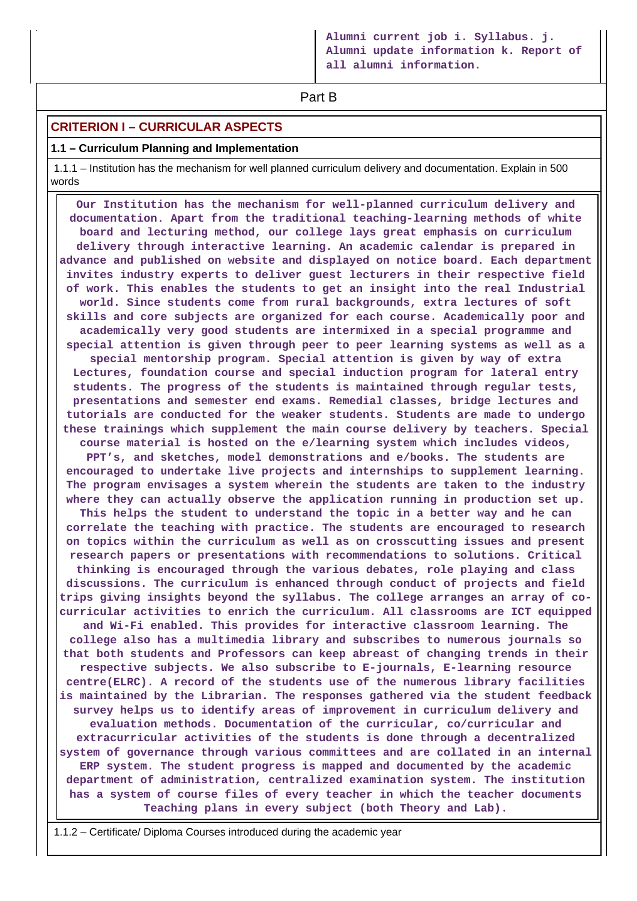**Part B** 

## **CRITERION I – CURRICULAR ASPECTS**

#### **1.1 – Curriculum Planning and Implementation**

 1.1.1 – Institution has the mechanism for well planned curriculum delivery and documentation. Explain in 500 words

 **Our Institution has the mechanism for well-planned curriculum delivery and documentation. Apart from the traditional teaching-learning methods of white board and lecturing method, our college lays great emphasis on curriculum delivery through interactive learning. An academic calendar is prepared in advance and published on website and displayed on notice board. Each department invites industry experts to deliver guest lecturers in their respective field of work. This enables the students to get an insight into the real Industrial world. Since students come from rural backgrounds, extra lectures of soft skills and core subjects are organized for each course. Academically poor and academically very good students are intermixed in a special programme and special attention is given through peer to peer learning systems as well as a special mentorship program. Special attention is given by way of extra Lectures, foundation course and special induction program for lateral entry students. The progress of the students is maintained through regular tests, presentations and semester end exams. Remedial classes, bridge lectures and tutorials are conducted for the weaker students. Students are made to undergo these trainings which supplement the main course delivery by teachers. Special course material is hosted on the e/learning system which includes videos, PPT's, and sketches, model demonstrations and e/books. The students are encouraged to undertake live projects and internships to supplement learning. The program envisages a system wherein the students are taken to the industry where they can actually observe the application running in production set up. This helps the student to understand the topic in a better way and he can correlate the teaching with practice. The students are encouraged to research on topics within the curriculum as well as on crosscutting issues and present research papers or presentations with recommendations to solutions. Critical thinking is encouraged through the various debates, role playing and class discussions. The curriculum is enhanced through conduct of projects and field trips giving insights beyond the syllabus. The college arranges an array of cocurricular activities to enrich the curriculum. All classrooms are ICT equipped and Wi-Fi enabled. This provides for interactive classroom learning. The college also has a multimedia library and subscribes to numerous journals so that both students and Professors can keep abreast of changing trends in their respective subjects. We also subscribe to E-journals, E-learning resource centre(ELRC). A record of the students use of the numerous library facilities is maintained by the Librarian. The responses gathered via the student feedback survey helps us to identify areas of improvement in curriculum delivery and evaluation methods. Documentation of the curricular, co/curricular and extracurricular activities of the students is done through a decentralized system of governance through various committees and are collated in an internal ERP system. The student progress is mapped and documented by the academic department of administration, centralized examination system. The institution has a system of course files of every teacher in which the teacher documents Teaching plans in every subject (both Theory and Lab).**

1.1.2 – Certificate/ Diploma Courses introduced during the academic year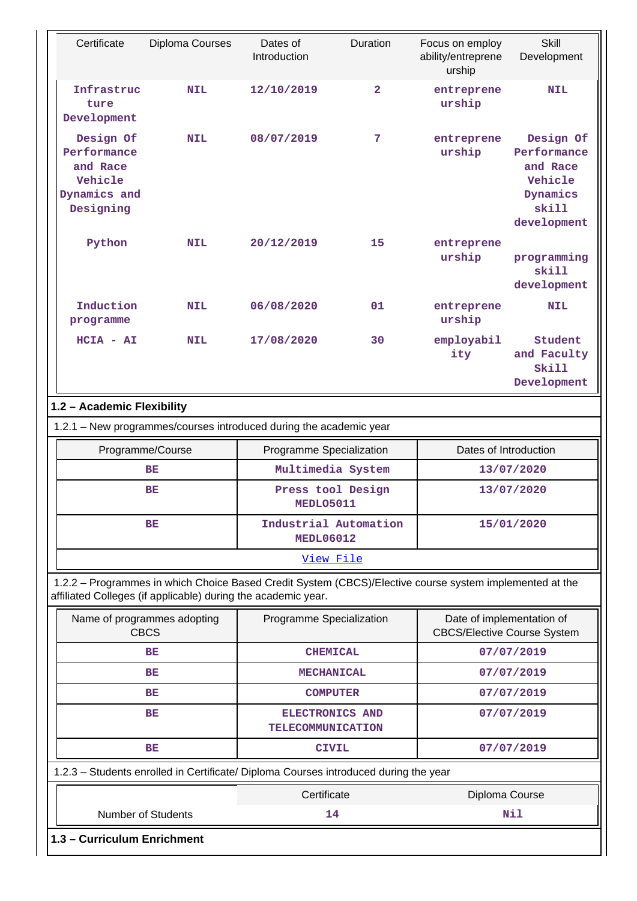| Certificate                                                                  | Diploma Courses                                               | Dates of<br>Introduction                                                                                | <b>Duration</b> | Focus on employ<br>ability/entreprene<br>urship                 | <b>Skill</b><br>Development                                                         |
|------------------------------------------------------------------------------|---------------------------------------------------------------|---------------------------------------------------------------------------------------------------------|-----------------|-----------------------------------------------------------------|-------------------------------------------------------------------------------------|
| Infrastruc<br>ture<br>Development                                            | <b>NIL</b>                                                    | 12/10/2019                                                                                              | $\overline{2}$  | entreprene<br>urship                                            | <b>NIL</b>                                                                          |
| Design Of<br>Performance<br>and Race<br>Vehicle<br>Dynamics and<br>Designing | <b>NIL</b>                                                    | 08/07/2019                                                                                              | 7               | entreprene<br>urship                                            | Design Of<br>Performance<br>and Race<br>Vehicle<br>Dynamics<br>skill<br>development |
| Python                                                                       | <b>NIL</b>                                                    | 20/12/2019                                                                                              | 15              | entreprene<br>urship                                            | programming<br>skill<br>development                                                 |
| Induction<br>programme                                                       | <b>NIL</b>                                                    | 06/08/2020                                                                                              | 01              | entreprene<br>urship                                            | <b>NIL</b>                                                                          |
| $HCIA - AI$                                                                  | <b>NIL</b>                                                    | 17/08/2020                                                                                              | 30              | employabil<br>ity                                               | Student<br>and Faculty<br>Skill<br>Development                                      |
| 1.2 - Academic Flexibility                                                   |                                                               |                                                                                                         |                 |                                                                 |                                                                                     |
|                                                                              |                                                               | 1.2.1 - New programmes/courses introduced during the academic year                                      |                 |                                                                 |                                                                                     |
|                                                                              |                                                               |                                                                                                         |                 |                                                                 |                                                                                     |
|                                                                              | Programme/Course                                              | Programme Specialization                                                                                |                 | Dates of Introduction                                           |                                                                                     |
|                                                                              | BE                                                            | Multimedia System                                                                                       |                 |                                                                 | 13/07/2020                                                                          |
|                                                                              | BE                                                            | Press tool Design<br>MEDLO5011                                                                          |                 |                                                                 | 13/07/2020                                                                          |
| BE                                                                           |                                                               | Industrial Automation<br><b>MEDL06012</b>                                                               |                 |                                                                 | 15/01/2020                                                                          |
|                                                                              |                                                               | View File                                                                                               |                 |                                                                 |                                                                                     |
|                                                                              | affiliated Colleges (if applicable) during the academic year. | 1.2.2 - Programmes in which Choice Based Credit System (CBCS)/Elective course system implemented at the |                 |                                                                 |                                                                                     |
|                                                                              | Name of programmes adopting<br><b>CBCS</b>                    | Programme Specialization                                                                                |                 | Date of implementation of<br><b>CBCS/Elective Course System</b> |                                                                                     |
|                                                                              | BE                                                            | <b>CHEMICAL</b>                                                                                         |                 |                                                                 | 07/07/2019                                                                          |
|                                                                              | BE                                                            | <b>MECHANICAL</b>                                                                                       |                 |                                                                 | 07/07/2019                                                                          |
|                                                                              | BE                                                            | <b>COMPUTER</b>                                                                                         |                 |                                                                 | 07/07/2019                                                                          |
|                                                                              | BE                                                            | ELECTRONICS AND<br><b>TELECOMMUNICATION</b>                                                             |                 |                                                                 | 07/07/2019                                                                          |
|                                                                              | BE                                                            | <b>CIVIL</b>                                                                                            |                 |                                                                 | 07/07/2019                                                                          |
|                                                                              |                                                               | 1.2.3 - Students enrolled in Certificate/ Diploma Courses introduced during the year                    |                 |                                                                 |                                                                                     |
|                                                                              |                                                               | Certificate                                                                                             |                 | Diploma Course                                                  |                                                                                     |
|                                                                              | Number of Students                                            | 14                                                                                                      |                 |                                                                 | Nil                                                                                 |

**1.3 – Curriculum Enrichment**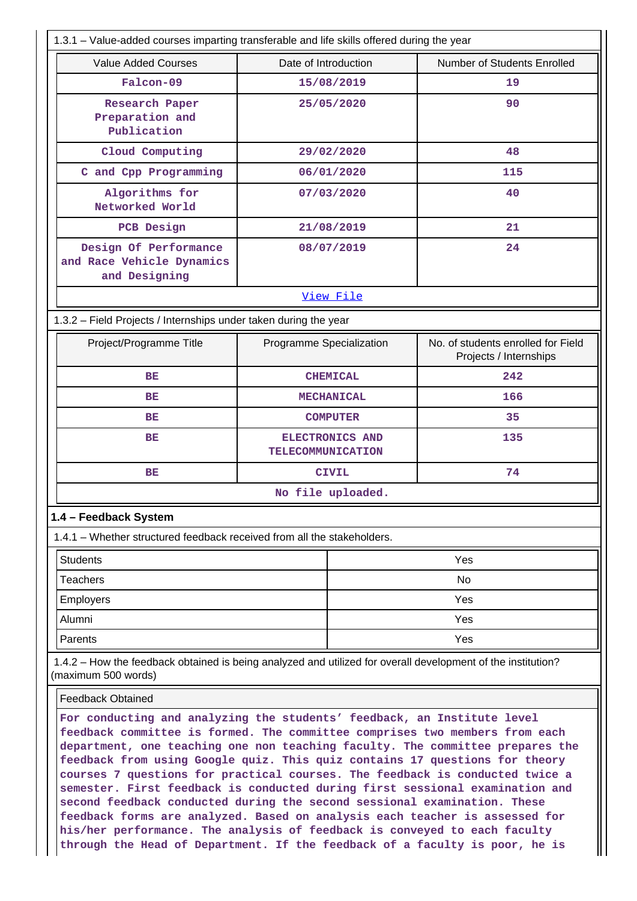| 1.3.1 – Value-added courses imparting transferable and life skills offered during the year                                                                                                                                              |                                                     |                   |                                                              |  |
|-----------------------------------------------------------------------------------------------------------------------------------------------------------------------------------------------------------------------------------------|-----------------------------------------------------|-------------------|--------------------------------------------------------------|--|
| <b>Value Added Courses</b>                                                                                                                                                                                                              | Number of Students Enrolled<br>Date of Introduction |                   |                                                              |  |
| Falcon-09                                                                                                                                                                                                                               | 15/08/2019                                          |                   | 19                                                           |  |
| Research Paper<br>Preparation and<br>Publication                                                                                                                                                                                        | 25/05/2020                                          |                   | 90                                                           |  |
| Cloud Computing                                                                                                                                                                                                                         |                                                     | 29/02/2020        | 48                                                           |  |
| C and Cpp Programming                                                                                                                                                                                                                   |                                                     | 06/01/2020        | 115                                                          |  |
| Algorithms for<br>Networked World                                                                                                                                                                                                       |                                                     | 07/03/2020        | 40                                                           |  |
| PCB Design                                                                                                                                                                                                                              |                                                     | 21/08/2019        | 21                                                           |  |
| Design Of Performance<br>and Race Vehicle Dynamics<br>and Designing                                                                                                                                                                     |                                                     | 08/07/2019        | 24                                                           |  |
|                                                                                                                                                                                                                                         |                                                     | View File         |                                                              |  |
| 1.3.2 - Field Projects / Internships under taken during the year                                                                                                                                                                        |                                                     |                   |                                                              |  |
| Project/Programme Title                                                                                                                                                                                                                 | Programme Specialization                            |                   | No. of students enrolled for Field<br>Projects / Internships |  |
| <b>BE</b>                                                                                                                                                                                                                               |                                                     | <b>CHEMICAL</b>   | 242                                                          |  |
| BE                                                                                                                                                                                                                                      |                                                     | <b>MECHANICAL</b> | 166                                                          |  |
| BE                                                                                                                                                                                                                                      |                                                     | <b>COMPUTER</b>   | 35                                                           |  |
| BE                                                                                                                                                                                                                                      | <b>TELECOMMUNICATION</b>                            | ELECTRONICS AND   | 135                                                          |  |
| BE                                                                                                                                                                                                                                      |                                                     | <b>CIVIL</b>      | 74                                                           |  |
|                                                                                                                                                                                                                                         |                                                     | No file uploaded. |                                                              |  |
| 1.4 - Feedback System                                                                                                                                                                                                                   |                                                     |                   |                                                              |  |
| 1.4.1 – Whether structured feedback received from all the stakeholders.                                                                                                                                                                 |                                                     |                   |                                                              |  |
| <b>Students</b>                                                                                                                                                                                                                         |                                                     |                   | Yes                                                          |  |
| <b>Teachers</b>                                                                                                                                                                                                                         |                                                     | No                |                                                              |  |
| Employers                                                                                                                                                                                                                               |                                                     | Yes               |                                                              |  |
| Alumni                                                                                                                                                                                                                                  |                                                     | Yes               |                                                              |  |
| Parents                                                                                                                                                                                                                                 |                                                     | Yes               |                                                              |  |
| 1.4.2 - How the feedback obtained is being analyzed and utilized for overall development of the institution?<br>(maximum 500 words)                                                                                                     |                                                     |                   |                                                              |  |
| <b>Feedback Obtained</b>                                                                                                                                                                                                                |                                                     |                   |                                                              |  |
| For conducting and analyzing the students' feedback, an Institute level<br>feedback committee is formed. The committee comprises two members from each<br>department, one teaching one non teaching faculty. The committee prepares the |                                                     |                   |                                                              |  |

**department, one teaching one non teaching faculty. The committee prepares the feedback from using Google quiz. This quiz contains 17 questions for theory courses 7 questions for practical courses. The feedback is conducted twice a semester. First feedback is conducted during first sessional examination and second feedback conducted during the second sessional examination. These feedback forms are analyzed. Based on analysis each teacher is assessed for his/her performance. The analysis of feedback is conveyed to each faculty through the Head of Department. If the feedback of a faculty is poor, he is**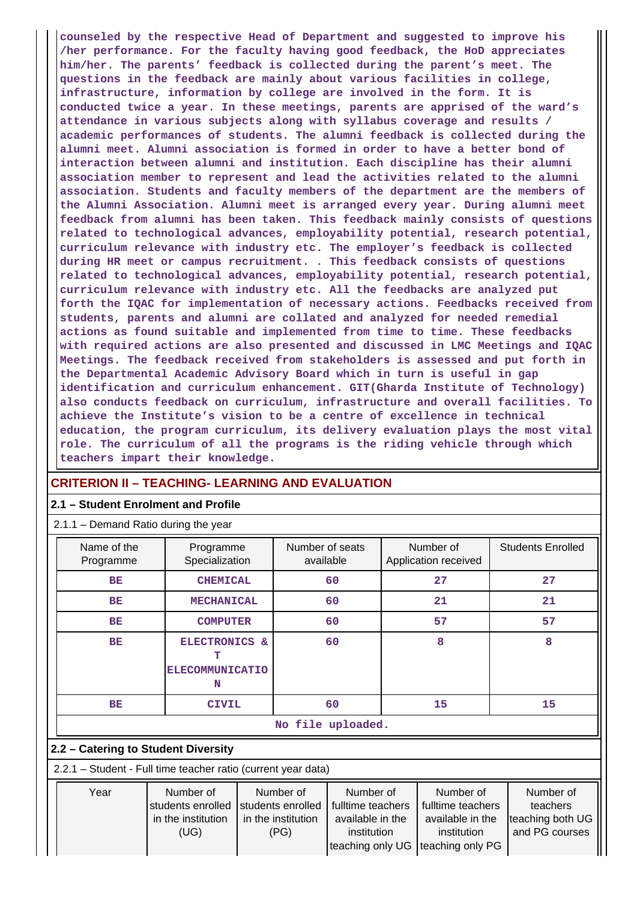**counseled by the respective Head of Department and suggested to improve his /her performance. For the faculty having good feedback, the HoD appreciates him/her. The parents' feedback is collected during the parent's meet. The questions in the feedback are mainly about various facilities in college, infrastructure, information by college are involved in the form. It is conducted twice a year. In these meetings, parents are apprised of the ward's attendance in various subjects along with syllabus coverage and results / academic performances of students. The alumni feedback is collected during the alumni meet. Alumni association is formed in order to have a better bond of interaction between alumni and institution. Each discipline has their alumni association member to represent and lead the activities related to the alumni association. Students and faculty members of the department are the members of the Alumni Association. Alumni meet is arranged every year. During alumni meet feedback from alumni has been taken. This feedback mainly consists of questions related to technological advances, employability potential, research potential, curriculum relevance with industry etc. The employer's feedback is collected during HR meet or campus recruitment. . This feedback consists of questions related to technological advances, employability potential, research potential, curriculum relevance with industry etc. All the feedbacks are analyzed put forth the IQAC for implementation of necessary actions. Feedbacks received from students, parents and alumni are collated and analyzed for needed remedial actions as found suitable and implemented from time to time. These feedbacks with required actions are also presented and discussed in LMC Meetings and IQAC Meetings. The feedback received from stakeholders is assessed and put forth in the Departmental Academic Advisory Board which in turn is useful in gap identification and curriculum enhancement. GIT(Gharda Institute of Technology) also conducts feedback on curriculum, infrastructure and overall facilities. To achieve the Institute's vision to be a centre of excellence in technical education, the program curriculum, its delivery evaluation plays the most vital role. The curriculum of all the programs is the riding vehicle through which teachers impart their knowledge.**

#### **CRITERION II – TEACHING- LEARNING AND EVALUATION**

#### **2.1 – Student Enrolment and Profile**

 $\sqrt{211}$  – Demand Ratio during the year

| <b>Domand Ratio darling the year</b>                          |                                                              |              |                                                              |                                                                                       |    |                                                                                       |                                                             |  |  |  |  |
|---------------------------------------------------------------|--------------------------------------------------------------|--------------|--------------------------------------------------------------|---------------------------------------------------------------------------------------|----|---------------------------------------------------------------------------------------|-------------------------------------------------------------|--|--|--|--|
| Name of the<br>Programme                                      | Programme<br>Specialization                                  |              | available                                                    | Number of seats                                                                       |    | Number of<br>Application received                                                     | <b>Students Enrolled</b>                                    |  |  |  |  |
| BE                                                            | <b>CHEMICAL</b>                                              |              |                                                              | 60                                                                                    |    | 27                                                                                    | 27                                                          |  |  |  |  |
| <b>BE</b>                                                     | <b>MECHANICAL</b>                                            |              | 60                                                           |                                                                                       | 21 | 21                                                                                    |                                                             |  |  |  |  |
| <b>BE</b>                                                     | <b>COMPUTER</b>                                              |              | 60                                                           |                                                                                       | 57 | 57                                                                                    |                                                             |  |  |  |  |
| BE                                                            | ELECTRONICS &<br>т<br><b>ELECOMMUNICATIO</b><br>N            |              |                                                              | 60                                                                                    |    | 8                                                                                     | 8                                                           |  |  |  |  |
| BE                                                            |                                                              | <b>CIVIL</b> |                                                              | 60                                                                                    |    | 15                                                                                    | 15                                                          |  |  |  |  |
|                                                               |                                                              |              |                                                              | No file uploaded.                                                                     |    |                                                                                       |                                                             |  |  |  |  |
| 2.2 – Catering to Student Diversity                           |                                                              |              |                                                              |                                                                                       |    |                                                                                       |                                                             |  |  |  |  |
| 2.2.1 - Student - Full time teacher ratio (current year data) |                                                              |              |                                                              |                                                                                       |    |                                                                                       |                                                             |  |  |  |  |
| Year                                                          | Number of<br>students enrolled<br>in the institution<br>(UG) |              | Number of<br>students enrolled<br>in the institution<br>(PG) | Number of<br>fulltime teachers<br>available in the<br>institution<br>teaching only UG |    | Number of<br>fulltime teachers<br>available in the<br>institution<br>teaching only PG | Number of<br>teachers<br>teaching both UG<br>and PG courses |  |  |  |  |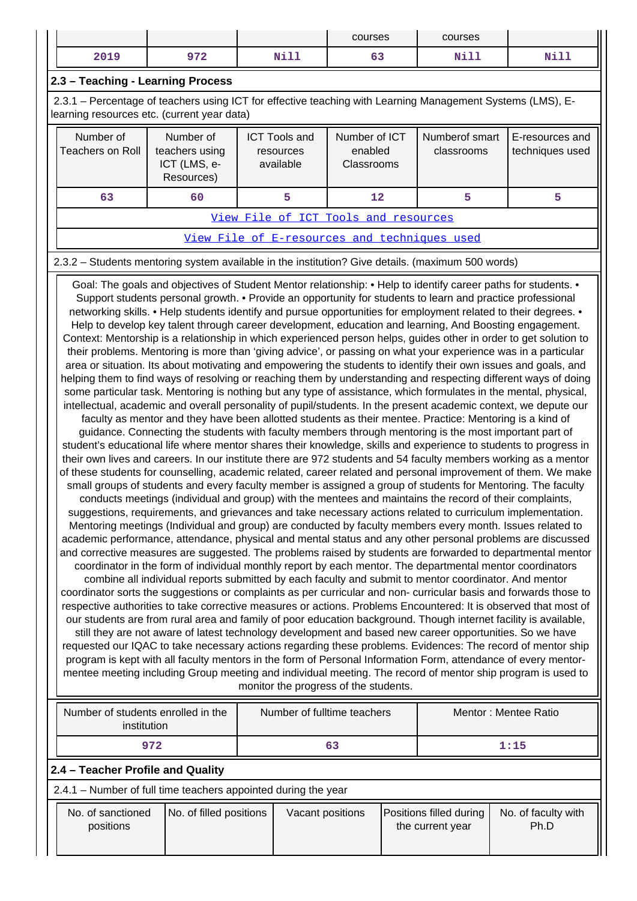| ٠.   |            |             | courses | courses |              |
|------|------------|-------------|---------|---------|--------------|
| 2019 | 0.72       | <b>Nill</b> | --      | ស÷ា ។   | <b>NH 11</b> |
|      | <i>, ,</i> | ᅒᆠᄘ         | ັບ      | ----    | ----         |

### **2.3 – Teaching - Learning Process**

 2.3.1 – Percentage of teachers using ICT for effective teaching with Learning Management Systems (LMS), Elearning resources etc. (current year data)

| Number of<br>Teachers on Roll | Number of<br>teachers using<br>ICT (LMS, e-<br>Resources) | <b>ICT Tools and</b><br>resources<br>available | Number of ICT<br>enabled<br><b>Classrooms</b> | Numberof smart<br>classrooms | E-resources and<br>techniques used |  |  |  |  |  |  |
|-------------------------------|-----------------------------------------------------------|------------------------------------------------|-----------------------------------------------|------------------------------|------------------------------------|--|--|--|--|--|--|
| 63                            | 60                                                        |                                                | 12                                            |                              |                                    |  |  |  |  |  |  |
|                               | _<br>-- -<br>$\sim$ $\sim$ $\sim$ $\sim$ $\sim$           |                                                |                                               |                              |                                    |  |  |  |  |  |  |

[View File of ICT Tools and resources](https://assessmentonline.naac.gov.in/public/Postacc/ict_tools/6800_ict_tools_1612157486.xlsx)

[View File of E-resources and techniques used](https://assessmentonline.naac.gov.in/public/Postacc/e_resource/6800_e_resource_1622288454.xlsx)

#### 2.3.2 – Students mentoring system available in the institution? Give details. (maximum 500 words)

Goal: The goals and objectives of Student Mentor relationship: • Help to identify career paths for students. • Support students personal growth. • Provide an opportunity for students to learn and practice professional networking skills. • Help students identify and pursue opportunities for employment related to their degrees. • Help to develop key talent through career development, education and learning, And Boosting engagement. Context: Mentorship is a relationship in which experienced person helps, guides other in order to get solution to their problems. Mentoring is more than 'giving advice', or passing on what your experience was in a particular area or situation. Its about motivating and empowering the students to identify their own issues and goals, and helping them to find ways of resolving or reaching them by understanding and respecting different ways of doing some particular task. Mentoring is nothing but any type of assistance, which formulates in the mental, physical, intellectual, academic and overall personality of pupil/students. In the present academic context, we depute our faculty as mentor and they have been allotted students as their mentee. Practice: Mentoring is a kind of guidance. Connecting the students with faculty members through mentoring is the most important part of student's educational life where mentor shares their knowledge, skills and experience to students to progress in their own lives and careers. In our institute there are 972 students and 54 faculty members working as a mentor of these students for counselling, academic related, career related and personal improvement of them. We make small groups of students and every faculty member is assigned a group of students for Mentoring. The faculty conducts meetings (individual and group) with the mentees and maintains the record of their complaints, suggestions, requirements, and grievances and take necessary actions related to curriculum implementation. Mentoring meetings (Individual and group) are conducted by faculty members every month. Issues related to academic performance, attendance, physical and mental status and any other personal problems are discussed and corrective measures are suggested. The problems raised by students are forwarded to departmental mentor coordinator in the form of individual monthly report by each mentor. The departmental mentor coordinators combine all individual reports submitted by each faculty and submit to mentor coordinator. And mentor coordinator sorts the suggestions or complaints as per curricular and non- curricular basis and forwards those to respective authorities to take corrective measures or actions. Problems Encountered: It is observed that most of our students are from rural area and family of poor education background. Though internet facility is available, still they are not aware of latest technology development and based new career opportunities. So we have requested our IQAC to take necessary actions regarding these problems. Evidences: The record of mentor ship program is kept with all faculty mentors in the form of Personal Information Form, attendance of every mentormentee meeting including Group meeting and individual meeting. The record of mentor ship program is used to monitor the progress of the students.

| Number of students enrolled in the<br>institution              |                         |    | Number of fulltime teachers |  | Mentor: Mentee Ratio                        |                             |  |  |  |
|----------------------------------------------------------------|-------------------------|----|-----------------------------|--|---------------------------------------------|-----------------------------|--|--|--|
| 972                                                            |                         | 63 |                             |  | 1:15                                        |                             |  |  |  |
| 2.4 – Teacher Profile and Quality                              |                         |    |                             |  |                                             |                             |  |  |  |
| 2.4.1 - Number of full time teachers appointed during the year |                         |    |                             |  |                                             |                             |  |  |  |
| No. of sanctioned<br>positions                                 | No. of filled positions |    | Vacant positions            |  | Positions filled during<br>the current year | No. of faculty with<br>Ph.D |  |  |  |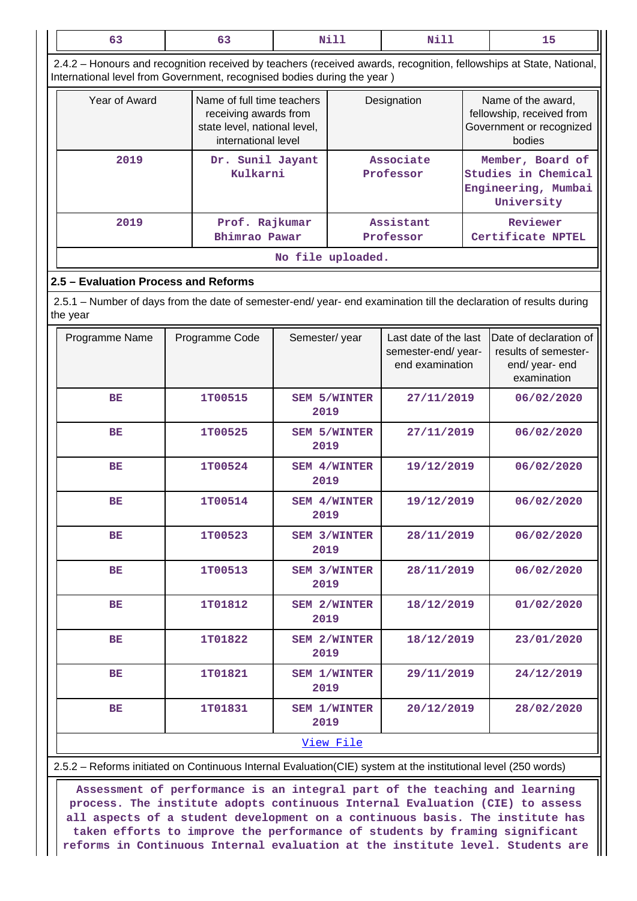| 63                                                                                                                             |  | 63                                                                                                         | <b>Nill</b>                 |                        | <b>Nill</b>                                                    |                                                                                       | 15                                                                                                                  |  |  |
|--------------------------------------------------------------------------------------------------------------------------------|--|------------------------------------------------------------------------------------------------------------|-----------------------------|------------------------|----------------------------------------------------------------|---------------------------------------------------------------------------------------|---------------------------------------------------------------------------------------------------------------------|--|--|
| International level from Government, recognised bodies during the year)                                                        |  |                                                                                                            |                             |                        |                                                                |                                                                                       | 2.4.2 - Honours and recognition received by teachers (received awards, recognition, fellowships at State, National, |  |  |
| Year of Award                                                                                                                  |  | Name of full time teachers<br>receiving awards from<br>state level, national level,<br>international level |                             | Designation            |                                                                | Name of the award,<br>fellowship, received from<br>Government or recognized<br>bodies |                                                                                                                     |  |  |
| 2019                                                                                                                           |  | Dr. Sunil Jayant<br>Kulkarni                                                                               |                             | Associate<br>Professor |                                                                | Member, Board of<br>Studies in Chemical<br>Engineering, Mumbai<br>University          |                                                                                                                     |  |  |
| 2019                                                                                                                           |  | Prof. Rajkumar<br>Bhimrao Pawar                                                                            |                             |                        | Assistant<br>Professor                                         |                                                                                       | Reviewer<br>Certificate NPTEL                                                                                       |  |  |
| No file uploaded.                                                                                                              |  |                                                                                                            |                             |                        |                                                                |                                                                                       |                                                                                                                     |  |  |
| 2.5 - Evaluation Process and Reforms                                                                                           |  |                                                                                                            |                             |                        |                                                                |                                                                                       |                                                                                                                     |  |  |
| 2.5.1 - Number of days from the date of semester-end/ year- end examination till the declaration of results during<br>the year |  |                                                                                                            |                             |                        |                                                                |                                                                                       |                                                                                                                     |  |  |
| Programme Name                                                                                                                 |  | Programme Code                                                                                             | Semester/year               |                        | Last date of the last<br>semester-end/year-<br>end examination |                                                                                       | Date of declaration of<br>results of semester-<br>end/year-end<br>examination                                       |  |  |
| BE                                                                                                                             |  | 1T00515                                                                                                    | 2019                        | <b>SEM 5/WINTER</b>    | 27/11/2019                                                     |                                                                                       | 06/02/2020                                                                                                          |  |  |
| BE                                                                                                                             |  | 1T00525                                                                                                    | <b>SEM 5/WINTER</b><br>2019 |                        | 27/11/2019                                                     |                                                                                       | 06/02/2020                                                                                                          |  |  |
| BE                                                                                                                             |  | 1T00524                                                                                                    | SEM 4/WINTER<br>2019        |                        | 19/12/2019                                                     |                                                                                       | 06/02/2020                                                                                                          |  |  |
| ВE                                                                                                                             |  | 1T00514                                                                                                    | 2019                        | <b>SEM 4/WINTER</b>    | 19/12/2019                                                     |                                                                                       | 06/02/2020                                                                                                          |  |  |
| BЕ                                                                                                                             |  | 1T00523                                                                                                    | 2019                        | <b>SEM 3/WINTER</b>    | 28/11/2019                                                     |                                                                                       | 06/02/2020                                                                                                          |  |  |
| <b>BE</b>                                                                                                                      |  | 1T00513                                                                                                    | 2019                        | SEM 3/WINTER           | 28/11/2019                                                     |                                                                                       | 06/02/2020                                                                                                          |  |  |
| ВE                                                                                                                             |  | 1T01812                                                                                                    | 2019                        | <b>SEM 2/WINTER</b>    | 18/12/2019                                                     |                                                                                       | 01/02/2020                                                                                                          |  |  |
| <b>BE</b>                                                                                                                      |  | 1T01822                                                                                                    | 2019                        | <b>SEM 2/WINTER</b>    | 18/12/2019                                                     |                                                                                       | 23/01/2020                                                                                                          |  |  |
| <b>BE</b>                                                                                                                      |  | 1T01821                                                                                                    | <b>SEM 1/WINTER</b><br>2019 |                        | 29/11/2019                                                     |                                                                                       | 24/12/2019                                                                                                          |  |  |
| BЕ<br>1T01831                                                                                                                  |  | 2019                                                                                                       | SEM 1/WINTER                | 20/12/2019             |                                                                | 28/02/2020                                                                            |                                                                                                                     |  |  |
|                                                                                                                                |  |                                                                                                            |                             | View File              |                                                                |                                                                                       |                                                                                                                     |  |  |

2.5.2 – Reforms initiated on Continuous Internal Evaluation(CIE) system at the institutional level (250 words)

 **Assessment of performance is an integral part of the teaching and learning process. The institute adopts continuous Internal Evaluation (CIE) to assess all aspects of a student development on a continuous basis. The institute has taken efforts to improve the performance of students by framing significant reforms in Continuous Internal evaluation at the institute level. Students are**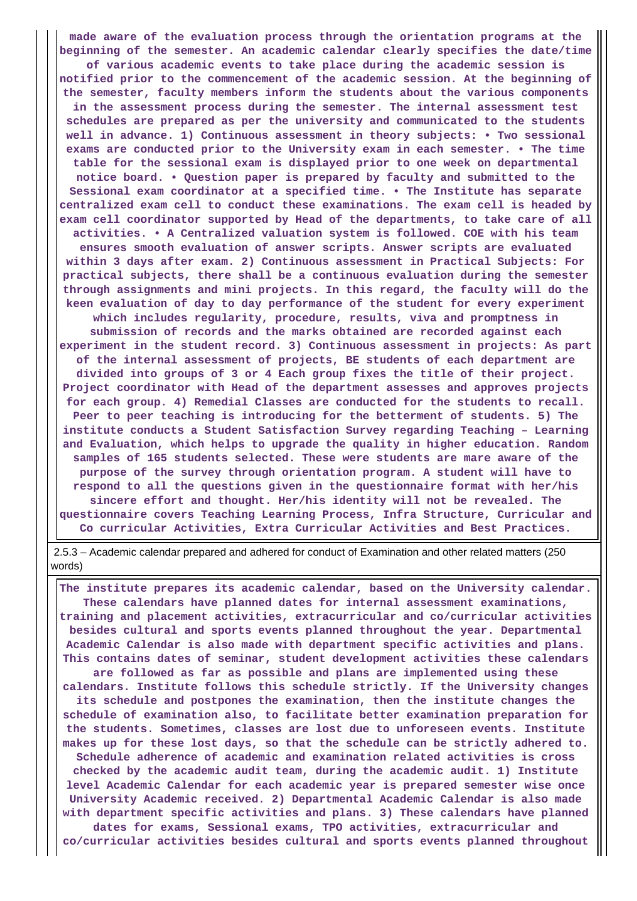**made aware of the evaluation process through the orientation programs at the beginning of the semester. An academic calendar clearly specifies the date/time of various academic events to take place during the academic session is notified prior to the commencement of the academic session. At the beginning of the semester, faculty members inform the students about the various components in the assessment process during the semester. The internal assessment test schedules are prepared as per the university and communicated to the students well in advance. 1) Continuous assessment in theory subjects: • Two sessional exams are conducted prior to the University exam in each semester. • The time table for the sessional exam is displayed prior to one week on departmental notice board. • Question paper is prepared by faculty and submitted to the Sessional exam coordinator at a specified time. • The Institute has separate centralized exam cell to conduct these examinations. The exam cell is headed by exam cell coordinator supported by Head of the departments, to take care of all activities. • A Centralized valuation system is followed. COE with his team ensures smooth evaluation of answer scripts. Answer scripts are evaluated within 3 days after exam. 2) Continuous assessment in Practical Subjects: For practical subjects, there shall be a continuous evaluation during the semester through assignments and mini projects. In this regard, the faculty will do the keen evaluation of day to day performance of the student for every experiment which includes regularity, procedure, results, viva and promptness in submission of records and the marks obtained are recorded against each experiment in the student record. 3) Continuous assessment in projects: As part of the internal assessment of projects, BE students of each department are divided into groups of 3 or 4 Each group fixes the title of their project. Project coordinator with Head of the department assesses and approves projects for each group. 4) Remedial Classes are conducted for the students to recall. Peer to peer teaching is introducing for the betterment of students. 5) The institute conducts a Student Satisfaction Survey regarding Teaching – Learning and Evaluation, which helps to upgrade the quality in higher education. Random samples of 165 students selected. These were students are mare aware of the purpose of the survey through orientation program. A student will have to respond to all the questions given in the questionnaire format with her/his sincere effort and thought. Her/his identity will not be revealed. The questionnaire covers Teaching Learning Process, Infra Structure, Curricular and Co curricular Activities, Extra Curricular Activities and Best Practices.**

 2.5.3 – Academic calendar prepared and adhered for conduct of Examination and other related matters (250 words)

 **The institute prepares its academic calendar, based on the University calendar. These calendars have planned dates for internal assessment examinations, training and placement activities, extracurricular and co/curricular activities besides cultural and sports events planned throughout the year. Departmental Academic Calendar is also made with department specific activities and plans. This contains dates of seminar, student development activities these calendars are followed as far as possible and plans are implemented using these calendars. Institute follows this schedule strictly. If the University changes its schedule and postpones the examination, then the institute changes the schedule of examination also, to facilitate better examination preparation for the students. Sometimes, classes are lost due to unforeseen events. Institute makes up for these lost days, so that the schedule can be strictly adhered to. Schedule adherence of academic and examination related activities is cross checked by the academic audit team, during the academic audit. 1) Institute level Academic Calendar for each academic year is prepared semester wise once University Academic received. 2) Departmental Academic Calendar is also made with department specific activities and plans. 3) These calendars have planned dates for exams, Sessional exams, TPO activities, extracurricular and co/curricular activities besides cultural and sports events planned throughout**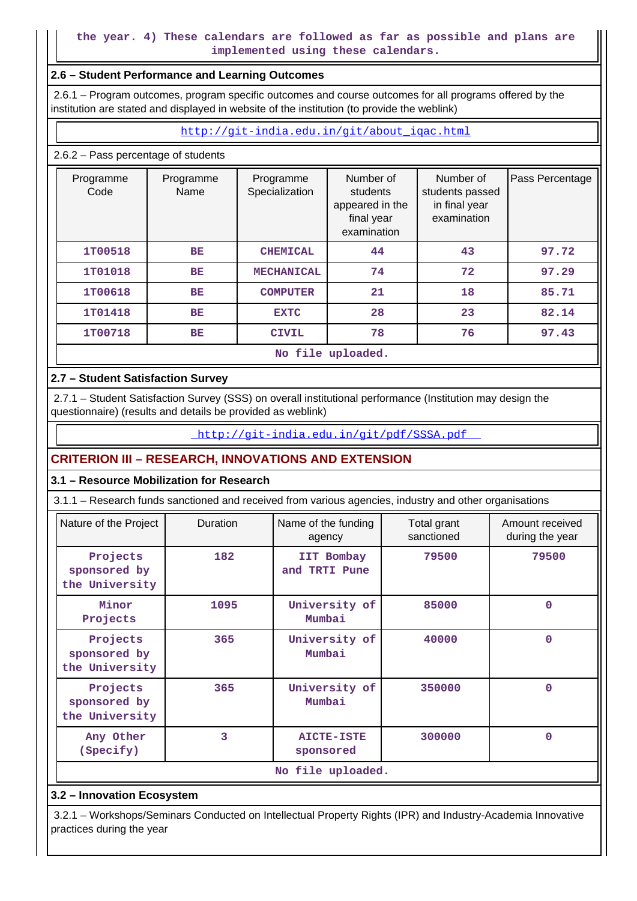### **the year. 4) These calendars are followed as far as possible and plans are implemented using these calendars.**

#### **2.6 – Student Performance and Learning Outcomes**

 2.6.1 – Program outcomes, program specific outcomes and course outcomes for all programs offered by the institution are stated and displayed in website of the institution (to provide the weblink)

#### [http://git-india.edu.in/git/about\\_iqac.html](http://git-india.edu.in/git/about_iqac.html)

#### 2.6.2 – Pass percentage of students

| Programme<br>Code    | Programme<br>Name | Programme<br>Specialization | Number of<br>students<br>appeared in the<br>final year<br>examination | Number of<br>students passed<br>in final year<br>examination | Pass Percentage |  |  |  |  |  |  |
|----------------------|-------------------|-----------------------------|-----------------------------------------------------------------------|--------------------------------------------------------------|-----------------|--|--|--|--|--|--|
| 1T00518              | BE                | <b>CHEMICAL</b>             | 44                                                                    | 43                                                           | 97.72           |  |  |  |  |  |  |
| 1T01018              | BE                |                             | 74                                                                    | 72                                                           | 97.29           |  |  |  |  |  |  |
| 1T00618              | BE                | <b>COMPUTER</b>             | 21                                                                    | 18                                                           | 85.71           |  |  |  |  |  |  |
| 1T01418<br><b>BE</b> |                   | <b>EXTC</b>                 | 28                                                                    | 23                                                           | 82.14           |  |  |  |  |  |  |
| 1T00718<br>BE        |                   | <b>CIVIL</b>                | 78                                                                    | 76                                                           | 97.43           |  |  |  |  |  |  |
|                      | No file uploaded. |                             |                                                                       |                                                              |                 |  |  |  |  |  |  |

#### **2.7 – Student Satisfaction Survey**

 2.7.1 – Student Satisfaction Survey (SSS) on overall institutional performance (Institution may design the questionnaire) (results and details be provided as weblink)

<http://git-india.edu.in/git/pdf/SSSA.pdf>

## **CRITERION III – RESEARCH, INNOVATIONS AND EXTENSION**

#### **3.1 – Resource Mobilization for Research**

3.1.1 – Research funds sanctioned and received from various agencies, industry and other organisations

| Nature of the Project                      | <b>Duration</b>   |                                | Total grant<br>sanctioned | Amount received<br>during the year |  |  |  |  |
|--------------------------------------------|-------------------|--------------------------------|---------------------------|------------------------------------|--|--|--|--|
| Projects<br>sponsored by<br>the University | 182               | IIT Bombay<br>and TRTI Pune    | 79500                     | 79500                              |  |  |  |  |
| Minor<br>Projects                          | 1095              | University of<br>Mumbai        | 85000                     | $\Omega$                           |  |  |  |  |
| Projects<br>sponsored by<br>the University | 365               | University of<br>Mumbai        | 40000                     | $\Omega$                           |  |  |  |  |
| Projects<br>sponsored by<br>the University | 365               | University of<br>Mumbai        | 350000                    | $\Omega$                           |  |  |  |  |
| Any Other<br>(Specify)                     | 3                 | <b>AICTE-ISTE</b><br>sponsored | 300000                    | $\mathbf 0$                        |  |  |  |  |
|                                            | No file uploaded. |                                |                           |                                    |  |  |  |  |

#### **3.2 – Innovation Ecosystem**

 3.2.1 – Workshops/Seminars Conducted on Intellectual Property Rights (IPR) and Industry-Academia Innovative practices during the year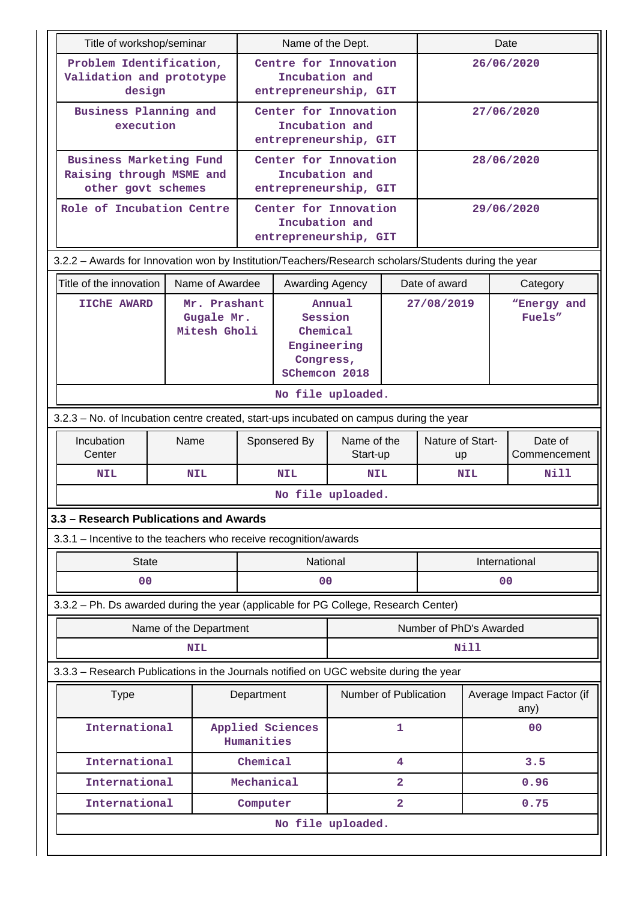| Title of workshop/seminar                                                                            |  |                                      |                                                                            | Name of the Dept.                                                |                         |                         | Date                    |                       |                                   |  |
|------------------------------------------------------------------------------------------------------|--|--------------------------------------|----------------------------------------------------------------------------|------------------------------------------------------------------|-------------------------|-------------------------|-------------------------|-----------------------|-----------------------------------|--|
| Problem Identification,<br>Validation and prototype<br>design                                        |  |                                      |                                                                            | Centre for Innovation<br>Incubation and<br>entrepreneurship, GIT |                         |                         |                         |                       | 26/06/2020                        |  |
| Business Planning and<br>execution                                                                   |  |                                      |                                                                            | Center for Innovation<br>Incubation and<br>entrepreneurship, GIT |                         |                         |                         |                       | 27/06/2020                        |  |
| Business Marketing Fund<br>Raising through MSME and<br>other govt schemes                            |  |                                      |                                                                            | Center for Innovation<br>Incubation and<br>entrepreneurship, GIT |                         |                         |                         |                       | 28/06/2020                        |  |
| Role of Incubation Centre                                                                            |  |                                      |                                                                            | Center for Innovation<br>Incubation and<br>entrepreneurship, GIT |                         |                         |                         |                       | 29/06/2020                        |  |
| 3.2.2 - Awards for Innovation won by Institution/Teachers/Research scholars/Students during the year |  |                                      |                                                                            |                                                                  |                         |                         |                         |                       |                                   |  |
| Title of the innovation                                                                              |  | Name of Awardee                      |                                                                            | Awarding Agency                                                  |                         |                         | Date of award           |                       | Category                          |  |
| <b>IIChE AWARD</b><br>Mr. Prashant<br>Gugale Mr.<br>Mitesh Gholi                                     |  |                                      | Annual<br>Session<br>Chemical<br>Engineering<br>Congress,<br>SChemcon 2018 |                                                                  |                         | 27/08/2019              |                         | "Energy and<br>Fuels" |                                   |  |
|                                                                                                      |  |                                      |                                                                            | No file uploaded.                                                |                         |                         |                         |                       |                                   |  |
| 3.2.3 - No. of Incubation centre created, start-ups incubated on campus during the year              |  |                                      |                                                                            |                                                                  |                         |                         |                         |                       |                                   |  |
| Incubation<br>Name<br>Center                                                                         |  |                                      | Sponsered By                                                               |                                                                  | Name of the<br>Start-up |                         | Nature of Start-<br>up  |                       | Date of<br>Commencement           |  |
| <b>NIL</b>                                                                                           |  | <b>NIL</b>                           |                                                                            | <b>NIL</b><br>NIL                                                |                         |                         | <b>NIL</b>              | Nill                  |                                   |  |
|                                                                                                      |  |                                      |                                                                            | No file uploaded.                                                |                         |                         |                         |                       |                                   |  |
| 3.3 - Research Publications and Awards                                                               |  |                                      |                                                                            |                                                                  |                         |                         |                         |                       |                                   |  |
| 3.3.1 - Incentive to the teachers who receive recognition/awards                                     |  |                                      |                                                                            |                                                                  |                         |                         |                         |                       |                                   |  |
| <b>State</b>                                                                                         |  |                                      |                                                                            | National                                                         |                         |                         | International           |                       |                                   |  |
| 0 <sub>0</sub>                                                                                       |  |                                      |                                                                            | 00                                                               |                         |                         |                         |                       | 00                                |  |
| 3.3.2 - Ph. Ds awarded during the year (applicable for PG College, Research Center)                  |  |                                      |                                                                            |                                                                  |                         |                         |                         |                       |                                   |  |
|                                                                                                      |  | Name of the Department<br><b>NIL</b> |                                                                            |                                                                  |                         |                         | Number of PhD's Awarded | Nill                  |                                   |  |
| 3.3.3 - Research Publications in the Journals notified on UGC website during the year                |  |                                      |                                                                            |                                                                  |                         |                         |                         |                       |                                   |  |
| <b>Type</b>                                                                                          |  |                                      | Department                                                                 |                                                                  | Number of Publication   |                         |                         |                       | Average Impact Factor (if<br>any) |  |
| International                                                                                        |  |                                      | Humanities                                                                 | Applied Sciences                                                 |                         | 1                       |                         |                       | 0 <sub>0</sub>                    |  |
| International                                                                                        |  |                                      | Chemical                                                                   |                                                                  |                         | 4                       |                         |                       | 3.5                               |  |
| International                                                                                        |  |                                      | Mechanical                                                                 |                                                                  |                         | $\overline{a}$          |                         |                       | 0.96                              |  |
| International                                                                                        |  |                                      | Computer                                                                   |                                                                  |                         | $\overline{\mathbf{2}}$ |                         |                       | 0.75                              |  |
|                                                                                                      |  |                                      |                                                                            | No file uploaded.                                                |                         |                         |                         |                       |                                   |  |
|                                                                                                      |  |                                      |                                                                            |                                                                  |                         |                         |                         |                       |                                   |  |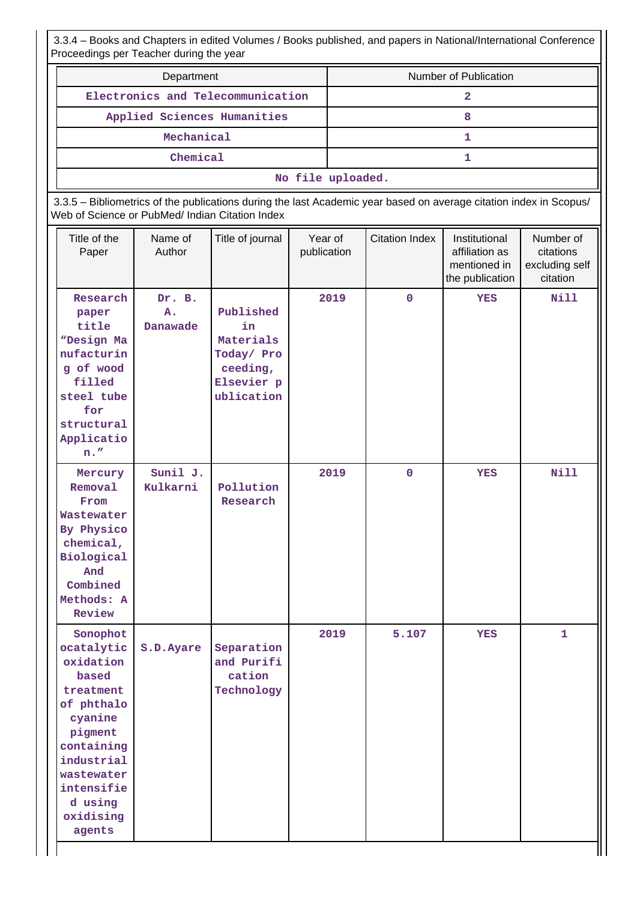3.3.4 – Books and Chapters in edited Volumes / Books published, and papers in National/International Conference Proceedings per Teacher during the year

|                                                                                                                                                                                         | Department                                      |                                                                                                                    |                        |                   |                       | Number of Publication                                              |                                                      |  |
|-----------------------------------------------------------------------------------------------------------------------------------------------------------------------------------------|-------------------------------------------------|--------------------------------------------------------------------------------------------------------------------|------------------------|-------------------|-----------------------|--------------------------------------------------------------------|------------------------------------------------------|--|
|                                                                                                                                                                                         |                                                 | Electronics and Telecommunication                                                                                  |                        | $\overline{2}$    |                       |                                                                    |                                                      |  |
|                                                                                                                                                                                         |                                                 | Applied Sciences Humanities                                                                                        |                        | 8                 |                       |                                                                    |                                                      |  |
|                                                                                                                                                                                         | Mechanical                                      |                                                                                                                    |                        |                   |                       | $\mathbf{1}$                                                       |                                                      |  |
|                                                                                                                                                                                         | Chemical                                        |                                                                                                                    |                        |                   |                       | 1                                                                  |                                                      |  |
|                                                                                                                                                                                         |                                                 |                                                                                                                    |                        | No file uploaded. |                       |                                                                    |                                                      |  |
|                                                                                                                                                                                         | Web of Science or PubMed/ Indian Citation Index | 3.3.5 - Bibliometrics of the publications during the last Academic year based on average citation index in Scopus/ |                        |                   |                       |                                                                    |                                                      |  |
| Title of the<br>Paper                                                                                                                                                                   | Name of<br>Author                               | Title of journal                                                                                                   | Year of<br>publication |                   | <b>Citation Index</b> | Institutional<br>affiliation as<br>mentioned in<br>the publication | Number of<br>citations<br>excluding self<br>citation |  |
| Research<br>paper<br>title<br>"Design Ma<br>nufacturin<br>g of wood<br>filled<br>steel tube<br>for<br>structural<br>Applicatio<br>$n.$ "                                                | Dr. B.<br>A.<br>Danawade                        | Published<br>in<br>Materials<br>Today/ Pro<br>ceeding,<br>Elsevier p<br>ublication                                 |                        | 2019              | $\mathbf 0$           | <b>YES</b>                                                         | <b>Nill</b>                                          |  |
| Mercury<br>Removal<br>From<br>Wastewater<br>By Physico<br>chemical,<br>Biological<br>And<br>Combined<br>Methods: A<br>Review                                                            | Sunil J.<br>Kulkarni                            | Pollution<br>Research                                                                                              |                        | 2019              | $\mathbf 0$           | <b>YES</b>                                                         | <b>Nill</b>                                          |  |
| Sonophot<br>ocatalytic<br>oxidation<br>based<br>treatment<br>of phthalo<br>cyanine<br>pigment<br>containing<br>industrial<br>wastewater<br>intensifie<br>d using<br>oxidising<br>agents | S.D. Ayare                                      | Separation<br>and Purifi<br>cation<br>Technology                                                                   |                        | 2019              | 5.107                 | <b>YES</b>                                                         | $\mathbf{1}$                                         |  |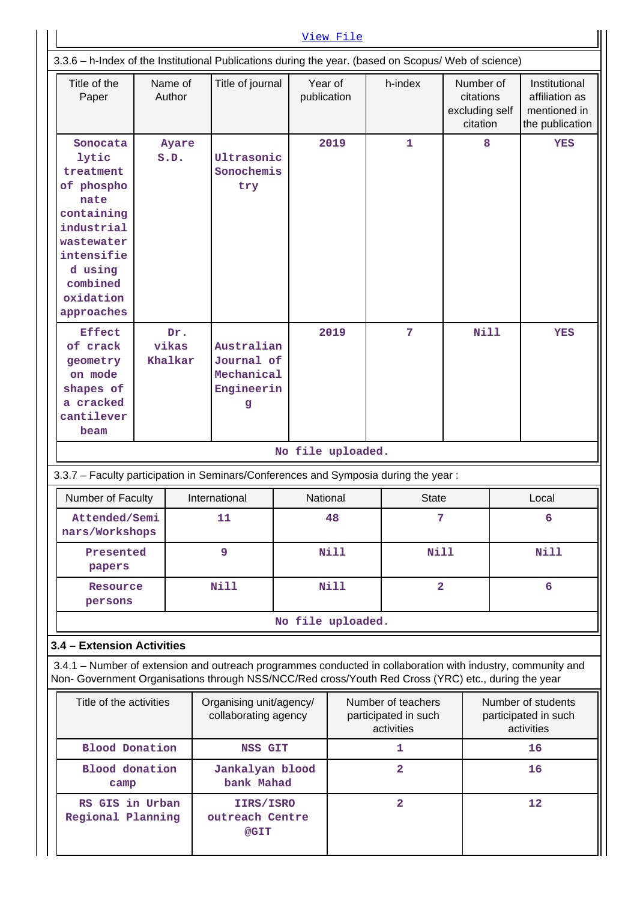|                                                                                                                                                                                                                    |                                                                                                          |                         |                                                           |                   | View File   |                                                          |                                                      |    |                                                                    |  |
|--------------------------------------------------------------------------------------------------------------------------------------------------------------------------------------------------------------------|----------------------------------------------------------------------------------------------------------|-------------------------|-----------------------------------------------------------|-------------------|-------------|----------------------------------------------------------|------------------------------------------------------|----|--------------------------------------------------------------------|--|
| 3.3.6 - h-Index of the Institutional Publications during the year. (based on Scopus/ Web of science)                                                                                                               |                                                                                                          |                         |                                                           |                   |             |                                                          |                                                      |    |                                                                    |  |
| Title of the<br>Paper                                                                                                                                                                                              |                                                                                                          | Name of<br>Author       | Title of journal                                          | publication       | Year of     | h-index                                                  | Number of<br>citations<br>excluding self<br>citation |    | Institutional<br>affiliation as<br>mentioned in<br>the publication |  |
| Sonocata<br>lytic<br>treatment<br>of phospho<br>nate<br>containing<br>industrial<br>wastewater<br>intensifie<br>d using<br>combined<br>oxidation<br>approaches                                                     |                                                                                                          | Ayare<br>S.D.           | Ultrasonic<br>Sonochemis<br>try                           |                   | 2019        | $\mathbf{1}$                                             | 8                                                    |    | <b>YES</b>                                                         |  |
| <b>Effect</b><br>of crack<br>geometry<br>on mode<br>shapes of<br>a cracked<br>cantilever<br>beam                                                                                                                   |                                                                                                          | Dr.<br>vikas<br>Khalkar | Australian<br>Journal of<br>Mechanical<br>Engineerin<br>g |                   | 2019        | 7                                                        | Nill                                                 |    | <b>YES</b>                                                         |  |
|                                                                                                                                                                                                                    | No file uploaded.<br>3.3.7 - Faculty participation in Seminars/Conferences and Symposia during the year: |                         |                                                           |                   |             |                                                          |                                                      |    |                                                                    |  |
| Number of Faculty                                                                                                                                                                                                  |                                                                                                          |                         | International                                             |                   | National    | <b>State</b>                                             |                                                      |    | Local                                                              |  |
| Attended/Semi<br>nars/Workshops                                                                                                                                                                                    |                                                                                                          |                         | 11                                                        | 48                |             |                                                          | 7                                                    |    | 6                                                                  |  |
| Presented<br>papers                                                                                                                                                                                                |                                                                                                          |                         | 9                                                         |                   | <b>Nill</b> |                                                          | <b>Nill</b>                                          |    | <b>Nill</b>                                                        |  |
| Resource<br>persons                                                                                                                                                                                                |                                                                                                          |                         | <b>Nill</b>                                               |                   | Nill        |                                                          | $\overline{a}$                                       |    | 6                                                                  |  |
|                                                                                                                                                                                                                    |                                                                                                          |                         |                                                           | No file uploaded. |             |                                                          |                                                      |    |                                                                    |  |
| 3.4 - Extension Activities                                                                                                                                                                                         |                                                                                                          |                         |                                                           |                   |             |                                                          |                                                      |    |                                                                    |  |
| 3.4.1 – Number of extension and outreach programmes conducted in collaboration with industry, community and<br>Non- Government Organisations through NSS/NCC/Red cross/Youth Red Cross (YRC) etc., during the year |                                                                                                          |                         |                                                           |                   |             |                                                          |                                                      |    |                                                                    |  |
|                                                                                                                                                                                                                    | Title of the activities                                                                                  |                         | Organising unit/agency/<br>collaborating agency           |                   |             | Number of teachers<br>participated in such<br>activities |                                                      |    | Number of students<br>participated in such<br>activities           |  |
| <b>Blood Donation</b>                                                                                                                                                                                              |                                                                                                          |                         | <b>NSS GIT</b>                                            |                   |             | 1                                                        |                                                      |    | 16                                                                 |  |
| <b>Blood</b> donation<br>camp                                                                                                                                                                                      |                                                                                                          |                         | Jankalyan blood<br>bank Mahad                             |                   |             | $\overline{2}$                                           |                                                      |    | 16                                                                 |  |
| RS GIS in Urban<br>Regional Planning                                                                                                                                                                               |                                                                                                          |                         | IIRS/ISRO<br>outreach Centre<br>@GIT                      |                   |             | $\overline{2}$                                           |                                                      | 12 |                                                                    |  |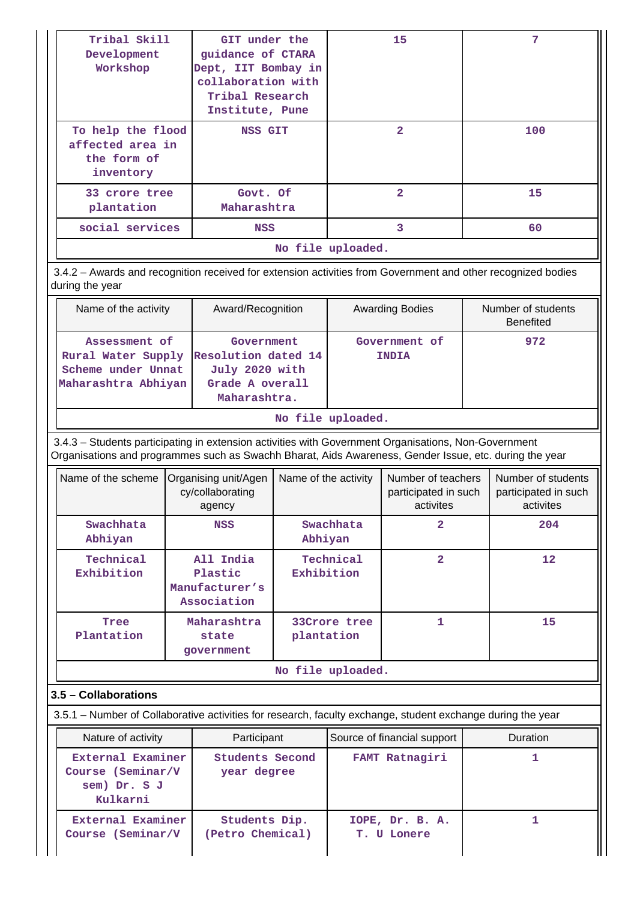| Tribal Skill<br>Development<br>Workshop                           | GIT under the<br>guidance of CTARA<br>Dept, IIT Bombay in<br>collaboration with<br>Tribal Research<br>Institute, Pune | 15             | 7   |  |  |  |  |  |  |
|-------------------------------------------------------------------|-----------------------------------------------------------------------------------------------------------------------|----------------|-----|--|--|--|--|--|--|
| To help the flood<br>affected area in<br>the form of<br>inventory | <b>NSS GIT</b>                                                                                                        | $\overline{2}$ | 100 |  |  |  |  |  |  |
| 33 crore tree<br>plantation                                       | Govt. Of<br>Maharashtra                                                                                               | $\overline{2}$ | 15  |  |  |  |  |  |  |
| social services                                                   | <b>NSS</b>                                                                                                            | 3              | 60  |  |  |  |  |  |  |
|                                                                   | No file uploaded.                                                                                                     |                |     |  |  |  |  |  |  |

 3.4.2 – Awards and recognition received for extension activities from Government and other recognized bodies during the year

| Name of the activity                                                             | Award/Recognition                                                                      | <b>Awarding Bodies</b>        | Number of students<br><b>Benefited</b> |
|----------------------------------------------------------------------------------|----------------------------------------------------------------------------------------|-------------------------------|----------------------------------------|
| Assessment of<br>Rural Water Supply<br>Scheme under Unnat<br>Maharashtra Abhiyan | Government<br>Resolution dated 14<br>July 2020 with<br>Grade A overall<br>Maharashtra. | Government of<br><b>INDIA</b> | 972                                    |

#### **No file uploaded.**

 3.4.3 – Students participating in extension activities with Government Organisations, Non-Government Organisations and programmes such as Swachh Bharat, Aids Awareness, Gender Issue, etc. during the year

| Name of the scheme      | Organising unit/Agen<br>cy/collaborating<br>agency    | Name of the activity       | Number of teachers<br>participated in such<br>activites | Number of students<br>participated in such<br>activites |
|-------------------------|-------------------------------------------------------|----------------------------|---------------------------------------------------------|---------------------------------------------------------|
| Swachhata<br>Abhiyan    | NSS                                                   | Swachhata<br>Abhiyan       | $\overline{\mathbf{2}}$                                 | 204                                                     |
| Technical<br>Exhibition | All India<br>Plastic<br>Manufacturer's<br>Association | Technical<br>Exhibition    | $\overline{2}$                                          | $12 \,$                                                 |
| Tree<br>Plantation      | Maharashtra<br>state<br>government                    | 33Crore tree<br>plantation |                                                         | 15                                                      |
|                         |                                                       | No file uploaded.          |                                                         |                                                         |

## **3.5 – Collaborations**

3.5.1 – Number of Collaborative activities for research, faculty exchange, student exchange during the year

| Nature of activity                                                 | Participant                       | Source of financial support    | <b>Duration</b> |
|--------------------------------------------------------------------|-----------------------------------|--------------------------------|-----------------|
| External Examiner<br>Course (Seminar/V<br>sem) Dr. S J<br>Kulkarni | Students Second<br>year degree    | FAMT Ratnagiri                 |                 |
| External Examiner<br>Course (Seminar/V                             | Students Dip.<br>(Petro Chemical) | IOPE, Dr. B. A.<br>T. U Lonere |                 |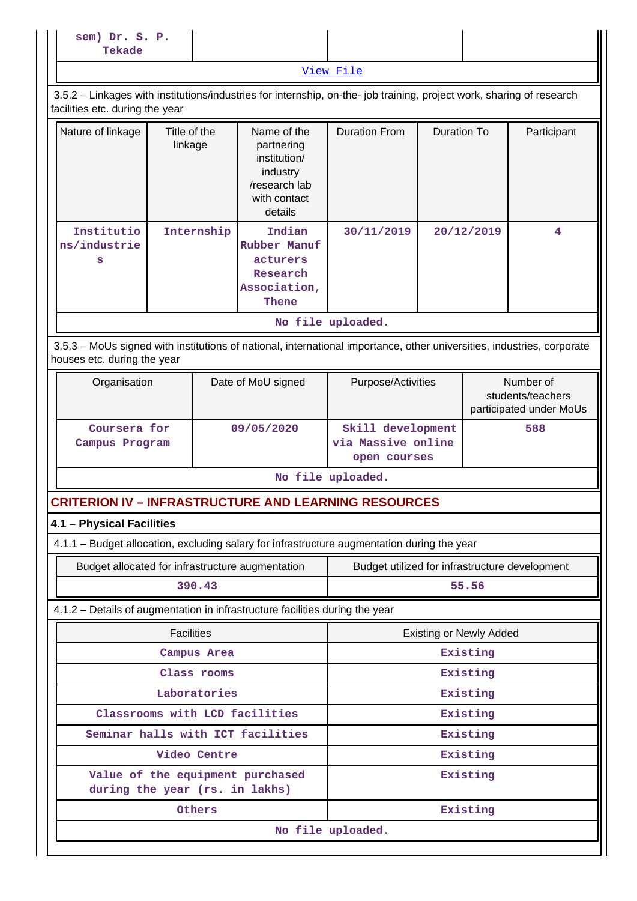| sem) Dr. S. P.<br>Tekade                                                                                                                                 |                         |              |                                                                                                   |                                                         |  |                                |                                                           |  |
|----------------------------------------------------------------------------------------------------------------------------------------------------------|-------------------------|--------------|---------------------------------------------------------------------------------------------------|---------------------------------------------------------|--|--------------------------------|-----------------------------------------------------------|--|
| View File                                                                                                                                                |                         |              |                                                                                                   |                                                         |  |                                |                                                           |  |
| 3.5.2 - Linkages with institutions/industries for internship, on-the- job training, project work, sharing of research<br>facilities etc. during the year |                         |              |                                                                                                   |                                                         |  |                                |                                                           |  |
| Nature of linkage                                                                                                                                        | Title of the<br>linkage |              | Name of the<br>partnering<br>institution/<br>industry<br>/research lab<br>with contact<br>details | <b>Duration From</b>                                    |  | <b>Duration To</b>             | Participant                                               |  |
| Institutio<br>ns/industrie<br>s                                                                                                                          | Internship              |              | Indian<br>Rubber Manuf<br>acturers<br>Research<br>Association,<br>Thene                           | 30/11/2019                                              |  | 20/12/2019                     | 4                                                         |  |
|                                                                                                                                                          |                         |              |                                                                                                   | No file uploaded.                                       |  |                                |                                                           |  |
| 3.5.3 - MoUs signed with institutions of national, international importance, other universities, industries, corporate<br>houses etc. during the year    |                         |              |                                                                                                   |                                                         |  |                                |                                                           |  |
| Organisation                                                                                                                                             |                         |              | Date of MoU signed                                                                                | Purpose/Activities                                      |  |                                | Number of<br>students/teachers<br>participated under MoUs |  |
| Coursera for<br>Campus Program                                                                                                                           |                         |              | 09/05/2020                                                                                        | Skill development<br>via Massive online<br>open courses |  |                                | 588                                                       |  |
|                                                                                                                                                          |                         |              |                                                                                                   | No file uploaded.                                       |  |                                |                                                           |  |
| <b>CRITERION IV – INFRASTRUCTURE AND LEARNING RESOURCES</b>                                                                                              |                         |              |                                                                                                   |                                                         |  |                                |                                                           |  |
| 4.1 - Physical Facilities                                                                                                                                |                         |              |                                                                                                   |                                                         |  |                                |                                                           |  |
| 4.1.1 - Budget allocation, excluding salary for infrastructure augmentation during the year                                                              |                         |              |                                                                                                   |                                                         |  |                                |                                                           |  |
| Budget allocated for infrastructure augmentation                                                                                                         |                         |              |                                                                                                   | Budget utilized for infrastructure development          |  |                                |                                                           |  |
|                                                                                                                                                          |                         | 390.43       |                                                                                                   | 55.56                                                   |  |                                |                                                           |  |
| 4.1.2 - Details of augmentation in infrastructure facilities during the year                                                                             |                         |              |                                                                                                   |                                                         |  |                                |                                                           |  |
|                                                                                                                                                          | <b>Facilities</b>       |              |                                                                                                   |                                                         |  | <b>Existing or Newly Added</b> |                                                           |  |
|                                                                                                                                                          |                         | Campus Area  |                                                                                                   |                                                         |  | Existing                       |                                                           |  |
|                                                                                                                                                          |                         | Class rooms  |                                                                                                   |                                                         |  | Existing                       |                                                           |  |
|                                                                                                                                                          |                         | Laboratories |                                                                                                   |                                                         |  | Existing                       |                                                           |  |
|                                                                                                                                                          |                         |              | Classrooms with LCD facilities                                                                    |                                                         |  | Existing                       |                                                           |  |
|                                                                                                                                                          |                         |              | Seminar halls with ICT facilities                                                                 |                                                         |  | Existing                       |                                                           |  |
| during the year (rs. in lakhs)                                                                                                                           |                         | Video Centre | Value of the equipment purchased                                                                  |                                                         |  | Existing<br>Existing           |                                                           |  |
|                                                                                                                                                          |                         | Others       |                                                                                                   |                                                         |  | Existing                       |                                                           |  |
| No file uploaded.                                                                                                                                        |                         |              |                                                                                                   |                                                         |  |                                |                                                           |  |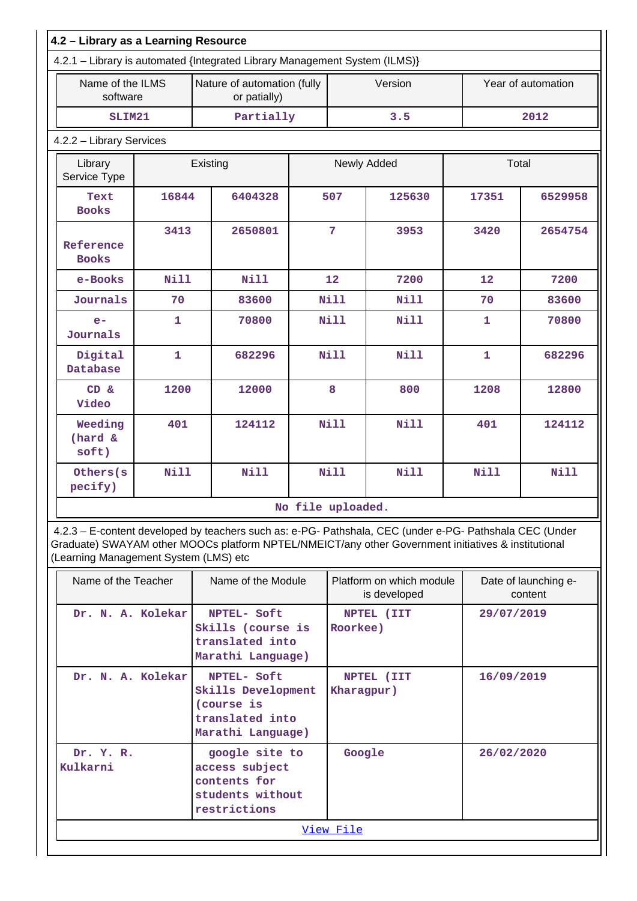| 4.2 - Library as a Learning Resource |              |                                                                            |                 |             |             |              |                    |  |
|--------------------------------------|--------------|----------------------------------------------------------------------------|-----------------|-------------|-------------|--------------|--------------------|--|
|                                      |              | 4.2.1 - Library is automated {Integrated Library Management System (ILMS)} |                 |             |             |              |                    |  |
| Name of the ILMS<br>software         |              | Nature of automation (fully<br>or patially)                                |                 |             | Version     |              | Year of automation |  |
| SLIM21                               |              | Partially                                                                  |                 |             | 3.5         |              | 2012               |  |
| 4.2.2 - Library Services             |              |                                                                            |                 |             |             |              |                    |  |
| Library<br>Service Type              |              | Existing                                                                   |                 |             | Newly Added | Total        |                    |  |
| Text<br><b>Books</b>                 | 16844        | 6404328                                                                    |                 | 507         | 125630      | 17351        | 6529958            |  |
| Reference<br><b>Books</b>            | 3413         | 2650801                                                                    | $7\phantom{.0}$ |             | 3953        | 3420         | 2654754            |  |
| e-Books                              | <b>Nill</b>  | Nill                                                                       |                 | 12          | 7200        | 12           | 7200               |  |
| Journals                             | 70           | 83600                                                                      |                 | <b>Nill</b> | <b>Nill</b> | 70           | 83600              |  |
| $e-$<br>Journals                     | $\mathbf{1}$ | 70800                                                                      |                 | <b>Nill</b> | Nill        | $\mathbf{1}$ | 70800              |  |
| Digital<br>Database                  | $\mathbf{1}$ | 682296                                                                     |                 | <b>Nill</b> | Nill        | $\mathbf{1}$ | 682296             |  |
| CD &<br>Video                        | 1200         | 12000                                                                      |                 | 8           | 800         | 1208         | 12800              |  |
| Weeding<br>(hard &<br>soft)          | 401          | 124112                                                                     |                 | Nill        | Nill        | 401          | 124112             |  |
| Others (s)<br>pecify)                | Nill         | Nill                                                                       |                 | Nill        | Nill        | <b>Nill</b>  | Nill               |  |
| No file uploaded.                    |              |                                                                            |                 |             |             |              |                    |  |

 4.2.3 – E-content developed by teachers such as: e-PG- Pathshala, CEC (under e-PG- Pathshala CEC (Under Graduate) SWAYAM other MOOCs platform NPTEL/NMEICT/any other Government initiatives & institutional (Learning Management System (LMS) etc

| Name of the Teacher   | Name of the Module                                                                      | Platform on which module<br>is developed | Date of launching e-<br>content |  |  |  |
|-----------------------|-----------------------------------------------------------------------------------------|------------------------------------------|---------------------------------|--|--|--|
| Dr. N. A. Kolekar     | NPTEL- Soft<br>Skills (course is<br>translated into<br>Marathi Language)                | NPTEL (IIT<br>Roorkee)                   | 29/07/2019                      |  |  |  |
| Dr. N. A. Kolekar     | NPTEL- Soft<br>Skills Development<br>(course is<br>translated into<br>Marathi Language) | NPTEL (IIT<br>Kharagpur)                 | 16/09/2019                      |  |  |  |
| Dr. Y. R.<br>Kulkarni | google site to<br>access subject<br>contents for<br>students without<br>restrictions    | Google                                   | 26/02/2020                      |  |  |  |
| View File             |                                                                                         |                                          |                                 |  |  |  |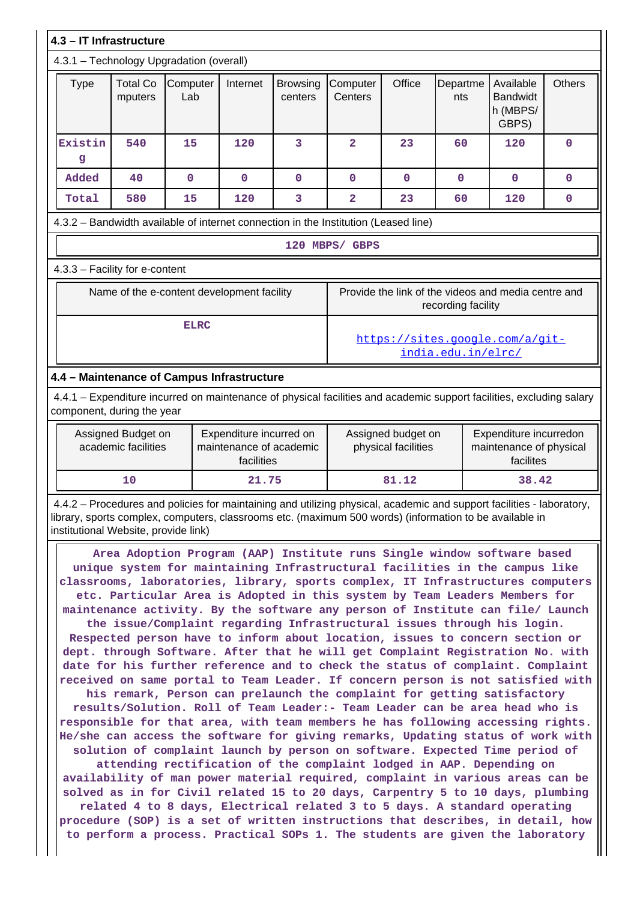|                                                                                                                                                                                                                                                                                                                                                                                                           | 4.3 - IT Infrastructure                   |                                            |                                                                  |                            |                                                                                                             |                                                                           |                 |                                                   |               |
|-----------------------------------------------------------------------------------------------------------------------------------------------------------------------------------------------------------------------------------------------------------------------------------------------------------------------------------------------------------------------------------------------------------|-------------------------------------------|--------------------------------------------|------------------------------------------------------------------|----------------------------|-------------------------------------------------------------------------------------------------------------|---------------------------------------------------------------------------|-----------------|---------------------------------------------------|---------------|
|                                                                                                                                                                                                                                                                                                                                                                                                           | 4.3.1 - Technology Upgradation (overall)  |                                            |                                                                  |                            |                                                                                                             |                                                                           |                 |                                                   |               |
| <b>Type</b>                                                                                                                                                                                                                                                                                                                                                                                               | <b>Total Co</b><br>mputers                | Computer<br>Lab                            | Internet                                                         | <b>Browsing</b><br>centers | Computer<br>Centers                                                                                         | Office                                                                    | Departme<br>nts | Available<br><b>Bandwidt</b><br>h (MBPS/<br>GBPS) | <b>Others</b> |
| Existin<br>g                                                                                                                                                                                                                                                                                                                                                                                              | 540                                       | 15                                         | 120                                                              | 3                          | $\overline{2}$                                                                                              | 23                                                                        | 60              | 120                                               | 0             |
| Added                                                                                                                                                                                                                                                                                                                                                                                                     | 40                                        | 0                                          | 0                                                                | $\mathbf 0$                | 0                                                                                                           | $\mathbf 0$                                                               | 0               | $\mathbf 0$                                       | 0             |
| Total                                                                                                                                                                                                                                                                                                                                                                                                     | 580                                       | 15                                         | 120                                                              | 3                          | $\overline{a}$                                                                                              | 23                                                                        | 60              | 120                                               | 0             |
| 4.3.2 - Bandwidth available of internet connection in the Institution (Leased line)                                                                                                                                                                                                                                                                                                                       |                                           |                                            |                                                                  |                            |                                                                                                             |                                                                           |                 |                                                   |               |
|                                                                                                                                                                                                                                                                                                                                                                                                           |                                           |                                            |                                                                  |                            | 120 MBPS/ GBPS                                                                                              |                                                                           |                 |                                                   |               |
| 4.3.3 - Facility for e-content                                                                                                                                                                                                                                                                                                                                                                            |                                           |                                            |                                                                  |                            |                                                                                                             |                                                                           |                 |                                                   |               |
|                                                                                                                                                                                                                                                                                                                                                                                                           |                                           | Name of the e-content development facility |                                                                  |                            |                                                                                                             | Provide the link of the videos and media centre and<br>recording facility |                 |                                                   |               |
|                                                                                                                                                                                                                                                                                                                                                                                                           |                                           | <b>ELRC</b>                                |                                                                  |                            | https://sites.google.com/a/git-<br>india.edu.in/elrc/                                                       |                                                                           |                 |                                                   |               |
| 4.4 - Maintenance of Campus Infrastructure                                                                                                                                                                                                                                                                                                                                                                |                                           |                                            |                                                                  |                            |                                                                                                             |                                                                           |                 |                                                   |               |
| 4.4.1 – Expenditure incurred on maintenance of physical facilities and academic support facilities, excluding salary<br>component, during the year                                                                                                                                                                                                                                                        |                                           |                                            |                                                                  |                            |                                                                                                             |                                                                           |                 |                                                   |               |
|                                                                                                                                                                                                                                                                                                                                                                                                           | Assigned Budget on<br>academic facilities |                                            | Expenditure incurred on<br>maintenance of academic<br>facilities |                            | Assigned budget on<br>Expenditure incurredon<br>physical facilities<br>maintenance of physical<br>facilites |                                                                           |                 |                                                   |               |
|                                                                                                                                                                                                                                                                                                                                                                                                           | 10                                        |                                            | 21.75                                                            |                            |                                                                                                             | 81.12                                                                     |                 | 38.42                                             |               |
| 4.4.2 - Procedures and policies for maintaining and utilizing physical, academic and support facilities - laboratory,<br>library, sports complex, computers, classrooms etc. (maximum 500 words) (information to be available in<br>institutional Website, provide link)                                                                                                                                  |                                           |                                            |                                                                  |                            |                                                                                                             |                                                                           |                 |                                                   |               |
| Area Adoption Program (AAP) Institute runs Single window software based<br>unique system for maintaining Infrastructural facilities in the campus like<br>classrooms, laboratories, library, sports complex, IT Infrastructures computers<br>etc. Particular Area is Adopted in this system by Team Leaders Members for<br>maintenance activity. By the software any person of Institute can file/ Launch |                                           |                                            |                                                                  |                            |                                                                                                             |                                                                           |                 |                                                   |               |

**the issue/Complaint regarding Infrastructural issues through his login. Respected person have to inform about location, issues to concern section or dept. through Software. After that he will get Complaint Registration No. with date for his further reference and to check the status of complaint. Complaint received on same portal to Team Leader. If concern person is not satisfied with**

**his remark, Person can prelaunch the complaint for getting satisfactory results/Solution. Roll of Team Leader:- Team Leader can be area head who is responsible for that area, with team members he has following accessing rights. He/she can access the software for giving remarks, Updating status of work with solution of complaint launch by person on software. Expected Time period of**

**attending rectification of the complaint lodged in AAP. Depending on availability of man power material required, complaint in various areas can be solved as in for Civil related 15 to 20 days, Carpentry 5 to 10 days, plumbing related 4 to 8 days, Electrical related 3 to 5 days. A standard operating procedure (SOP) is a set of written instructions that describes, in detail, how to perform a process. Practical SOPs 1. The students are given the laboratory**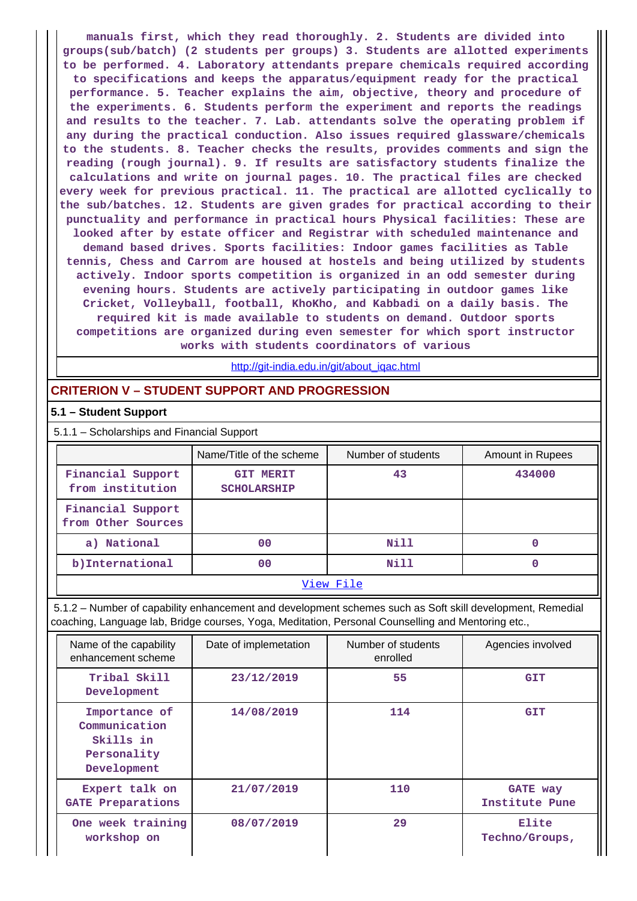**manuals first, which they read thoroughly. 2. Students are divided into groups(sub/batch) (2 students per groups) 3. Students are allotted experiments to be performed. 4. Laboratory attendants prepare chemicals required according to specifications and keeps the apparatus/equipment ready for the practical performance. 5. Teacher explains the aim, objective, theory and procedure of the experiments. 6. Students perform the experiment and reports the readings and results to the teacher. 7. Lab. attendants solve the operating problem if any during the practical conduction. Also issues required glassware/chemicals to the students. 8. Teacher checks the results, provides comments and sign the reading (rough journal). 9. If results are satisfactory students finalize the calculations and write on journal pages. 10. The practical files are checked every week for previous practical. 11. The practical are allotted cyclically to the sub/batches. 12. Students are given grades for practical according to their punctuality and performance in practical hours Physical facilities: These are looked after by estate officer and Registrar with scheduled maintenance and demand based drives. Sports facilities: Indoor games facilities as Table tennis, Chess and Carrom are housed at hostels and being utilized by students actively. Indoor sports competition is organized in an odd semester during evening hours. Students are actively participating in outdoor games like Cricket, Volleyball, football, KhoKho, and Kabbadi on a daily basis. The required kit is made available to students on demand. Outdoor sports competitions are organized during even semester for which sport instructor works with students coordinators of various**

http://git-india.edu.in/git/about\_igac.html

#### **CRITERION V – STUDENT SUPPORT AND PROGRESSION**

#### **5.1 – Student Support**

5.1.1 – Scholarships and Financial Support

|                                         | Name/Title of the scheme               | Number of students | Amount in Rupees |  |  |  |
|-----------------------------------------|----------------------------------------|--------------------|------------------|--|--|--|
| Financial Support<br>from institution   | <b>GIT MERIT</b><br><b>SCHOLARSHIP</b> | 43                 | 434000           |  |  |  |
| Financial Support<br>from Other Sources |                                        |                    |                  |  |  |  |
| a) National                             | 00                                     | Nill               |                  |  |  |  |
| b) International                        | 00                                     | Nill               |                  |  |  |  |
| View File                               |                                        |                    |                  |  |  |  |

 5.1.2 – Number of capability enhancement and development schemes such as Soft skill development, Remedial coaching, Language lab, Bridge courses, Yoga, Meditation, Personal Counselling and Mentoring etc.,

| Name of the capability<br>enhancement scheme                              | Date of implemetation | Number of students<br>enrolled | Agencies involved                 |
|---------------------------------------------------------------------------|-----------------------|--------------------------------|-----------------------------------|
| Tribal Skill<br>Development                                               | 23/12/2019            | 55                             | <b>GIT</b>                        |
| Importance of<br>Communication<br>Skills in<br>Personality<br>Development | 14/08/2019            | 114                            | <b>GIT</b>                        |
| Expert talk on<br><b>GATE Preparations</b>                                | 21/07/2019            | 110                            | <b>GATE way</b><br>Institute Pune |
| One week training<br>workshop on                                          | 08/07/2019            | 29                             | Elite<br>Techno/Groups,           |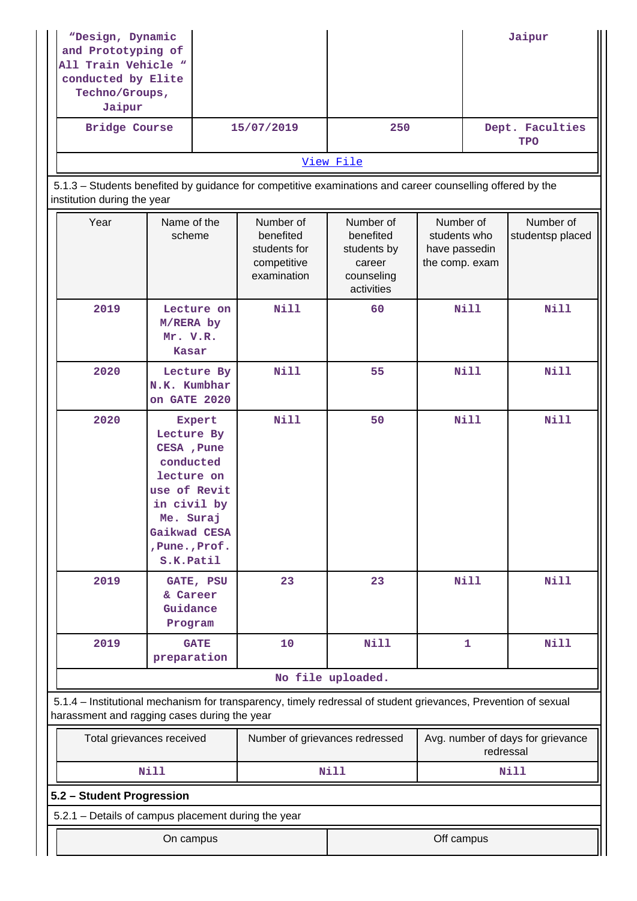| "Design, Dynamic<br>and Prototyping of<br>All Train Vehicle "<br>conducted by Elite<br>Techno/Groups,<br>Jaipur |                                                                                                                                                                |                                                                      |                                                                             |                                                              |             | Jaipur                                         |
|-----------------------------------------------------------------------------------------------------------------|----------------------------------------------------------------------------------------------------------------------------------------------------------------|----------------------------------------------------------------------|-----------------------------------------------------------------------------|--------------------------------------------------------------|-------------|------------------------------------------------|
| <b>Bridge Course</b>                                                                                            |                                                                                                                                                                | 15/07/2019                                                           | 250                                                                         |                                                              |             | Dept. Faculties<br><b>TPO</b>                  |
|                                                                                                                 |                                                                                                                                                                |                                                                      | View File                                                                   |                                                              |             |                                                |
| institution during the year                                                                                     | 5.1.3 - Students benefited by guidance for competitive examinations and career counselling offered by the                                                      |                                                                      |                                                                             |                                                              |             |                                                |
| Year                                                                                                            | Name of the<br>scheme                                                                                                                                          | Number of<br>benefited<br>students for<br>competitive<br>examination | Number of<br>benefited<br>students by<br>career<br>counseling<br>activities | Number of<br>students who<br>have passedin<br>the comp. exam |             | Number of<br>studentsp placed                  |
| 2019                                                                                                            | Lecture on<br>M/RERA by<br>Mr. V.R.<br><b>Kasar</b>                                                                                                            | <b>Nill</b>                                                          | 60                                                                          |                                                              | <b>Nill</b> | Nill                                           |
| 2020                                                                                                            | Lecture By<br>N.K. Kumbhar<br>on GATE 2020                                                                                                                     | Nill                                                                 | 55                                                                          |                                                              | <b>Nill</b> | Nill                                           |
| 2020                                                                                                            | Expert<br>Lecture By<br>CESA, Pune<br>conducted<br>lecture on<br>use of Revit<br>in civil by<br>Me. Suraj<br>Gaikwad CESA<br>, Pune., Prof.<br>S.K.Patil       | <b>Nill</b>                                                          | 50                                                                          |                                                              | <b>Nill</b> | Nill                                           |
| 2019                                                                                                            | GATE, PSU<br>& Career<br>Guidance<br>Program                                                                                                                   | 23                                                                   | 23                                                                          |                                                              | <b>Nill</b> | Nill                                           |
| 2019                                                                                                            | <b>GATE</b><br>preparation                                                                                                                                     | 10                                                                   | <b>Nill</b>                                                                 |                                                              | 1           | Nill                                           |
|                                                                                                                 |                                                                                                                                                                |                                                                      | No file uploaded.                                                           |                                                              |             |                                                |
|                                                                                                                 | 5.1.4 - Institutional mechanism for transparency, timely redressal of student grievances, Prevention of sexual<br>harassment and ragging cases during the year |                                                                      |                                                                             |                                                              |             |                                                |
|                                                                                                                 | Total grievances received                                                                                                                                      | Number of grievances redressed                                       |                                                                             |                                                              |             | Avg. number of days for grievance<br>redressal |
|                                                                                                                 | Nill                                                                                                                                                           |                                                                      | Nill                                                                        |                                                              |             | Nill                                           |
| 5.2 - Student Progression                                                                                       |                                                                                                                                                                |                                                                      |                                                                             |                                                              |             |                                                |
| 5.2.1 - Details of campus placement during the year                                                             |                                                                                                                                                                |                                                                      |                                                                             |                                                              |             |                                                |
| Off campus<br>On campus                                                                                         |                                                                                                                                                                |                                                                      |                                                                             |                                                              |             |                                                |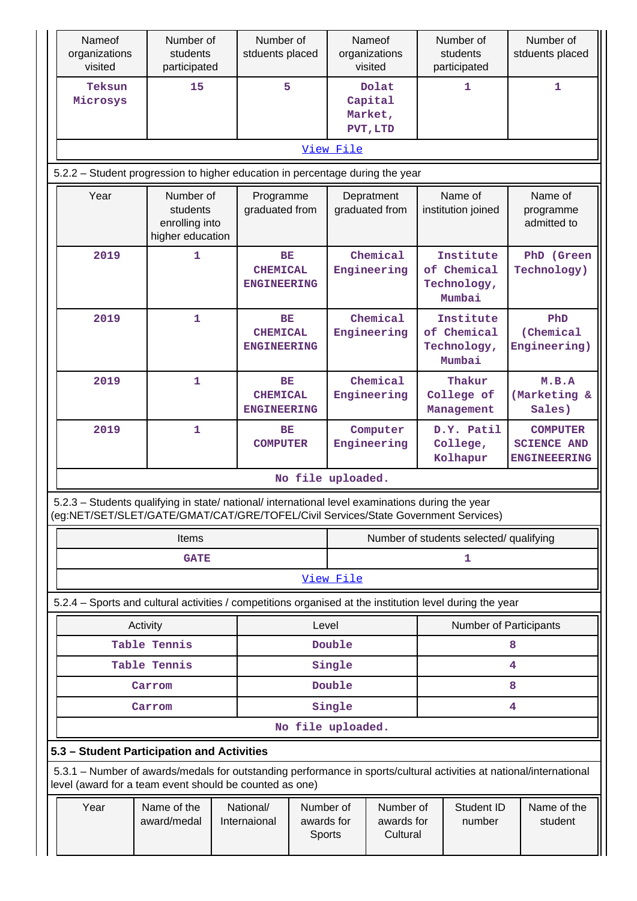| Nameof<br>organizations<br>visited                                                                                                                                                     | Number of<br>students<br>participated                       | Number of<br>stduents placed          |                                             |                         | Nameof<br>organizations<br>visited      |                                                   | Number of<br>students<br>participated             | Number of<br>stduents placed                                 |  |  |
|----------------------------------------------------------------------------------------------------------------------------------------------------------------------------------------|-------------------------------------------------------------|---------------------------------------|---------------------------------------------|-------------------------|-----------------------------------------|---------------------------------------------------|---------------------------------------------------|--------------------------------------------------------------|--|--|
| Teksun<br>Microsys                                                                                                                                                                     | 15                                                          |                                       | 5                                           |                         | Dolat<br>Capital<br>Market,<br>PVT, LTD |                                                   | 1                                                 | $\mathbf{1}$                                                 |  |  |
|                                                                                                                                                                                        | View File                                                   |                                       |                                             |                         |                                         |                                                   |                                                   |                                                              |  |  |
| 5.2.2 - Student progression to higher education in percentage during the year                                                                                                          |                                                             |                                       |                                             |                         |                                         |                                                   |                                                   |                                                              |  |  |
| Year                                                                                                                                                                                   | Number of<br>students<br>enrolling into<br>higher education | Programme<br>graduated from           |                                             |                         | Depratment<br>graduated from            |                                                   | Name of<br>institution joined                     | Name of<br>programme<br>admitted to                          |  |  |
| 2019                                                                                                                                                                                   | 1                                                           |                                       | BE<br><b>CHEMICAL</b><br><b>ENGINEERING</b> |                         | Chemical<br>Engineering                 |                                                   | Institute<br>of Chemical<br>Technology,<br>Mumbai | PhD (Green<br>Technology)                                    |  |  |
| 2019                                                                                                                                                                                   | $\mathbf 1$                                                 |                                       | BE<br><b>CHEMICAL</b><br><b>ENGINEERING</b> |                         | Chemical<br>Engineering                 | Institute<br>of Chemical<br>Technology,<br>Mumbai |                                                   | PhD<br>(Chemical<br>Engineering)                             |  |  |
| 2019                                                                                                                                                                                   | $\mathbf{1}$                                                | <b>CHEMICAL</b><br><b>ENGINEERING</b> | BE                                          |                         | Chemical<br>Engineering                 |                                                   | Thakur<br>College of<br>Management                | M.B.A<br>(Marketing &<br>Sales)                              |  |  |
| 2019                                                                                                                                                                                   | 1                                                           | BE<br><b>COMPUTER</b>                 |                                             | Computer<br>Engineering |                                         |                                                   | D.Y. Patil<br>College,<br>Kolhapur                | <b>COMPUTER</b><br><b>SCIENCE AND</b><br><b>ENGINEEERING</b> |  |  |
|                                                                                                                                                                                        |                                                             |                                       |                                             | No file uploaded.       |                                         |                                                   |                                                   |                                                              |  |  |
| 5.2.3 - Students qualifying in state/ national/ international level examinations during the year<br>(eg:NET/SET/SLET/GATE/GMAT/CAT/GRE/TOFEL/Civil Services/State Government Services) |                                                             |                                       |                                             |                         |                                         |                                                   |                                                   |                                                              |  |  |
|                                                                                                                                                                                        | <b>Items</b>                                                |                                       | Number of students selected/ qualifying     |                         |                                         |                                                   |                                                   |                                                              |  |  |
|                                                                                                                                                                                        | <b>GATE</b>                                                 |                                       |                                             |                         |                                         |                                                   | 1                                                 |                                                              |  |  |
|                                                                                                                                                                                        |                                                             |                                       |                                             | View File               |                                         |                                                   |                                                   |                                                              |  |  |
| 5.2.4 - Sports and cultural activities / competitions organised at the institution level during the year                                                                               |                                                             |                                       |                                             |                         |                                         |                                                   |                                                   |                                                              |  |  |
|                                                                                                                                                                                        | Activity<br>Table Tennis                                    |                                       | Level                                       | Double                  |                                         |                                                   | Number of Participants                            | 8                                                            |  |  |
|                                                                                                                                                                                        | Table Tennis                                                |                                       |                                             | Single                  |                                         |                                                   |                                                   | 4                                                            |  |  |
|                                                                                                                                                                                        | Carrom                                                      |                                       |                                             | Double                  |                                         |                                                   |                                                   | 8                                                            |  |  |
|                                                                                                                                                                                        | Carrom                                                      |                                       |                                             | Single                  |                                         |                                                   |                                                   | 4                                                            |  |  |
|                                                                                                                                                                                        |                                                             |                                       |                                             | No file uploaded.       |                                         |                                                   |                                                   |                                                              |  |  |
| 5.3 - Student Participation and Activities                                                                                                                                             |                                                             |                                       |                                             |                         |                                         |                                                   |                                                   |                                                              |  |  |
| 5.3.1 – Number of awards/medals for outstanding performance in sports/cultural activities at national/international<br>level (award for a team event should be counted as one)         |                                                             |                                       |                                             |                         |                                         |                                                   |                                                   |                                                              |  |  |
| Year                                                                                                                                                                                   | Name of the<br>award/medal                                  | National/<br>Internaional             | Number of<br>awards for<br>Sports           |                         | Number of<br>awards for<br>Cultural     |                                                   | Student ID<br>number                              | Name of the<br>student                                       |  |  |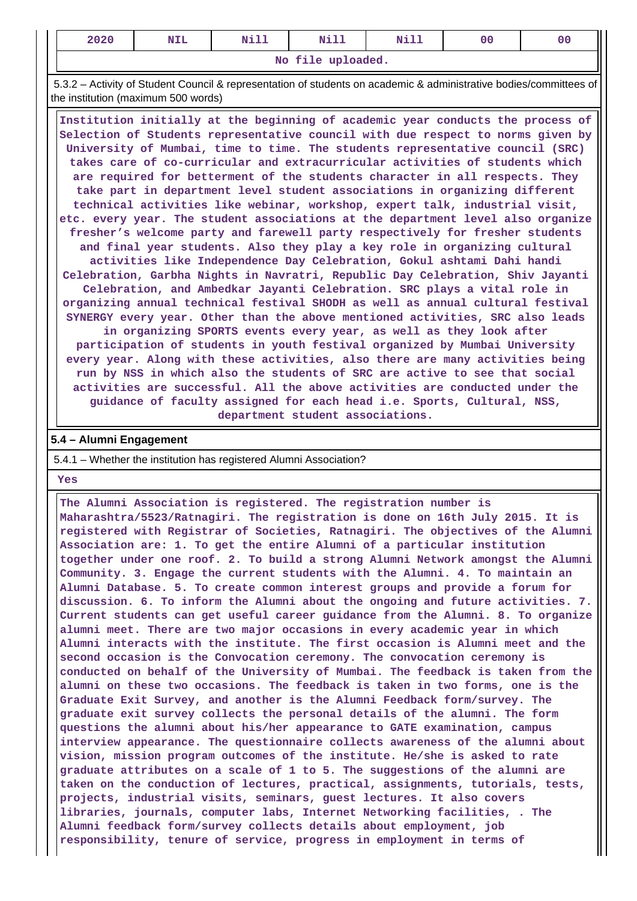| 2020              | NIL | $M + 17$<br>---- | $N+1$<br>ᄢᆠᆠ | Nill | 0 <sub>0</sub> |  |  |  |  |
|-------------------|-----|------------------|--------------|------|----------------|--|--|--|--|
| No file uploaded. |     |                  |              |      |                |  |  |  |  |

 5.3.2 – Activity of Student Council & representation of students on academic & administrative bodies/committees of the institution (maximum 500 words)

 **Institution initially at the beginning of academic year conducts the process of Selection of Students representative council with due respect to norms given by University of Mumbai, time to time. The students representative council (SRC) takes care of co-curricular and extracurricular activities of students which are required for betterment of the students character in all respects. They take part in department level student associations in organizing different technical activities like webinar, workshop, expert talk, industrial visit, etc. every year. The student associations at the department level also organize fresher's welcome party and farewell party respectively for fresher students and final year students. Also they play a key role in organizing cultural activities like Independence Day Celebration, Gokul ashtami Dahi handi Celebration, Garbha Nights in Navratri, Republic Day Celebration, Shiv Jayanti Celebration, and Ambedkar Jayanti Celebration. SRC plays a vital role in organizing annual technical festival SHODH as well as annual cultural festival SYNERGY every year. Other than the above mentioned activities, SRC also leads in organizing SPORTS events every year, as well as they look after participation of students in youth festival organized by Mumbai University every year. Along with these activities, also there are many activities being run by NSS in which also the students of SRC are active to see that social activities are successful. All the above activities are conducted under the guidance of faculty assigned for each head i.e. Sports, Cultural, NSS, department student associations.**

#### **5.4 – Alumni Engagement**

5.4.1 – Whether the institution has registered Alumni Association?

#### **Yes**

 **The Alumni Association is registered. The registration number is Maharashtra/5523/Ratnagiri. The registration is done on 16th July 2015. It is registered with Registrar of Societies, Ratnagiri. The objectives of the Alumni Association are: 1. To get the entire Alumni of a particular institution together under one roof. 2. To build a strong Alumni Network amongst the Alumni Community. 3. Engage the current students with the Alumni. 4. To maintain an Alumni Database. 5. To create common interest groups and provide a forum for discussion. 6. To inform the Alumni about the ongoing and future activities. 7. Current students can get useful career guidance from the Alumni. 8. To organize alumni meet. There are two major occasions in every academic year in which Alumni interacts with the institute. The first occasion is Alumni meet and the second occasion is the Convocation ceremony. The convocation ceremony is conducted on behalf of the University of Mumbai. The feedback is taken from the alumni on these two occasions. The feedback is taken in two forms, one is the Graduate Exit Survey, and another is the Alumni Feedback form/survey. The graduate exit survey collects the personal details of the alumni. The form questions the alumni about his/her appearance to GATE examination, campus interview appearance. The questionnaire collects awareness of the alumni about vision, mission program outcomes of the institute. He/she is asked to rate graduate attributes on a scale of 1 to 5. The suggestions of the alumni are taken on the conduction of lectures, practical, assignments, tutorials, tests, projects, industrial visits, seminars, guest lectures. It also covers libraries, journals, computer labs, Internet Networking facilities, . The Alumni feedback form/survey collects details about employment, job responsibility, tenure of service, progress in employment in terms of**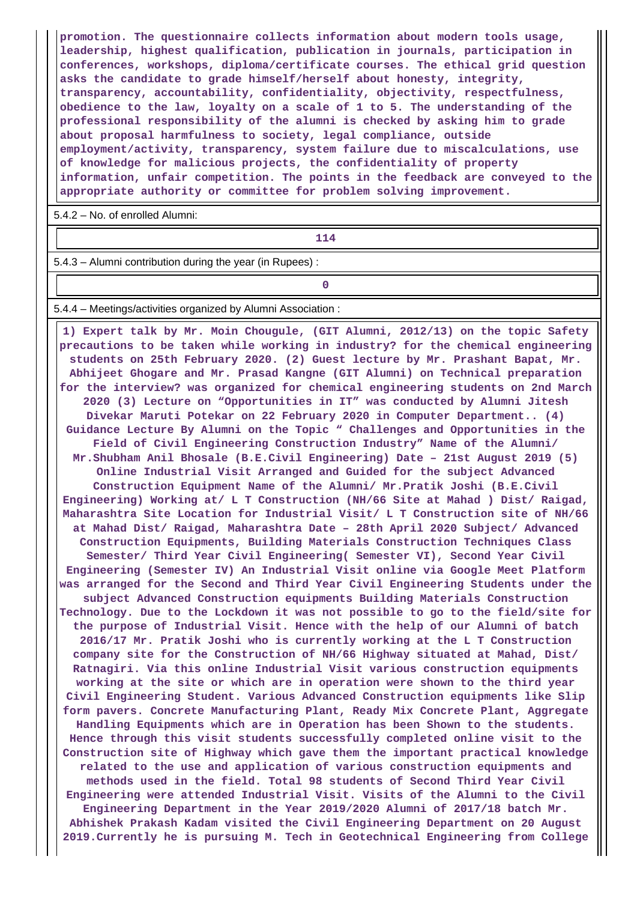**promotion. The questionnaire collects information about modern tools usage, leadership, highest qualification, publication in journals, participation in conferences, workshops, diploma/certificate courses. The ethical grid question asks the candidate to grade himself/herself about honesty, integrity, transparency, accountability, confidentiality, objectivity, respectfulness, obedience to the law, loyalty on a scale of 1 to 5. The understanding of the professional responsibility of the alumni is checked by asking him to grade about proposal harmfulness to society, legal compliance, outside employment/activity, transparency, system failure due to miscalculations, use of knowledge for malicious projects, the confidentiality of property information, unfair competition. The points in the feedback are conveyed to the appropriate authority or committee for problem solving improvement.**

5.4.2 – No. of enrolled Alumni:

## **114**

5.4.3 – Alumni contribution during the year (in Rupees) :

**0**

5.4.4 – Meetings/activities organized by Alumni Association :

 **1) Expert talk by Mr. Moin Chougule, (GIT Alumni, 2012/13) on the topic Safety precautions to be taken while working in industry? for the chemical engineering students on 25th February 2020. (2) Guest lecture by Mr. Prashant Bapat, Mr. Abhijeet Ghogare and Mr. Prasad Kangne (GIT Alumni) on Technical preparation for the interview? was organized for chemical engineering students on 2nd March 2020 (3) Lecture on "Opportunities in IT" was conducted by Alumni Jitesh Divekar Maruti Potekar on 22 February 2020 in Computer Department.. (4) Guidance Lecture By Alumni on the Topic " Challenges and Opportunities in the Field of Civil Engineering Construction Industry" Name of the Alumni/ Mr.Shubham Anil Bhosale (B.E.Civil Engineering) Date – 21st August 2019 (5) Online Industrial Visit Arranged and Guided for the subject Advanced Construction Equipment Name of the Alumni/ Mr.Pratik Joshi (B.E.Civil Engineering) Working at/ L T Construction (NH/66 Site at Mahad ) Dist/ Raigad, Maharashtra Site Location for Industrial Visit/ L T Construction site of NH/66 at Mahad Dist/ Raigad, Maharashtra Date – 28th April 2020 Subject/ Advanced Construction Equipments, Building Materials Construction Techniques Class Semester/ Third Year Civil Engineering( Semester VI), Second Year Civil Engineering (Semester IV) An Industrial Visit online via Google Meet Platform was arranged for the Second and Third Year Civil Engineering Students under the subject Advanced Construction equipments Building Materials Construction Technology. Due to the Lockdown it was not possible to go to the field/site for the purpose of Industrial Visit. Hence with the help of our Alumni of batch 2016/17 Mr. Pratik Joshi who is currently working at the L T Construction company site for the Construction of NH/66 Highway situated at Mahad, Dist/ Ratnagiri. Via this online Industrial Visit various construction equipments working at the site or which are in operation were shown to the third year Civil Engineering Student. Various Advanced Construction equipments like Slip form pavers. Concrete Manufacturing Plant, Ready Mix Concrete Plant, Aggregate Handling Equipments which are in Operation has been Shown to the students. Hence through this visit students successfully completed online visit to the Construction site of Highway which gave them the important practical knowledge related to the use and application of various construction equipments and methods used in the field. Total 98 students of Second Third Year Civil Engineering were attended Industrial Visit. Visits of the Alumni to the Civil Engineering Department in the Year 2019/2020 Alumni of 2017/18 batch Mr. Abhishek Prakash Kadam visited the Civil Engineering Department on 20 August 2019.Currently he is pursuing M. Tech in Geotechnical Engineering from College**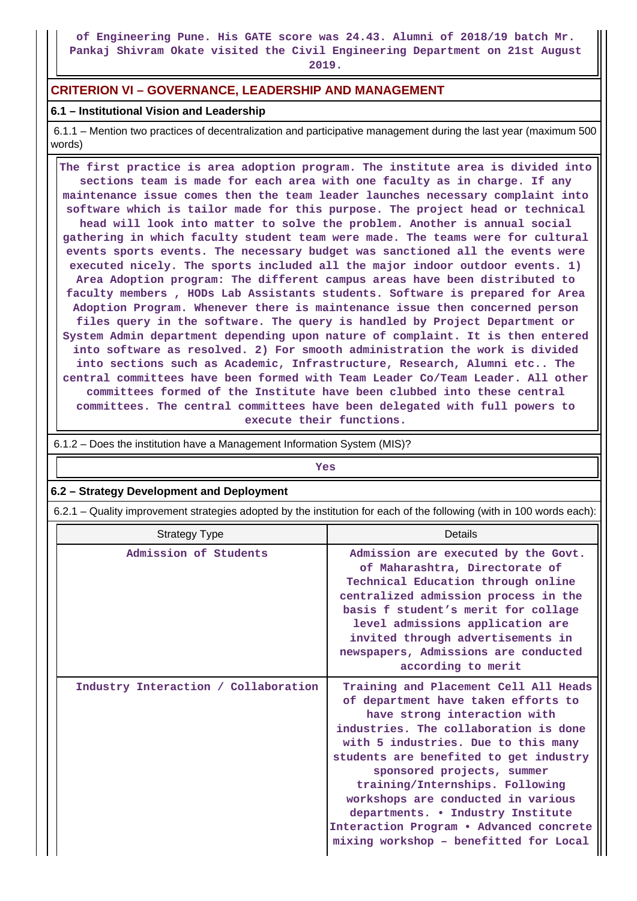**of Engineering Pune. His GATE score was 24.43. Alumni of 2018/19 batch Mr. Pankaj Shivram Okate visited the Civil Engineering Department on 21st August**

**2019.**

## **CRITERION VI – GOVERNANCE, LEADERSHIP AND MANAGEMENT**

## **6.1 – Institutional Vision and Leadership**

 6.1.1 – Mention two practices of decentralization and participative management during the last year (maximum 500 words)

 **The first practice is area adoption program. The institute area is divided into sections team is made for each area with one faculty as in charge. If any maintenance issue comes then the team leader launches necessary complaint into software which is tailor made for this purpose. The project head or technical head will look into matter to solve the problem. Another is annual social gathering in which faculty student team were made. The teams were for cultural events sports events. The necessary budget was sanctioned all the events were executed nicely. The sports included all the major indoor outdoor events. 1) Area Adoption program: The different campus areas have been distributed to faculty members , HODs Lab Assistants students. Software is prepared for Area Adoption Program. Whenever there is maintenance issue then concerned person files query in the software. The query is handled by Project Department or System Admin department depending upon nature of complaint. It is then entered into software as resolved. 2) For smooth administration the work is divided into sections such as Academic, Infrastructure, Research, Alumni etc.. The central committees have been formed with Team Leader Co/Team Leader. All other committees formed of the Institute have been clubbed into these central committees. The central committees have been delegated with full powers to execute their functions.**

| <b>Yes</b>                                                                                                            |                                                                                                                                                                                                                                                                                                                                                                                                                                                                         |  |  |  |  |  |  |
|-----------------------------------------------------------------------------------------------------------------------|-------------------------------------------------------------------------------------------------------------------------------------------------------------------------------------------------------------------------------------------------------------------------------------------------------------------------------------------------------------------------------------------------------------------------------------------------------------------------|--|--|--|--|--|--|
| 6.2 - Strategy Development and Deployment                                                                             |                                                                                                                                                                                                                                                                                                                                                                                                                                                                         |  |  |  |  |  |  |
| 6.2.1 – Quality improvement strategies adopted by the institution for each of the following (with in 100 words each): |                                                                                                                                                                                                                                                                                                                                                                                                                                                                         |  |  |  |  |  |  |
| <b>Strategy Type</b>                                                                                                  | <b>Details</b>                                                                                                                                                                                                                                                                                                                                                                                                                                                          |  |  |  |  |  |  |
| Admission of Students                                                                                                 | Admission are executed by the Govt.<br>of Maharashtra, Directorate of<br>Technical Education through online<br>centralized admission process in the<br>basis f student's merit for collage<br>level admissions application are<br>invited through advertisements in<br>newspapers, Admissions are conducted<br>according to merit                                                                                                                                       |  |  |  |  |  |  |
| Industry Interaction / Collaboration                                                                                  | Training and Placement Cell All Heads<br>of department have taken efforts to<br>have strong interaction with<br>industries. The collaboration is done<br>with 5 industries. Due to this many<br>students are benefited to get industry<br>sponsored projects, summer<br>training/Internships. Following<br>workshops are conducted in various<br>departments. . Industry Institute<br>Interaction Program . Advanced concrete<br>mixing workshop - benefitted for Local |  |  |  |  |  |  |

6.1.2 – Does the institution have a Management Information System (MIS)?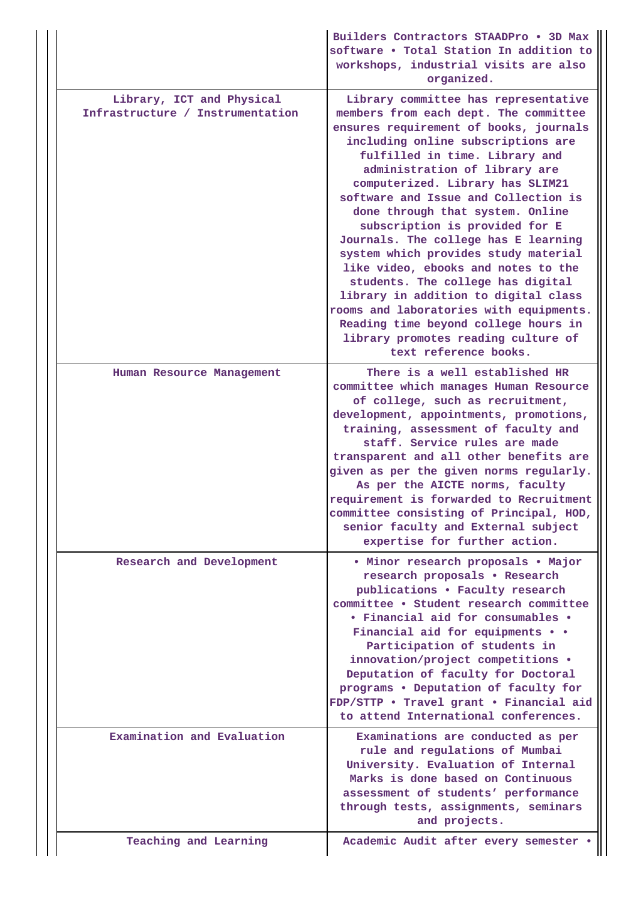|  |                                                               | Builders Contractors STAADPro . 3D Max<br>software . Total Station In addition to<br>workshops, industrial visits are also<br>organized.                                                                                                                                                                                                                                                                                                                                                                                                                                                                                                                                                                                                  |
|--|---------------------------------------------------------------|-------------------------------------------------------------------------------------------------------------------------------------------------------------------------------------------------------------------------------------------------------------------------------------------------------------------------------------------------------------------------------------------------------------------------------------------------------------------------------------------------------------------------------------------------------------------------------------------------------------------------------------------------------------------------------------------------------------------------------------------|
|  | Library, ICT and Physical<br>Infrastructure / Instrumentation | Library committee has representative<br>members from each dept. The committee<br>ensures requirement of books, journals<br>including online subscriptions are<br>fulfilled in time. Library and<br>administration of library are<br>computerized. Library has SLIM21<br>software and Issue and Collection is<br>done through that system. Online<br>subscription is provided for E<br>Journals. The college has E learning<br>system which provides study material<br>like video, ebooks and notes to the<br>students. The college has digital<br>library in addition to digital class<br>rooms and laboratories with equipments.<br>Reading time beyond college hours in<br>library promotes reading culture of<br>text reference books. |
|  | Human Resource Management                                     | There is a well established HR<br>committee which manages Human Resource<br>of college, such as recruitment,<br>development, appointments, promotions,<br>training, assessment of faculty and<br>staff. Service rules are made<br>transparent and all other benefits are<br>given as per the given norms regularly.<br>As per the AICTE norms, faculty<br>requirement is forwarded to Recruitment<br>committee consisting of Principal, HOD,<br>senior faculty and External subject<br>expertise for further action.                                                                                                                                                                                                                      |
|  | Research and Development                                      | • Minor research proposals • Major<br>research proposals . Research<br>publications . Faculty research<br>committee . Student research committee<br>• Financial aid for consumables •<br>Financial aid for equipments • •<br>Participation of students in<br>innovation/project competitions .<br>Deputation of faculty for Doctoral<br>programs . Deputation of faculty for<br>FDP/STTP . Travel grant . Financial aid<br>to attend International conferences.                                                                                                                                                                                                                                                                           |
|  | Examination and Evaluation                                    | Examinations are conducted as per<br>rule and regulations of Mumbai<br>University. Evaluation of Internal<br>Marks is done based on Continuous<br>assessment of students' performance<br>through tests, assignments, seminars<br>and projects.                                                                                                                                                                                                                                                                                                                                                                                                                                                                                            |
|  | Teaching and Learning                                         | Academic Audit after every semester .                                                                                                                                                                                                                                                                                                                                                                                                                                                                                                                                                                                                                                                                                                     |

Ш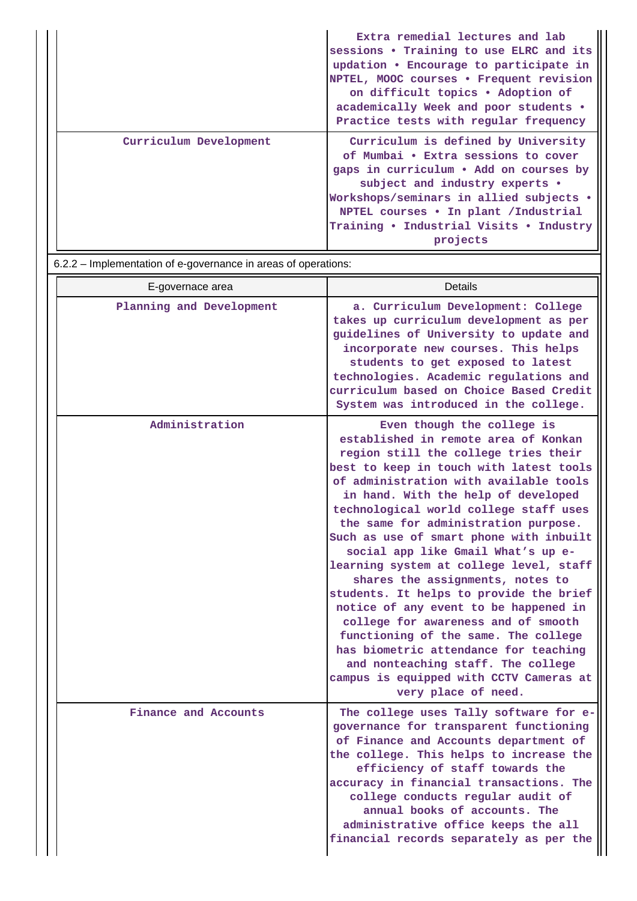|                        | Extra remedial lectures and lab<br>sessions . Training to use ELRC and its<br>updation . Encourage to participate in<br>NPTEL, MOOC courses . Frequent revision<br>on difficult topics • Adoption of<br>academically Week and poor students .<br>Practice tests with regular frequency            |
|------------------------|---------------------------------------------------------------------------------------------------------------------------------------------------------------------------------------------------------------------------------------------------------------------------------------------------|
| Curriculum Development | Curriculum is defined by University<br>of Mumbai . Extra sessions to cover<br>gaps in curriculum • Add on courses by<br>subject and industry experts .<br>Workshops/seminars in allied subjects .<br>NPTEL courses . In plant / Industrial<br>Training • Industrial Visits • Industry<br>projects |

6.2.2 – Implementation of e-governance in areas of operations:

| E-governace area         | Details                                                                                                                                                                                                                                                                                                                                                                                                                                                                                                                                                                                                                                                                                                                                                                                                      |
|--------------------------|--------------------------------------------------------------------------------------------------------------------------------------------------------------------------------------------------------------------------------------------------------------------------------------------------------------------------------------------------------------------------------------------------------------------------------------------------------------------------------------------------------------------------------------------------------------------------------------------------------------------------------------------------------------------------------------------------------------------------------------------------------------------------------------------------------------|
| Planning and Development | a. Curriculum Development: College<br>takes up curriculum development as per<br>guidelines of University to update and<br>incorporate new courses. This helps<br>students to get exposed to latest<br>technologies. Academic regulations and<br>curriculum based on Choice Based Credit<br>System was introduced in the college.                                                                                                                                                                                                                                                                                                                                                                                                                                                                             |
| Administration           | Even though the college is<br>established in remote area of Konkan<br>region still the college tries their<br>best to keep in touch with latest tools<br>of administration with available tools<br>in hand. With the help of developed<br>technological world college staff uses<br>the same for administration purpose.<br>Such as use of smart phone with inbuilt<br>social app like Gmail What's up e-<br>learning system at college level, staff<br>shares the assignments, notes to<br>students. It helps to provide the brief<br>notice of any event to be happened in<br>college for awareness and of smooth<br>functioning of the same. The college<br>has biometric attendance for teaching<br>and nonteaching staff. The college<br>campus is equipped with CCTV Cameras at<br>very place of need. |
| Finance and Accounts     | The college uses Tally software for e-<br>governance for transparent functioning<br>of Finance and Accounts department of<br>the college. This helps to increase the<br>efficiency of staff towards the<br>accuracy in financial transactions. The<br>college conducts regular audit of<br>annual books of accounts. The<br>administrative office keeps the all<br>financial records separately as per the                                                                                                                                                                                                                                                                                                                                                                                                   |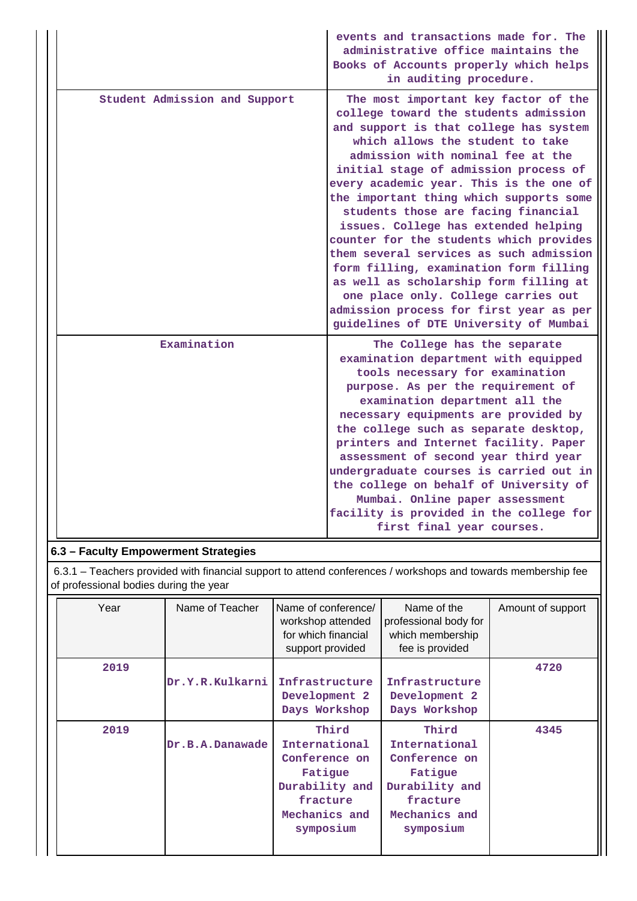|                               | events and transactions made for. The<br>administrative office maintains the<br>Books of Accounts properly which helps<br>in auditing procedure.                                                                                                                                                                                                                                                                                                                                                                                                                                                                                                                                                                     |
|-------------------------------|----------------------------------------------------------------------------------------------------------------------------------------------------------------------------------------------------------------------------------------------------------------------------------------------------------------------------------------------------------------------------------------------------------------------------------------------------------------------------------------------------------------------------------------------------------------------------------------------------------------------------------------------------------------------------------------------------------------------|
| Student Admission and Support | The most important key factor of the<br>college toward the students admission<br>and support is that college has system<br>which allows the student to take<br>admission with nominal fee at the<br>initial stage of admission process of<br>every academic year. This is the one of<br>the important thing which supports some<br>students those are facing financial<br>issues. College has extended helping<br>counter for the students which provides<br>them several services as such admission<br>form filling, examination form filling<br>as well as scholarship form filling at<br>one place only. College carries out<br>admission process for first year as per<br>guidelines of DTE University of Mumbai |
| Examination                   | The College has the separate<br>examination department with equipped<br>tools necessary for examination<br>purpose. As per the requirement of<br>examination department all the<br>necessary equipments are provided by<br>the college such as separate desktop,<br>printers and Internet facility. Paper<br>assessment of second year third year<br>undergraduate courses is carried out in<br>the college on behalf of University of<br>Mumbai. Online paper assessment<br>facility is provided in the college for<br>first final year courses.                                                                                                                                                                    |

## **6.3 – Faculty Empowerment Strategies**

 6.3.1 – Teachers provided with financial support to attend conferences / workshops and towards membership fee of professional bodies during the year

| Year | Name of Teacher | Name of conference/<br>workshop attended<br>for which financial<br>support provided                            | Name of the<br>professional body for<br>which membership<br>fee is provided                                    | Amount of support |
|------|-----------------|----------------------------------------------------------------------------------------------------------------|----------------------------------------------------------------------------------------------------------------|-------------------|
| 2019 | Dr.Y.R.Kulkarni | Infrastructure<br>Development 2<br>Days Workshop                                                               | Infrastructure<br>Development 2<br>Days Workshop                                                               | 4720              |
| 2019 | Dr.B.A.Danawade | Third<br>International<br>Conference on<br>Fatigue<br>Durability and<br>fracture<br>Mechanics and<br>symposium | Third<br>International<br>Conference on<br>Fatigue<br>Durability and<br>fracture<br>Mechanics and<br>symposium | 4345              |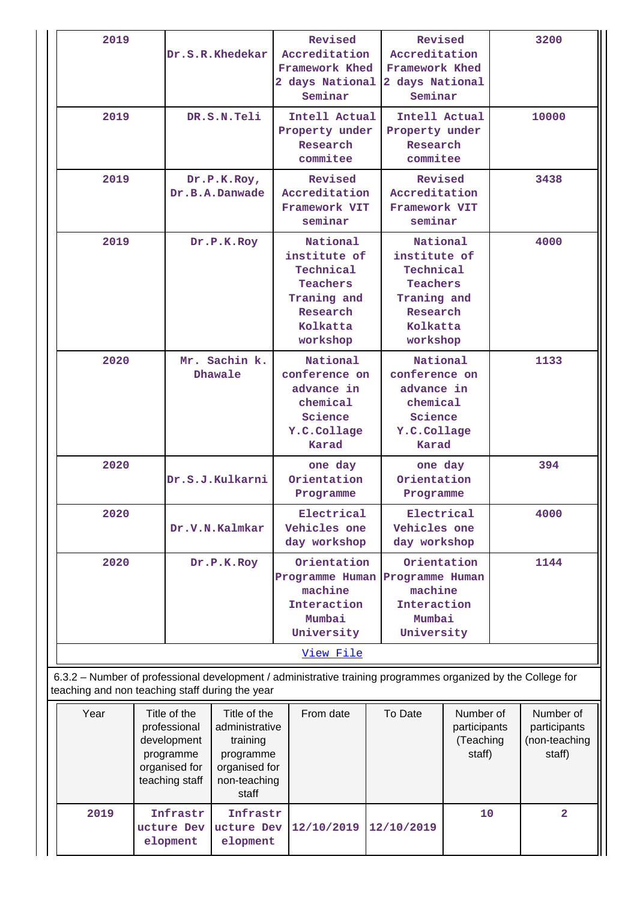| 2019                                                                                                                                                                                                                                                        |  | Dr.S.R.Khedekar          |                               |                                                                                        | Revised<br>Accreditation<br>Framework Khed<br>2 days National<br>Seminar                                    |                                                                                        | Revised<br>Accreditation<br>Framework Khed<br>2 days National<br>Seminar                             |      | 3200         |
|-------------------------------------------------------------------------------------------------------------------------------------------------------------------------------------------------------------------------------------------------------------|--|--------------------------|-------------------------------|----------------------------------------------------------------------------------------|-------------------------------------------------------------------------------------------------------------|----------------------------------------------------------------------------------------|------------------------------------------------------------------------------------------------------|------|--------------|
| 2019                                                                                                                                                                                                                                                        |  | DR.S.N.Teli              |                               |                                                                                        | Intell Actual<br>Property under<br>Research<br>commitee                                                     |                                                                                        | Intell Actual<br>Property under<br>Research<br>commitee                                              |      | 10000        |
| 2019                                                                                                                                                                                                                                                        |  |                          | Dr.P.K.Roy,<br>Dr.B.A.Danwade |                                                                                        | Revised<br>Accreditation<br>Framework VIT<br>seminar                                                        | Revised<br>Accreditation<br>Framework VIT<br>seminar                                   |                                                                                                      |      | 3438         |
| 2019                                                                                                                                                                                                                                                        |  | Dr.P.K.Roy               |                               |                                                                                        | National<br>institute of<br>Technical<br><b>Teachers</b><br>Traning and<br>Research<br>Kolkatta<br>workshop |                                                                                        | National<br>institute of<br>Technical<br>Teachers<br>Traning and<br>Research<br>Kolkatta<br>workshop |      | 4000         |
| 2020                                                                                                                                                                                                                                                        |  | Mr. Sachin k.<br>Dhawale |                               | National<br>conference on<br>advance in<br>chemical<br>Science<br>Y.C.Collage<br>Karad |                                                                                                             | National<br>conference on<br>advance in<br>chemical<br>Science<br>Y.C.Collage<br>Karad |                                                                                                      | 1133 |              |
| 2020                                                                                                                                                                                                                                                        |  | Dr.S.J.Kulkarni          |                               |                                                                                        | one day<br>Orientation<br>Programme                                                                         |                                                                                        | one day<br>Orientation<br>Programme                                                                  |      | 394          |
| 2020                                                                                                                                                                                                                                                        |  | Dr.V.N.Kalmkar           |                               |                                                                                        | Electrical<br>Vehicles one<br>day workshop                                                                  |                                                                                        | Electrical<br>Vehicles one<br>day workshop                                                           |      | 4000         |
| 2020                                                                                                                                                                                                                                                        |  | Dr.P.K.Roy               |                               |                                                                                        | Orientation<br>Programme Human<br>machine<br>Interaction<br>Mumbai<br>University                            |                                                                                        | Orientation<br>Programme Human<br>machine<br>Interaction<br>Mumbai<br>University                     |      | 1144         |
|                                                                                                                                                                                                                                                             |  |                          |                               |                                                                                        | View File                                                                                                   |                                                                                        |                                                                                                      |      |              |
| 6.3.2 - Number of professional development / administrative training programmes organized by the College for                                                                                                                                                |  |                          |                               |                                                                                        |                                                                                                             |                                                                                        |                                                                                                      |      |              |
| teaching and non teaching staff during the year<br>Year<br>Title of the<br>Title of the<br>administrative<br>professional<br>development<br>training<br>programme<br>programme<br>organised for<br>organised for<br>teaching staff<br>non-teaching<br>staff |  |                          | From date                     |                                                                                        | To Date<br>Number of<br>participants<br>(Teaching<br>staff)                                                 |                                                                                        | Number of<br>participants<br>(non-teaching<br>staff)                                                 |      |              |
| 2019                                                                                                                                                                                                                                                        |  | Infrastr                 | Infrastr                      |                                                                                        |                                                                                                             |                                                                                        |                                                                                                      | 10   | $\mathbf{2}$ |

**ucture Dev ucture Dev 12/10/2019 12/10/2019**

**elopment**

**elopment**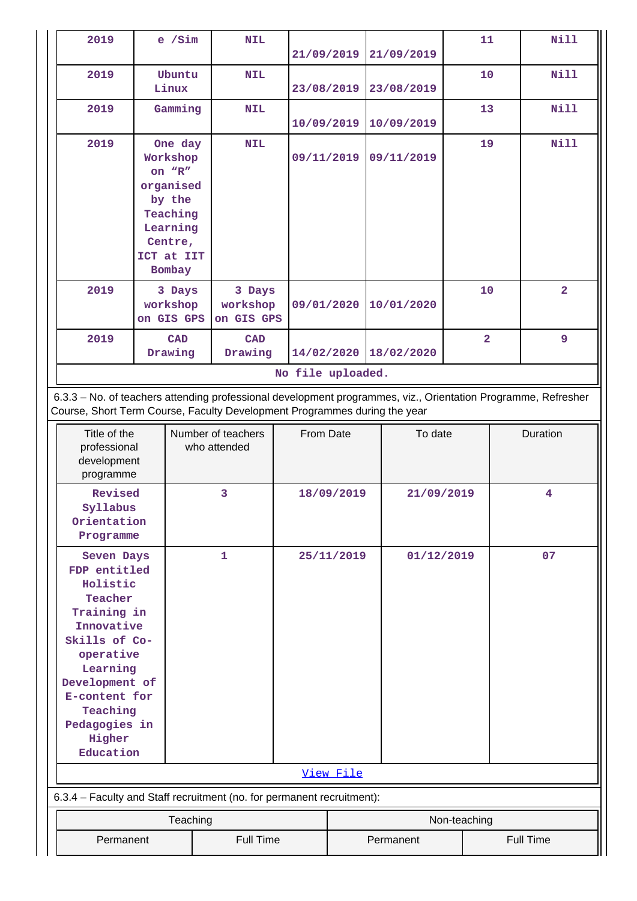| 2019                                                                                                                                                                                                                         | $e$ /Sim                         |  | <b>NIL</b>                         |  | 21/09/2019        |                         | 21/09/2019 |              | 11             | <b>Nill</b>      |
|------------------------------------------------------------------------------------------------------------------------------------------------------------------------------------------------------------------------------|----------------------------------|--|------------------------------------|--|-------------------|-------------------------|------------|--------------|----------------|------------------|
| 2019                                                                                                                                                                                                                         | Ubuntu<br>Linux                  |  | <b>NIL</b>                         |  | 23/08/2019        |                         | 23/08/2019 |              | 10             | <b>Nill</b>      |
| 2019                                                                                                                                                                                                                         | Gamming                          |  | <b>NIL</b>                         |  | 10/09/2019        |                         | 10/09/2019 |              | 13             | <b>Nill</b>      |
| 2019                                                                                                                                                                                                                         | One day<br>Workshop              |  | <b>NIL</b>                         |  | 09/11/2019        |                         | 09/11/2019 |              | 19             | <b>Nill</b>      |
|                                                                                                                                                                                                                              | on "R"<br>organised              |  |                                    |  |                   |                         |            |              |                |                  |
|                                                                                                                                                                                                                              | by the<br>Teaching               |  |                                    |  |                   |                         |            |              |                |                  |
|                                                                                                                                                                                                                              | Learning<br>Centre,              |  |                                    |  |                   |                         |            |              |                |                  |
|                                                                                                                                                                                                                              | ICT at IIT<br>Bombay             |  |                                    |  |                   |                         |            |              |                |                  |
| 2019                                                                                                                                                                                                                         | 3 Days<br>workshop<br>on GIS GPS |  | 3 Days<br>workshop<br>on GIS GPS   |  | 09/01/2020        |                         | 10/01/2020 |              | 10             | $\overline{2}$   |
| 2019                                                                                                                                                                                                                         | <b>CAD</b><br>Drawing            |  | <b>CAD</b><br>Drawing              |  | 14/02/2020        |                         | 18/02/2020 |              | $\overline{2}$ | 9                |
|                                                                                                                                                                                                                              |                                  |  |                                    |  | No file uploaded. |                         |            |              |                |                  |
| 6.3.3 - No. of teachers attending professional development programmes, viz., Orientation Programme, Refresher<br>Course, Short Term Course, Faculty Development Programmes during the year                                   |                                  |  |                                    |  |                   |                         |            |              |                |                  |
| Title of the<br>professional<br>development<br>programme                                                                                                                                                                     |                                  |  | Number of teachers<br>who attended |  | From Date         |                         | To date    |              |                | Duration         |
| Revised<br>Syllabus<br>Orientation                                                                                                                                                                                           |                                  |  | 3                                  |  |                   | 18/09/2019              | 21/09/2019 |              |                | 4                |
| Programme<br>Seven Days<br>FDP entitled<br>Holistic<br>Teacher<br>Training in<br>Innovative<br>Skills of Co-<br>operative<br>Learning<br>Development of<br>E-content for<br>Teaching<br>Pedagogies in<br>Higher<br>Education |                                  |  | 1                                  |  |                   | 25/11/2019<br>View File | 01/12/2019 |              |                | 07               |
| 6.3.4 - Faculty and Staff recruitment (no. for permanent recruitment):                                                                                                                                                       |                                  |  |                                    |  |                   |                         |            |              |                |                  |
|                                                                                                                                                                                                                              |                                  |  |                                    |  |                   |                         |            | Non-teaching |                |                  |
| Teaching<br>Permanent<br><b>Full Time</b>                                                                                                                                                                                    |                                  |  |                                    |  |                   |                         | Permanent  |              |                | <b>Full Time</b> |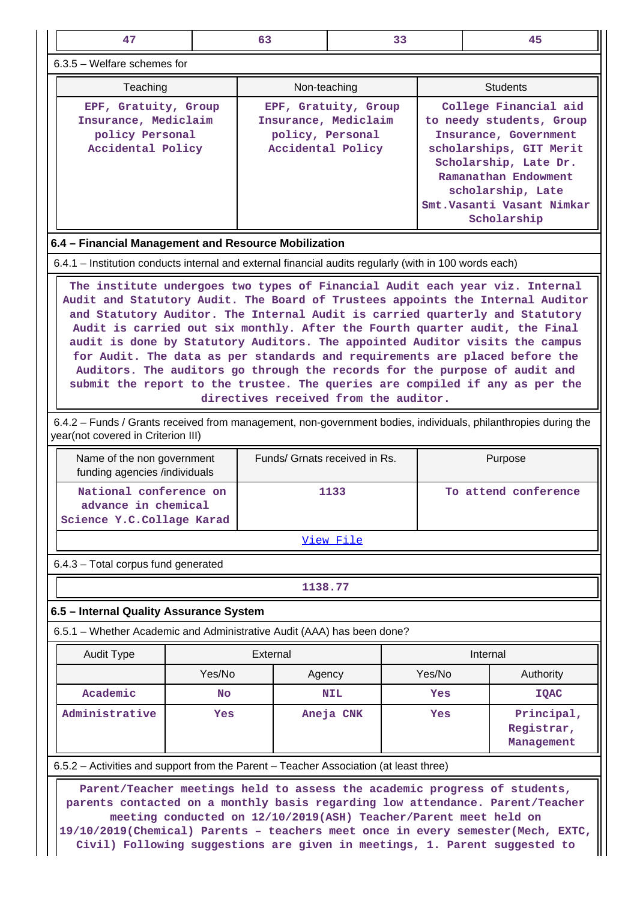| 47                                                                                                                                                                                                                                                                                                                                                                                                                                                                                                                                                                                                                                                                                                  |        | 63                            |                                                                                                                                                                                                                                                                                                                  | 33     | 45                                                                                                             |  |  |  |  |  |
|-----------------------------------------------------------------------------------------------------------------------------------------------------------------------------------------------------------------------------------------------------------------------------------------------------------------------------------------------------------------------------------------------------------------------------------------------------------------------------------------------------------------------------------------------------------------------------------------------------------------------------------------------------------------------------------------------------|--------|-------------------------------|------------------------------------------------------------------------------------------------------------------------------------------------------------------------------------------------------------------------------------------------------------------------------------------------------------------|--------|----------------------------------------------------------------------------------------------------------------|--|--|--|--|--|
| 6.3.5 - Welfare schemes for                                                                                                                                                                                                                                                                                                                                                                                                                                                                                                                                                                                                                                                                         |        |                               |                                                                                                                                                                                                                                                                                                                  |        |                                                                                                                |  |  |  |  |  |
| Teaching                                                                                                                                                                                                                                                                                                                                                                                                                                                                                                                                                                                                                                                                                            |        | Non-teaching                  |                                                                                                                                                                                                                                                                                                                  |        | <b>Students</b>                                                                                                |  |  |  |  |  |
| EPF, Gratuity, Group<br>Insurance, Mediclaim<br>policy Personal<br>Accidental Policy                                                                                                                                                                                                                                                                                                                                                                                                                                                                                                                                                                                                                |        |                               | College Financial aid<br>EPF, Gratuity, Group<br>Insurance, Mediclaim<br>to needy students, Group<br>policy, Personal<br>Insurance, Government<br>Accidental Policy<br>scholarships, GIT Merit<br>Scholarship, Late Dr.<br>Ramanathan Endowment<br>scholarship, Late<br>Smt.Vasanti Vasant Nimkar<br>Scholarship |        |                                                                                                                |  |  |  |  |  |
| 6.4 - Financial Management and Resource Mobilization                                                                                                                                                                                                                                                                                                                                                                                                                                                                                                                                                                                                                                                |        |                               |                                                                                                                                                                                                                                                                                                                  |        |                                                                                                                |  |  |  |  |  |
| 6.4.1 – Institution conducts internal and external financial audits regularly (with in 100 words each)                                                                                                                                                                                                                                                                                                                                                                                                                                                                                                                                                                                              |        |                               |                                                                                                                                                                                                                                                                                                                  |        |                                                                                                                |  |  |  |  |  |
| The institute undergoes two types of Financial Audit each year viz. Internal<br>Audit and Statutory Audit. The Board of Trustees appoints the Internal Auditor<br>and Statutory Auditor. The Internal Audit is carried quarterly and Statutory<br>Audit is carried out six monthly. After the Fourth quarter audit, the Final<br>audit is done by Statutory Auditors. The appointed Auditor visits the campus<br>for Audit. The data as per standards and requirements are placed before the<br>Auditors. The auditors go through the records for the purpose of audit and<br>submit the report to the trustee. The queries are compiled if any as per the<br>directives received from the auditor. |        |                               |                                                                                                                                                                                                                                                                                                                  |        |                                                                                                                |  |  |  |  |  |
| year(not covered in Criterion III)                                                                                                                                                                                                                                                                                                                                                                                                                                                                                                                                                                                                                                                                  |        |                               |                                                                                                                                                                                                                                                                                                                  |        | 6.4.2 - Funds / Grants received from management, non-government bodies, individuals, philanthropies during the |  |  |  |  |  |
| Name of the non government<br>funding agencies /individuals                                                                                                                                                                                                                                                                                                                                                                                                                                                                                                                                                                                                                                         |        | Funds/ Grnats received in Rs. |                                                                                                                                                                                                                                                                                                                  |        | Purpose                                                                                                        |  |  |  |  |  |
| National conference on<br>advance in chemical<br>Science Y.C.Collage Karad                                                                                                                                                                                                                                                                                                                                                                                                                                                                                                                                                                                                                          |        |                               | 1133                                                                                                                                                                                                                                                                                                             |        | To attend conference                                                                                           |  |  |  |  |  |
|                                                                                                                                                                                                                                                                                                                                                                                                                                                                                                                                                                                                                                                                                                     |        |                               | View File                                                                                                                                                                                                                                                                                                        |        |                                                                                                                |  |  |  |  |  |
| 6.4.3 - Total corpus fund generated                                                                                                                                                                                                                                                                                                                                                                                                                                                                                                                                                                                                                                                                 |        |                               |                                                                                                                                                                                                                                                                                                                  |        |                                                                                                                |  |  |  |  |  |
|                                                                                                                                                                                                                                                                                                                                                                                                                                                                                                                                                                                                                                                                                                     |        | 1138.77                       |                                                                                                                                                                                                                                                                                                                  |        |                                                                                                                |  |  |  |  |  |
| 6.5 - Internal Quality Assurance System                                                                                                                                                                                                                                                                                                                                                                                                                                                                                                                                                                                                                                                             |        |                               |                                                                                                                                                                                                                                                                                                                  |        |                                                                                                                |  |  |  |  |  |
| 6.5.1 - Whether Academic and Administrative Audit (AAA) has been done?                                                                                                                                                                                                                                                                                                                                                                                                                                                                                                                                                                                                                              |        |                               |                                                                                                                                                                                                                                                                                                                  |        |                                                                                                                |  |  |  |  |  |
| <b>Audit Type</b>                                                                                                                                                                                                                                                                                                                                                                                                                                                                                                                                                                                                                                                                                   |        | External                      |                                                                                                                                                                                                                                                                                                                  |        | Internal                                                                                                       |  |  |  |  |  |
|                                                                                                                                                                                                                                                                                                                                                                                                                                                                                                                                                                                                                                                                                                     | Yes/No | Agency                        |                                                                                                                                                                                                                                                                                                                  | Yes/No | Authority                                                                                                      |  |  |  |  |  |
| Academic                                                                                                                                                                                                                                                                                                                                                                                                                                                                                                                                                                                                                                                                                            | No     |                               | NIL                                                                                                                                                                                                                                                                                                              | Yes    | <b>IQAC</b>                                                                                                    |  |  |  |  |  |
| Administrative                                                                                                                                                                                                                                                                                                                                                                                                                                                                                                                                                                                                                                                                                      | Yes    |                               | Aneja CNK                                                                                                                                                                                                                                                                                                        | Yes    | Principal,<br>Registrar,<br>Management                                                                         |  |  |  |  |  |
| 6.5.2 – Activities and support from the Parent – Teacher Association (at least three)                                                                                                                                                                                                                                                                                                                                                                                                                                                                                                                                                                                                               |        |                               |                                                                                                                                                                                                                                                                                                                  |        |                                                                                                                |  |  |  |  |  |
| Parent/Teacher meetings held to assess the academic progress of students,                                                                                                                                                                                                                                                                                                                                                                                                                                                                                                                                                                                                                           |        |                               |                                                                                                                                                                                                                                                                                                                  |        |                                                                                                                |  |  |  |  |  |

**parents contacted on a monthly basis regarding low attendance. Parent/Teacher meeting conducted on 12/10/2019(ASH) Teacher/Parent meet held on 19/10/2019(Chemical) Parents – teachers meet once in every semester(Mech, EXTC, Civil) Following suggestions are given in meetings, 1. Parent suggested to**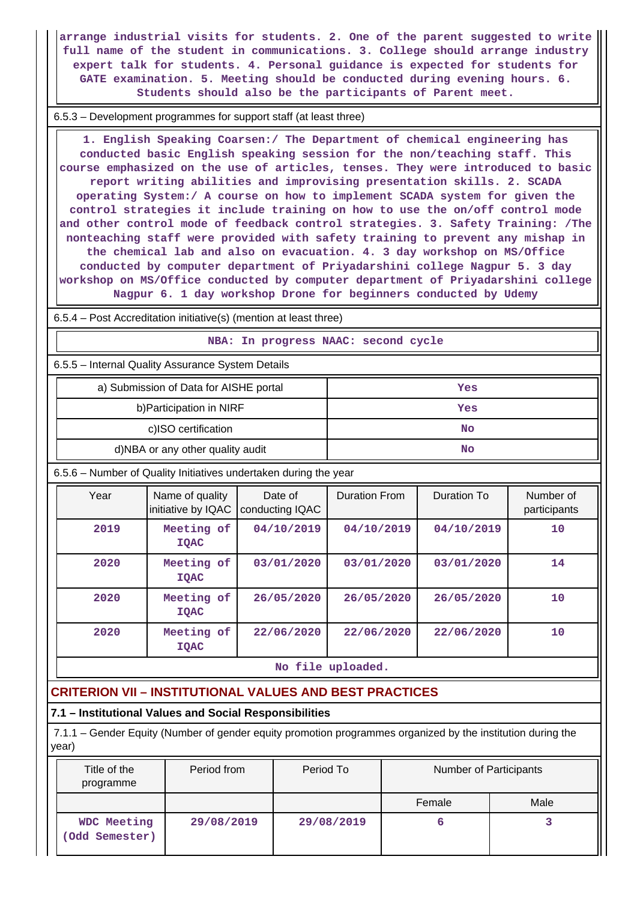**arrange industrial visits for students. 2. One of the parent suggested to write full name of the student in communications. 3. College should arrange industry expert talk for students. 4. Personal guidance is expected for students for GATE examination. 5. Meeting should be conducted during evening hours. 6. Students should also be the participants of Parent meet.**

6.5.3 – Development programmes for support staff (at least three)

 **1. English Speaking Coarsen:/ The Department of chemical engineering has conducted basic English speaking session for the non/teaching staff. This course emphasized on the use of articles, tenses. They were introduced to basic report writing abilities and improvising presentation skills. 2. SCADA operating System:/ A course on how to implement SCADA system for given the control strategies it include training on how to use the on/off control mode and other control mode of feedback control strategies. 3. Safety Training: /The nonteaching staff were provided with safety training to prevent any mishap in the chemical lab and also on evacuation. 4. 3 day workshop on MS/Office conducted by computer department of Priyadarshini college Nagpur 5. 3 day workshop on MS/Office conducted by computer department of Priyadarshini college Nagpur 6. 1 day workshop Drone for beginners conducted by Udemy**

6.5.4 – Post Accreditation initiative(s) (mention at least three)

#### **NBA: In progress NAAC: second cycle**

6.5.5 – Internal Quality Assurance System Details

| a) Submission of Data for AISHE portal | Yes |
|----------------------------------------|-----|
| b) Participation in NIRF               | Yes |
| c)ISO certification                    | No  |
| d)NBA or any other quality audit       | No  |

6.5.6 – Number of Quality Initiatives undertaken during the year

| Year | Name of quality<br>initiative by IQAC | Date of<br>conducting IQAC | <b>Duration From</b> | Duration To | Number of<br>participants |
|------|---------------------------------------|----------------------------|----------------------|-------------|---------------------------|
| 2019 | Meeting of<br><b>IQAC</b>             | 04/10/2019                 | 04/10/2019           | 04/10/2019  | 10                        |
| 2020 | Meeting of<br><b>IOAC</b>             | 03/01/2020                 | 03/01/2020           | 03/01/2020  | 14                        |
| 2020 | Meeting of<br><b>IOAC</b>             | 26/05/2020                 | 26/05/2020           | 26/05/2020  | 10 <sup>°</sup>           |
| 2020 | Meeting of<br><b>IQAC</b>             | 22/06/2020                 | 22/06/2020           | 22/06/2020  | 10                        |

**No file uploaded.**

## **CRITERION VII – INSTITUTIONAL VALUES AND BEST PRACTICES**

#### **7.1 – Institutional Values and Social Responsibilities**

 7.1.1 – Gender Equity (Number of gender equity promotion programmes organized by the institution during the year)

| Title of the<br>programme     | Period from | Period To  | Number of Participants |      |  |
|-------------------------------|-------------|------------|------------------------|------|--|
|                               |             |            | Female                 | Male |  |
| WDC Meeting<br>(Odd Semester) | 29/08/2019  | 29/08/2019 |                        |      |  |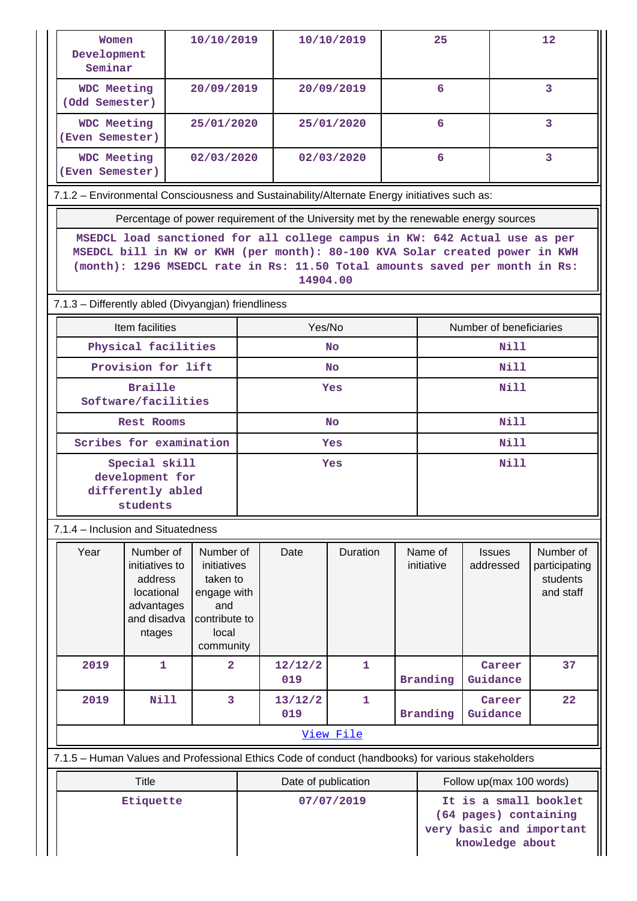| Women<br>Development<br>Seminar                                                                   |                                                                                                                                                                                                                                                      | 10/10/2019                                                                                                  |           | 10/10/2019          |              |                       | 25              |                                                                                       | 12                                                  |  |  |  |
|---------------------------------------------------------------------------------------------------|------------------------------------------------------------------------------------------------------------------------------------------------------------------------------------------------------------------------------------------------------|-------------------------------------------------------------------------------------------------------------|-----------|---------------------|--------------|-----------------------|-----------------|---------------------------------------------------------------------------------------|-----------------------------------------------------|--|--|--|
| <b>WDC Meeting</b><br>(Odd Semester)                                                              |                                                                                                                                                                                                                                                      | 20/09/2019                                                                                                  |           | 20/09/2019          |              |                       | 6               |                                                                                       | 3                                                   |  |  |  |
| WDC Meeting<br>(Even Semester)                                                                    |                                                                                                                                                                                                                                                      | 25/01/2020                                                                                                  |           |                     | 25/01/2020   |                       | 6               |                                                                                       | 3                                                   |  |  |  |
| <b>WDC Meeting</b><br>(Even Semester)                                                             |                                                                                                                                                                                                                                                      | 02/03/2020                                                                                                  |           |                     | 02/03/2020   |                       | 6               |                                                                                       | 3                                                   |  |  |  |
| 7.1.2 - Environmental Consciousness and Sustainability/Alternate Energy initiatives such as:      |                                                                                                                                                                                                                                                      |                                                                                                             |           |                     |              |                       |                 |                                                                                       |                                                     |  |  |  |
|                                                                                                   |                                                                                                                                                                                                                                                      |                                                                                                             |           |                     |              |                       |                 | Percentage of power requirement of the University met by the renewable energy sources |                                                     |  |  |  |
|                                                                                                   | MSEDCL load sanctioned for all college campus in KW: 642 Actual use as per<br>MSEDCL bill in KW or KWH (per month): 80-100 KVA Solar created power in KWH<br>(month): 1296 MSEDCL rate in Rs: 11.50 Total amounts saved per month in Rs:<br>14904.00 |                                                                                                             |           |                     |              |                       |                 |                                                                                       |                                                     |  |  |  |
|                                                                                                   | 7.1.3 - Differently abled (Divyangjan) friendliness                                                                                                                                                                                                  |                                                                                                             |           |                     |              |                       |                 |                                                                                       |                                                     |  |  |  |
|                                                                                                   | Item facilities                                                                                                                                                                                                                                      |                                                                                                             |           | Yes/No              |              |                       |                 | Number of beneficiaries                                                               |                                                     |  |  |  |
|                                                                                                   | Physical facilities                                                                                                                                                                                                                                  |                                                                                                             |           |                     | <b>No</b>    |                       |                 | Nill                                                                                  |                                                     |  |  |  |
|                                                                                                   | Provision for lift                                                                                                                                                                                                                                   |                                                                                                             |           |                     | <b>No</b>    |                       |                 | Nill                                                                                  |                                                     |  |  |  |
| Software/facilities                                                                               | <b>Braille</b>                                                                                                                                                                                                                                       |                                                                                                             |           |                     | Yes          |                       | Nill            |                                                                                       |                                                     |  |  |  |
|                                                                                                   | <b>Rest Rooms</b>                                                                                                                                                                                                                                    |                                                                                                             | <b>No</b> |                     |              |                       |                 | <b>Nill</b>                                                                           |                                                     |  |  |  |
| Scribes for examination                                                                           |                                                                                                                                                                                                                                                      |                                                                                                             | Yes       |                     |              |                       |                 | Nill                                                                                  |                                                     |  |  |  |
|                                                                                                   | Special skill<br>development for<br>differently abled<br>students                                                                                                                                                                                    |                                                                                                             | Yes       |                     |              |                       | <b>Nill</b>     |                                                                                       |                                                     |  |  |  |
| 7.1.4 - Inclusion and Situatedness                                                                |                                                                                                                                                                                                                                                      |                                                                                                             |           |                     |              |                       |                 |                                                                                       |                                                     |  |  |  |
| Year                                                                                              | Number of<br>Number of<br>initiatives to<br>initiatives<br>address<br>taken to<br>locational<br>engage with<br>advantages<br>and<br>and disadva<br>contribute to<br>local<br>ntages                                                                  |                                                                                                             | community | Date                | Duration     | Name of<br>initiative |                 | <b>Issues</b><br>addressed                                                            | Number of<br>participating<br>students<br>and staff |  |  |  |
| 2019                                                                                              | 1                                                                                                                                                                                                                                                    | $\overline{\mathbf{2}}$                                                                                     |           | 12/12/2<br>019      | $\mathbf{1}$ |                       | <b>Branding</b> | Career<br>Guidance                                                                    | 37                                                  |  |  |  |
| 2019                                                                                              | Nill                                                                                                                                                                                                                                                 | 3                                                                                                           |           | 13/12/2<br>019      | 1            |                       | <b>Branding</b> | Career<br>Guidance                                                                    | 22                                                  |  |  |  |
|                                                                                                   |                                                                                                                                                                                                                                                      |                                                                                                             |           |                     | View File    |                       |                 |                                                                                       |                                                     |  |  |  |
| 7.1.5 - Human Values and Professional Ethics Code of conduct (handbooks) for various stakeholders |                                                                                                                                                                                                                                                      |                                                                                                             |           |                     |              |                       |                 |                                                                                       |                                                     |  |  |  |
|                                                                                                   | <b>Title</b>                                                                                                                                                                                                                                         |                                                                                                             |           | Date of publication |              |                       |                 | Follow up(max 100 words)                                                              |                                                     |  |  |  |
| Etiquette                                                                                         |                                                                                                                                                                                                                                                      | It is a small booklet<br>07/07/2019<br>(64 pages) containing<br>very basic and important<br>knowledge about |           |                     |              |                       |                 |                                                                                       |                                                     |  |  |  |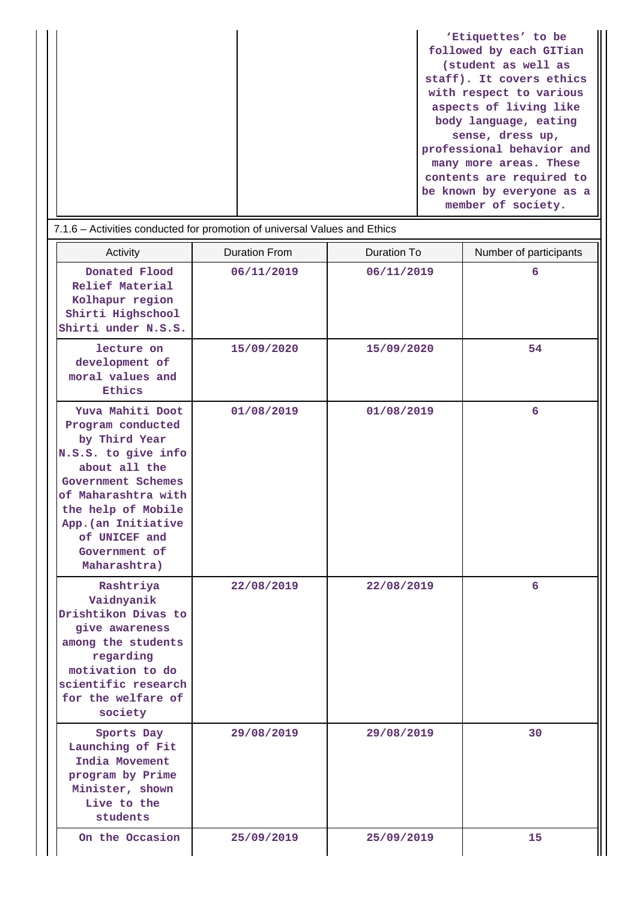|  | (student as well as<br>staff). It covers ethics<br>with respect to various<br>aspects of living like<br>body language, eating<br>sense, dress up,<br>professional behavior and<br>many more areas. These<br>contents are required to<br>be known by everyone as a<br>member of society. |
|--|-----------------------------------------------------------------------------------------------------------------------------------------------------------------------------------------------------------------------------------------------------------------------------------------|
|--|-----------------------------------------------------------------------------------------------------------------------------------------------------------------------------------------------------------------------------------------------------------------------------------------|

| 7.1.6 - Activities conducted for promotion of universal Values and Ethics                                                                                                                                                                  |                      |                    |                        |  |  |
|--------------------------------------------------------------------------------------------------------------------------------------------------------------------------------------------------------------------------------------------|----------------------|--------------------|------------------------|--|--|
| Activity                                                                                                                                                                                                                                   | <b>Duration From</b> | <b>Duration To</b> | Number of participants |  |  |
| Donated Flood<br>Relief Material<br>Kolhapur region<br>Shirti Highschool<br>Shirti under N.S.S.                                                                                                                                            | 06/11/2019           | 06/11/2019         | 6                      |  |  |
| lecture on<br>development of<br>moral values and<br>Ethics                                                                                                                                                                                 | 15/09/2020           | 15/09/2020         | 54                     |  |  |
| Yuva Mahiti Doot<br>Program conducted<br>by Third Year<br>N.S.S. to give info<br>about all the<br>Government Schemes<br>of Maharashtra with<br>the help of Mobile<br>App. (an Initiative<br>of UNICEF and<br>Government of<br>Maharashtra) | 01/08/2019           | 01/08/2019         | 6                      |  |  |
| Rashtriya<br>Vaidnyanik<br>Drishtikon Divas to<br>give awareness<br>among the students<br>regarding<br>motivation to do<br>scientific research<br>for the welfare of<br>society                                                            | 22/08/2019           | 22/08/2019         | 6                      |  |  |
| Sports Day<br>Launching of Fit<br>India Movement<br>program by Prime<br>Minister, shown<br>Live to the<br>students                                                                                                                         | 29/08/2019           | 29/08/2019         | 30                     |  |  |
| On the Occasion                                                                                                                                                                                                                            | 25/09/2019           | 25/09/2019         | 15                     |  |  |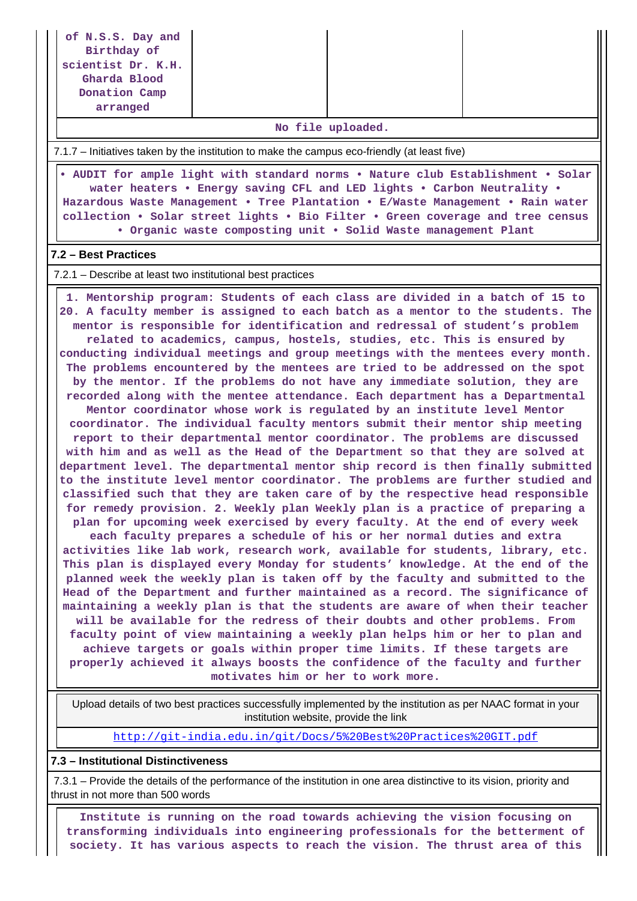| of N.S.S. Day and<br>Birthday of<br>scientist Dr. K.H.<br>Gharda Blood<br>Donation Camp<br>arranged                                                                                                                                                                                                                                                                                             |                                                                                                                                                                                                                                                                                                                                                                                                                                                                                                                                                                                                                                                                                                                                                                                                                                                                                                                                                                                                                                                                                                                                                                                                                                                                                                                                                                                                                                                                                                                                                                                                                                                                                                                                                  |  |  |  |  |
|-------------------------------------------------------------------------------------------------------------------------------------------------------------------------------------------------------------------------------------------------------------------------------------------------------------------------------------------------------------------------------------------------|--------------------------------------------------------------------------------------------------------------------------------------------------------------------------------------------------------------------------------------------------------------------------------------------------------------------------------------------------------------------------------------------------------------------------------------------------------------------------------------------------------------------------------------------------------------------------------------------------------------------------------------------------------------------------------------------------------------------------------------------------------------------------------------------------------------------------------------------------------------------------------------------------------------------------------------------------------------------------------------------------------------------------------------------------------------------------------------------------------------------------------------------------------------------------------------------------------------------------------------------------------------------------------------------------------------------------------------------------------------------------------------------------------------------------------------------------------------------------------------------------------------------------------------------------------------------------------------------------------------------------------------------------------------------------------------------------------------------------------------------------|--|--|--|--|
| No file uploaded.                                                                                                                                                                                                                                                                                                                                                                               |                                                                                                                                                                                                                                                                                                                                                                                                                                                                                                                                                                                                                                                                                                                                                                                                                                                                                                                                                                                                                                                                                                                                                                                                                                                                                                                                                                                                                                                                                                                                                                                                                                                                                                                                                  |  |  |  |  |
| 7.1.7 – Initiatives taken by the institution to make the campus eco-friendly (at least five)                                                                                                                                                                                                                                                                                                    |                                                                                                                                                                                                                                                                                                                                                                                                                                                                                                                                                                                                                                                                                                                                                                                                                                                                                                                                                                                                                                                                                                                                                                                                                                                                                                                                                                                                                                                                                                                                                                                                                                                                                                                                                  |  |  |  |  |
| . AUDIT for ample light with standard norms . Nature club Establishment . Solar<br>water heaters . Energy saving CFL and LED lights . Carbon Neutrality .<br>Hazardous Waste Management . Tree Plantation . E/Waste Management . Rain water<br>collection . Solar street lights . Bio Filter . Green coverage and tree census<br>. Organic waste composting unit . Solid Waste management Plant |                                                                                                                                                                                                                                                                                                                                                                                                                                                                                                                                                                                                                                                                                                                                                                                                                                                                                                                                                                                                                                                                                                                                                                                                                                                                                                                                                                                                                                                                                                                                                                                                                                                                                                                                                  |  |  |  |  |
| 7.2 - Best Practices                                                                                                                                                                                                                                                                                                                                                                            |                                                                                                                                                                                                                                                                                                                                                                                                                                                                                                                                                                                                                                                                                                                                                                                                                                                                                                                                                                                                                                                                                                                                                                                                                                                                                                                                                                                                                                                                                                                                                                                                                                                                                                                                                  |  |  |  |  |
| 7.2.1 – Describe at least two institutional best practices                                                                                                                                                                                                                                                                                                                                      |                                                                                                                                                                                                                                                                                                                                                                                                                                                                                                                                                                                                                                                                                                                                                                                                                                                                                                                                                                                                                                                                                                                                                                                                                                                                                                                                                                                                                                                                                                                                                                                                                                                                                                                                                  |  |  |  |  |
|                                                                                                                                                                                                                                                                                                                                                                                                 | 1. Mentorship program: Students of each class are divided in a batch of 15 to<br>20. A faculty member is assigned to each batch as a mentor to the students. The<br>mentor is responsible for identification and redressal of student's problem<br>related to academics, campus, hostels, studies, etc. This is ensured by<br>conducting individual meetings and group meetings with the mentees every month.<br>The problems encountered by the mentees are tried to be addressed on the spot<br>by the mentor. If the problems do not have any immediate solution, they are<br>recorded along with the mentee attendance. Each department has a Departmental<br>Mentor coordinator whose work is regulated by an institute level Mentor<br>coordinator. The individual faculty mentors submit their mentor ship meeting<br>report to their departmental mentor coordinator. The problems are discussed<br>with him and as well as the Head of the Department so that they are solved at<br>department level. The departmental mentor ship record is then finally submitted<br>to the institute level mentor coordinator. The problems are further studied and<br>classified such that they are taken care of by the respective head responsible<br>for remedy provision. 2. Weekly plan Weekly plan is a practice of preparing a<br>plan for upcoming week exercised by every faculty. At the end of every week<br>each faculty prepares a schedule of his or her normal duties and extra<br>activities like lab work, research work, available for students, library, etc.<br>This plan is displayed every Monday for students' knowledge. At the end of the<br>planned week the weekly plan is taken off by the faculty and submitted to the |  |  |  |  |

institution website, provide the link <http://git-india.edu.in/git/Docs/5%20Best%20Practices%20GIT.pdf>

Upload details of two best practices successfully implemented by the institution as per NAAC format in your

**Head of the Department and further maintained as a record. The significance of maintaining a weekly plan is that the students are aware of when their teacher will be available for the redress of their doubts and other problems. From faculty point of view maintaining a weekly plan helps him or her to plan and achieve targets or goals within proper time limits. If these targets are properly achieved it always boosts the confidence of the faculty and further motivates him or her to work more.**

#### **7.3 – Institutional Distinctiveness**

 7.3.1 – Provide the details of the performance of the institution in one area distinctive to its vision, priority and thrust in not more than 500 words

 **Institute is running on the road towards achieving the vision focusing on transforming individuals into engineering professionals for the betterment of society. It has various aspects to reach the vision. The thrust area of this**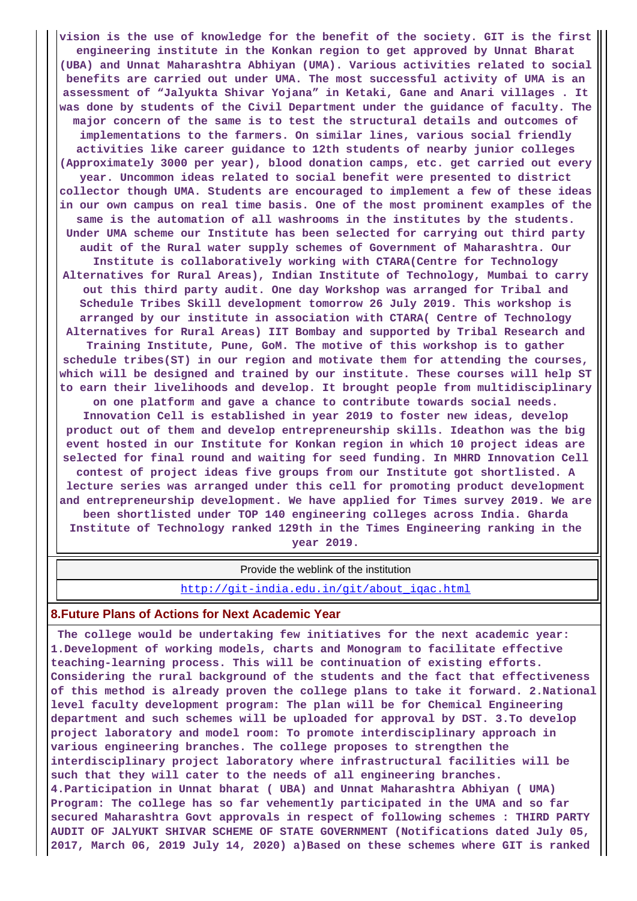**vision is the use of knowledge for the benefit of the society. GIT is the first engineering institute in the Konkan region to get approved by Unnat Bharat (UBA) and Unnat Maharashtra Abhiyan (UMA). Various activities related to social benefits are carried out under UMA. The most successful activity of UMA is an assessment of "Jalyukta Shivar Yojana" in Ketaki, Gane and Anari villages . It was done by students of the Civil Department under the guidance of faculty. The major concern of the same is to test the structural details and outcomes of implementations to the farmers. On similar lines, various social friendly activities like career guidance to 12th students of nearby junior colleges (Approximately 3000 per year), blood donation camps, etc. get carried out every year. Uncommon ideas related to social benefit were presented to district collector though UMA. Students are encouraged to implement a few of these ideas in our own campus on real time basis. One of the most prominent examples of the same is the automation of all washrooms in the institutes by the students. Under UMA scheme our Institute has been selected for carrying out third party audit of the Rural water supply schemes of Government of Maharashtra. Our Institute is collaboratively working with CTARA(Centre for Technology Alternatives for Rural Areas), Indian Institute of Technology, Mumbai to carry out this third party audit. One day Workshop was arranged for Tribal and Schedule Tribes Skill development tomorrow 26 July 2019. This workshop is arranged by our institute in association with CTARA( Centre of Technology Alternatives for Rural Areas) IIT Bombay and supported by Tribal Research and Training Institute, Pune, GoM. The motive of this workshop is to gather schedule tribes(ST) in our region and motivate them for attending the courses, which will be designed and trained by our institute. These courses will help ST to earn their livelihoods and develop. It brought people from multidisciplinary on one platform and gave a chance to contribute towards social needs. Innovation Cell is established in year 2019 to foster new ideas, develop product out of them and develop entrepreneurship skills. Ideathon was the big event hosted in our Institute for Konkan region in which 10 project ideas are selected for final round and waiting for seed funding. In MHRD Innovation Cell contest of project ideas five groups from our Institute got shortlisted. A lecture series was arranged under this cell for promoting product development and entrepreneurship development. We have applied for Times survey 2019. We are been shortlisted under TOP 140 engineering colleges across India. Gharda Institute of Technology ranked 129th in the Times Engineering ranking in the year 2019.**

#### Provide the weblink of the institution

[http://git-india.edu.in/git/about\\_iqac.html](http://git-india.edu.in/git/about_iqac.html)

#### **8.Future Plans of Actions for Next Academic Year**

 **The college would be undertaking few initiatives for the next academic year: 1.Development of working models, charts and Monogram to facilitate effective teaching-learning process. This will be continuation of existing efforts. Considering the rural background of the students and the fact that effectiveness of this method is already proven the college plans to take it forward. 2.National level faculty development program: The plan will be for Chemical Engineering department and such schemes will be uploaded for approval by DST. 3.To develop project laboratory and model room: To promote interdisciplinary approach in various engineering branches. The college proposes to strengthen the interdisciplinary project laboratory where infrastructural facilities will be such that they will cater to the needs of all engineering branches. 4.Participation in Unnat bharat ( UBA) and Unnat Maharashtra Abhiyan ( UMA) Program: The college has so far vehemently participated in the UMA and so far secured Maharashtra Govt approvals in respect of following schemes : THIRD PARTY AUDIT OF JALYUKT SHIVAR SCHEME OF STATE GOVERNMENT (Notifications dated July 05, 2017, March 06, 2019 July 14, 2020) a)Based on these schemes where GIT is ranked**